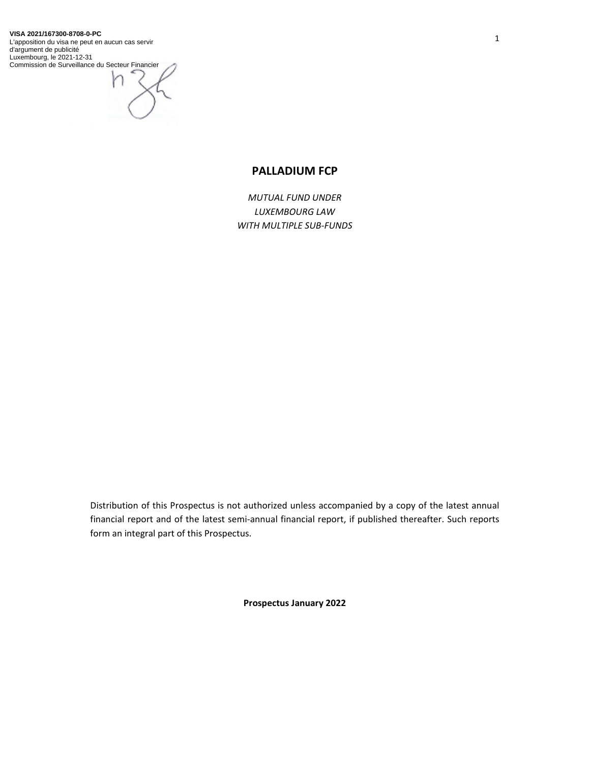#### **VISA 2021/167300-8708-0-PC**

L'apposition du visa ne peut en aucun cas servir d'argument de publicité Luxembourg, le 2021-12-31 Commission de Surveillance du Secteur Financier

# **PALLADIUM FCP**

*MUTUAL FUND UNDER LUXEMBOURG LAW WITH MULTIPLE SUB-FUNDS* 

Distribution of this Prospectus is not authorized unless accompanied by a copy of the latest annual financial report and of the latest semi-annual financial report, if published thereafter. Such reports form an integral part of this Prospectus.

**Prospectus January 2022**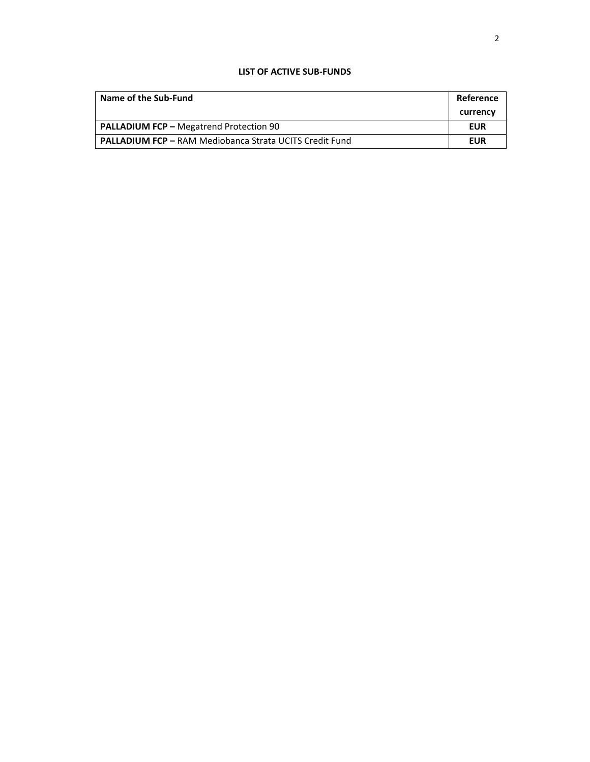## **LIST OF ACTIVE SUB-FUNDS**

| Name of the Sub-Fund                                           | Reference |
|----------------------------------------------------------------|-----------|
|                                                                | currency  |
| <b>PALLADIUM FCP - Megatrend Protection 90</b>                 | EUR       |
| <b>PALLADIUM FCP - RAM Mediobanca Strata UCITS Credit Fund</b> | EUR       |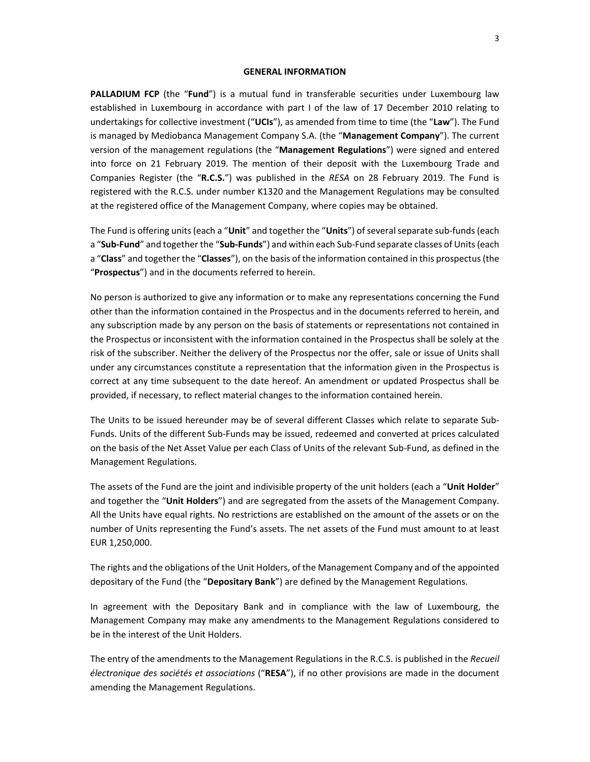#### **GENERAL INFORMATION**

**PALLADIUM FCP** (the "**Fund**") is a mutual fund in transferable securities under Luxembourg law established in Luxembourg in accordance with part I of the law of 17 December 2010 relating to undertakings for collective investment ("**UCIs**"), as amended from time to time (the "**Law**"). The Fund is managed by Mediobanca Management Company S.A. (the "**Management Company**"). The current version of the management regulations (the "**Management Regulations**") were signed and entered into force on 21 February 2019. The mention of their deposit with the Luxembourg Trade and Companies Register (the "**R.C.S.**") was published in the *RESA* on 28 February 2019. The Fund is registered with the R.C.S. under number K1320 and the Management Regulations may be consulted at the registered office of the Management Company, where copies may be obtained.

The Fund is offering units (each a "**Unit**" and together the "**Units**") of several separate sub-funds (each a "**Sub-Fund**" and together the "**Sub-Funds**") and within each Sub-Fund separate classes of Units (each a "**Class**" and together the "**Classes**"), on the basis of the information contained in this prospectus (the "**Prospectus**") and in the documents referred to herein.

No person is authorized to give any information or to make any representations concerning the Fund other than the information contained in the Prospectus and in the documents referred to herein, and any subscription made by any person on the basis of statements or representations not contained in the Prospectus or inconsistent with the information contained in the Prospectus shall be solely at the risk of the subscriber. Neither the delivery of the Prospectus nor the offer, sale or issue of Units shall under any circumstances constitute a representation that the information given in the Prospectus is correct at any time subsequent to the date hereof. An amendment or updated Prospectus shall be provided, if necessary, to reflect material changes to the information contained herein.

The Units to be issued hereunder may be of several different Classes which relate to separate Sub-Funds. Units of the different Sub-Funds may be issued, redeemed and converted at prices calculated on the basis of the Net Asset Value per each Class of Units of the relevant Sub-Fund, as defined in the Management Regulations.

The assets of the Fund are the joint and indivisible property of the unit holders (each a "**Unit Holder**" and together the "**Unit Holders**") and are segregated from the assets of the Management Company. All the Units have equal rights. No restrictions are established on the amount of the assets or on the number of Units representing the Fund's assets. The net assets of the Fund must amount to at least EUR 1,250,000.

The rights and the obligations of the Unit Holders, of the Management Company and of the appointed depositary of the Fund (the "**Depositary Bank**") are defined by the Management Regulations.

In agreement with the Depositary Bank and in compliance with the law of Luxembourg, the Management Company may make any amendments to the Management Regulations considered to be in the interest of the Unit Holders.

The entry of the amendments to the Management Regulations in the R.C.S. is published in the *Recueil électronique des sociétés et associations* ("**RESA**"), if no other provisions are made in the document amending the Management Regulations.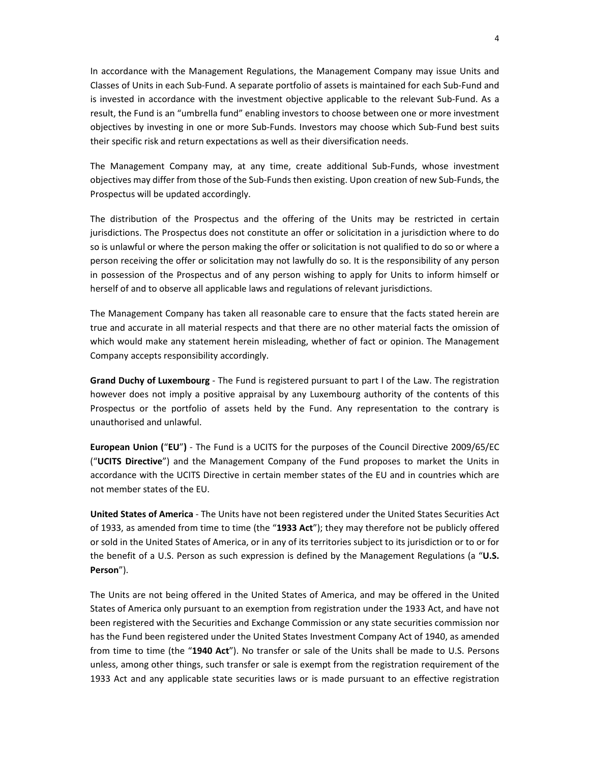In accordance with the Management Regulations, the Management Company may issue Units and Classes of Units in each Sub-Fund. A separate portfolio of assets is maintained for each Sub-Fund and is invested in accordance with the investment objective applicable to the relevant Sub-Fund. As a result, the Fund is an "umbrella fund" enabling investors to choose between one or more investment objectives by investing in one or more Sub-Funds. Investors may choose which Sub-Fund best suits their specific risk and return expectations as well as their diversification needs.

The Management Company may, at any time, create additional Sub-Funds, whose investment objectives may differ from those of the Sub-Funds then existing. Upon creation of new Sub-Funds, the Prospectus will be updated accordingly.

The distribution of the Prospectus and the offering of the Units may be restricted in certain jurisdictions. The Prospectus does not constitute an offer or solicitation in a jurisdiction where to do so is unlawful or where the person making the offer or solicitation is not qualified to do so or where a person receiving the offer or solicitation may not lawfully do so. It is the responsibility of any person in possession of the Prospectus and of any person wishing to apply for Units to inform himself or herself of and to observe all applicable laws and regulations of relevant jurisdictions.

The Management Company has taken all reasonable care to ensure that the facts stated herein are true and accurate in all material respects and that there are no other material facts the omission of which would make any statement herein misleading, whether of fact or opinion. The Management Company accepts responsibility accordingly.

**Grand Duchy of Luxembourg** - The Fund is registered pursuant to part I of the Law. The registration however does not imply a positive appraisal by any Luxembourg authority of the contents of this Prospectus or the portfolio of assets held by the Fund. Any representation to the contrary is unauthorised and unlawful.

**European Union (**"**EU**"**)** - The Fund is a UCITS for the purposes of the Council Directive 2009/65/EC ("**UCITS Directive**") and the Management Company of the Fund proposes to market the Units in accordance with the UCITS Directive in certain member states of the EU and in countries which are not member states of the EU.

**United States of America** - The Units have not been registered under the United States Securities Act of 1933, as amended from time to time (the "**1933 Act**"); they may therefore not be publicly offered or sold in the United States of America, or in any of its territories subject to its jurisdiction or to or for the benefit of a U.S. Person as such expression is defined by the Management Regulations (a "**U.S. Person**").

The Units are not being offered in the United States of America, and may be offered in the United States of America only pursuant to an exemption from registration under the 1933 Act, and have not been registered with the Securities and Exchange Commission or any state securities commission nor has the Fund been registered under the United States Investment Company Act of 1940, as amended from time to time (the "**1940 Act**"). No transfer or sale of the Units shall be made to U.S. Persons unless, among other things, such transfer or sale is exempt from the registration requirement of the 1933 Act and any applicable state securities laws or is made pursuant to an effective registration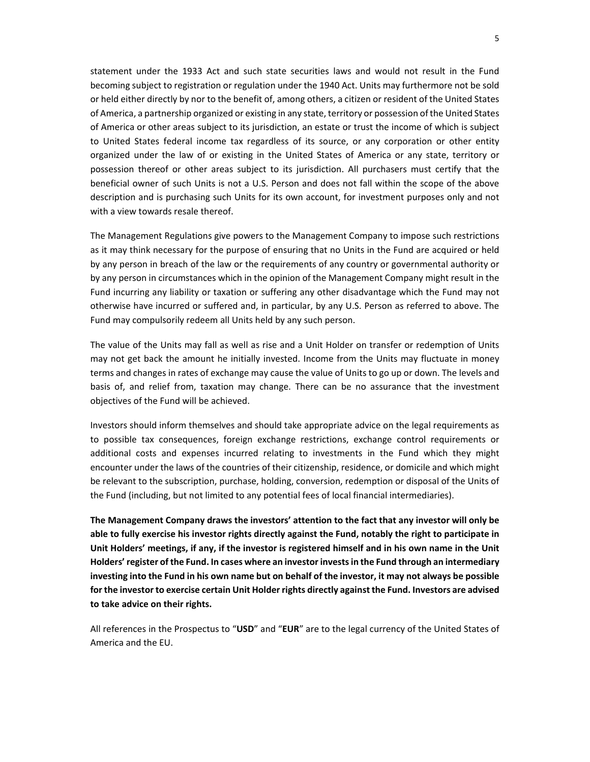statement under the 1933 Act and such state securities laws and would not result in the Fund becoming subject to registration or regulation under the 1940 Act. Units may furthermore not be sold or held either directly by nor to the benefit of, among others, a citizen or resident of the United States of America, a partnership organized or existing in any state, territory or possession of the United States of America or other areas subject to its jurisdiction, an estate or trust the income of which is subject to United States federal income tax regardless of its source, or any corporation or other entity organized under the law of or existing in the United States of America or any state, territory or possession thereof or other areas subject to its jurisdiction. All purchasers must certify that the beneficial owner of such Units is not a U.S. Person and does not fall within the scope of the above description and is purchasing such Units for its own account, for investment purposes only and not with a view towards resale thereof.

The Management Regulations give powers to the Management Company to impose such restrictions as it may think necessary for the purpose of ensuring that no Units in the Fund are acquired or held by any person in breach of the law or the requirements of any country or governmental authority or by any person in circumstances which in the opinion of the Management Company might result in the Fund incurring any liability or taxation or suffering any other disadvantage which the Fund may not otherwise have incurred or suffered and, in particular, by any U.S. Person as referred to above. The Fund may compulsorily redeem all Units held by any such person.

The value of the Units may fall as well as rise and a Unit Holder on transfer or redemption of Units may not get back the amount he initially invested. Income from the Units may fluctuate in money terms and changes in rates of exchange may cause the value of Units to go up or down. The levels and basis of, and relief from, taxation may change. There can be no assurance that the investment objectives of the Fund will be achieved.

Investors should inform themselves and should take appropriate advice on the legal requirements as to possible tax consequences, foreign exchange restrictions, exchange control requirements or additional costs and expenses incurred relating to investments in the Fund which they might encounter under the laws of the countries of their citizenship, residence, or domicile and which might be relevant to the subscription, purchase, holding, conversion, redemption or disposal of the Units of the Fund (including, but not limited to any potential fees of local financial intermediaries).

**The Management Company draws the investors' attention to the fact that any investor will only be able to fully exercise his investor rights directly against the Fund, notably the right to participate in Unit Holders' meetings, if any, if the investor is registered himself and in his own name in the Unit Holders' register of the Fund. In cases where an investor invests in the Fund through an intermediary investing into the Fund in his own name but on behalf of the investor, it may not always be possible for the investor to exercise certain Unit Holder rights directly against the Fund. Investors are advised to take advice on their rights.** 

All references in the Prospectus to "**USD**" and "**EUR**" are to the legal currency of the United States of America and the EU.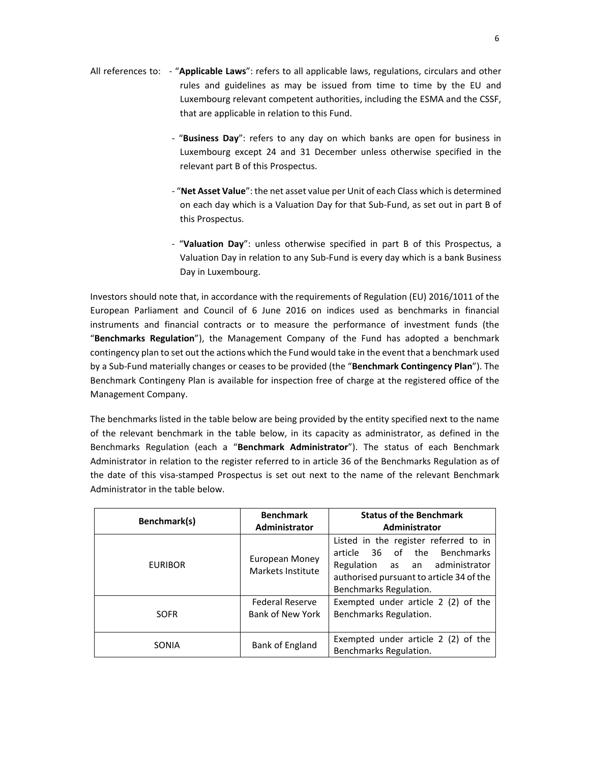- All references to: "**Applicable Laws**": refers to all applicable laws, regulations, circulars and other rules and guidelines as may be issued from time to time by the EU and Luxembourg relevant competent authorities, including the ESMA and the CSSF, that are applicable in relation to this Fund.
	- "**Business Day**": refers to any day on which banks are open for business in Luxembourg except 24 and 31 December unless otherwise specified in the relevant part B of this Prospectus.
	- "**Net Asset Value**": the net asset value per Unit of each Class which is determined on each day which is a Valuation Day for that Sub-Fund, as set out in part B of this Prospectus.
	- "**Valuation Day**": unless otherwise specified in part B of this Prospectus, a Valuation Day in relation to any Sub-Fund is every day which is a bank Business Day in Luxembourg.

Investors should note that, in accordance with the requirements of Regulation (EU) 2016/1011 of the European Parliament and Council of 6 June 2016 on indices used as benchmarks in financial instruments and financial contracts or to measure the performance of investment funds (the "**Benchmarks Regulation**"), the Management Company of the Fund has adopted a benchmark contingency plan to set out the actions which the Fund would take in the event that a benchmark used by a Sub-Fund materially changes or ceases to be provided (the "**Benchmark Contingency Plan**"). The Benchmark Contingeny Plan is available for inspection free of charge at the registered office of the Management Company.

The benchmarks listed in the table below are being provided by the entity specified next to the name of the relevant benchmark in the table below, in its capacity as administrator, as defined in the Benchmarks Regulation (each a "**Benchmark Administrator**"). The status of each Benchmark Administrator in relation to the register referred to in article 36 of the Benchmarks Regulation as of the date of this visa-stamped Prospectus is set out next to the name of the relevant Benchmark Administrator in the table below.

| Benchmark(s)   | <b>Benchmark</b><br>Administrator          | <b>Status of the Benchmark</b><br><b>Administrator</b>                                                                                                                        |
|----------------|--------------------------------------------|-------------------------------------------------------------------------------------------------------------------------------------------------------------------------------|
| <b>EURIBOR</b> | European Money<br>Markets Institute        | Listed in the register referred to in<br>article 36 of the Benchmarks<br>Regulation as an administrator<br>authorised pursuant to article 34 of the<br>Benchmarks Regulation. |
| <b>SOFR</b>    | <b>Federal Reserve</b><br>Bank of New York | Exempted under article 2 (2) of the<br>Benchmarks Regulation.                                                                                                                 |
| SONIA          | Bank of England                            | Exempted under article 2 (2) of the<br>Benchmarks Regulation.                                                                                                                 |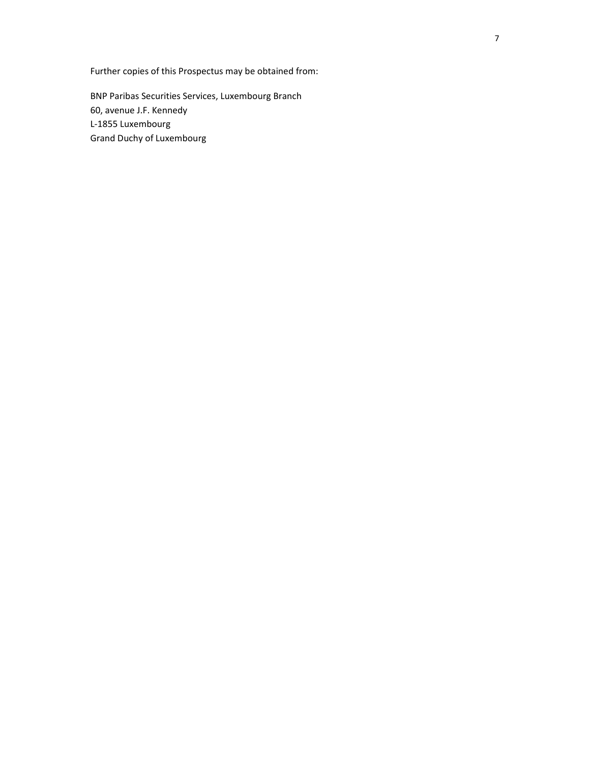Further copies of this Prospectus may be obtained from:

BNP Paribas Securities Services, Luxembourg Branch 60, avenue J.F. Kennedy L-1855 Luxembourg Grand Duchy of Luxembourg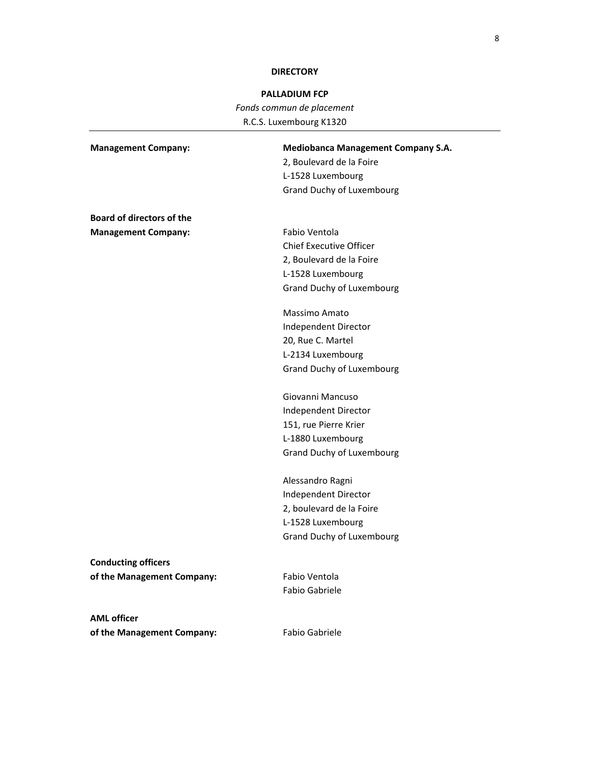## **DIRECTORY**

# **PALLADIUM FCP**

*Fonds commun de placement*  R.C.S. Luxembourg K1320

| <b>Management Company:</b>       | <b>Mediobanca Management Company S.A.</b> |
|----------------------------------|-------------------------------------------|
|                                  | 2, Boulevard de la Foire                  |
|                                  | L-1528 Luxembourg                         |
|                                  | Grand Duchy of Luxembourg                 |
|                                  |                                           |
| <b>Board of directors of the</b> |                                           |
| <b>Management Company:</b>       | Fabio Ventola                             |
|                                  | <b>Chief Executive Officer</b>            |
|                                  | 2, Boulevard de la Foire                  |
|                                  | L-1528 Luxembourg                         |
|                                  | <b>Grand Duchy of Luxembourg</b>          |
|                                  | Massimo Amato                             |
|                                  | Independent Director                      |
|                                  | 20, Rue C. Martel                         |
|                                  | L-2134 Luxembourg                         |
|                                  | <b>Grand Duchy of Luxembourg</b>          |
|                                  | Giovanni Mancuso                          |
|                                  | Independent Director                      |
|                                  | 151, rue Pierre Krier                     |
|                                  | L-1880 Luxembourg                         |
|                                  | <b>Grand Duchy of Luxembourg</b>          |
|                                  | Alessandro Ragni                          |
|                                  | Independent Director                      |
|                                  | 2, boulevard de la Foire                  |
|                                  | L-1528 Luxembourg                         |
|                                  | <b>Grand Duchy of Luxembourg</b>          |
| <b>Conducting officers</b>       |                                           |
| of the Management Company:       | Fabio Ventola                             |
|                                  | Fabio Gabriele                            |
| <b>AML</b> officer               |                                           |
| of the Management Company:       | Fabio Gabriele                            |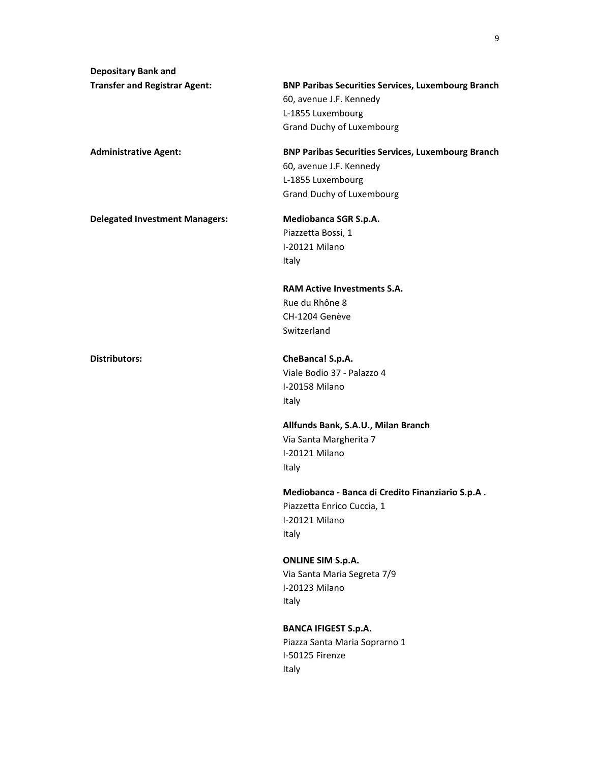**Depositary Bank and Transfer and Registrar Agent: BNP Paribas Securities Services, Luxembourg Branch**  60, avenue J.F. Kennedy L-1855 Luxembourg Grand Duchy of Luxembourg **Administrative Agent: BNP Paribas Securities Services, Luxembourg Branch**  60, avenue J.F. Kennedy L-1855 Luxembourg Grand Duchy of Luxembourg **Delegated Investment Managers: Mediobanca SGR S.p.A.**  Piazzetta Bossi, 1 I-20121 Milano Italy **RAM Active Investments S.A.**  Rue du Rhône 8 CH-1204 Genève Switzerland **Distributors: CheBanca! S.p.A.**  Viale Bodio 37 - Palazzo 4 I-20158 Milano Italy **Allfunds Bank, S.A.U., Milan Branch**  Via Santa Margherita 7 I-20121 Milano Italy **Mediobanca - Banca di Credito Finanziario S.p.A .**  Piazzetta Enrico Cuccia, 1 I-20121 Milano Italy **ONLINE SIM S.p.A.**  Via Santa Maria Segreta 7/9 I-20123 Milano Italy **BANCA IFIGEST S.p.A.**  Piazza Santa Maria Soprarno 1 I-50125 Firenze Italy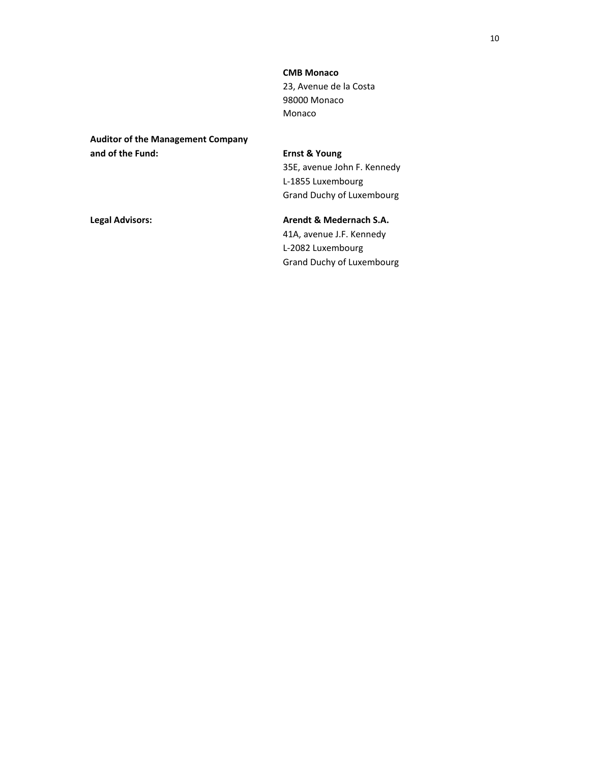**CMB Monaco**  23, Avenue de la Costa 98000 Monaco Monaco

**Auditor of the Management Company and of the Fund: Ernst & Young** 

35E, avenue John F. Kennedy L-1855 Luxembourg Grand Duchy of Luxembourg

Legal Advisors: **Arendt & Medernach S.A. Arendt & Medernach S.A.** 41A, avenue J.F. Kennedy L-2082 Luxembourg Grand Duchy of Luxembourg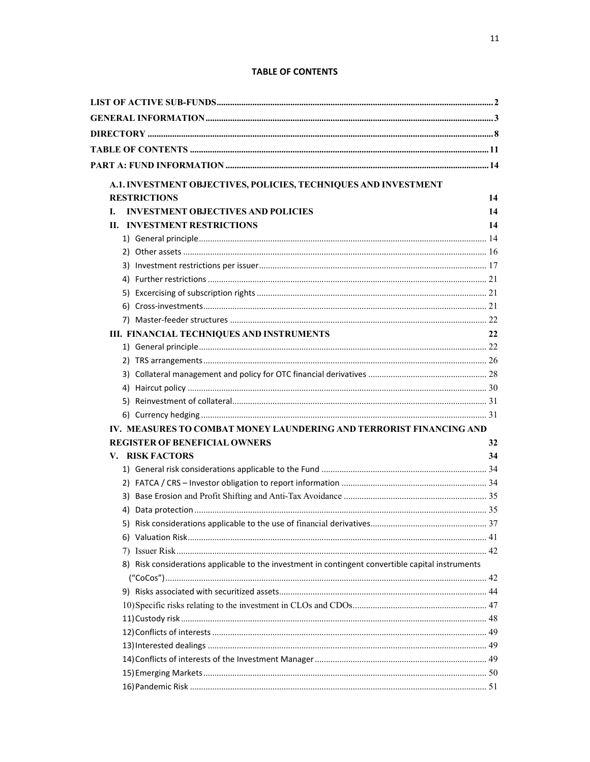## **TABLE OF CONTENTS**

|                                      | A.1. INVESTMENT OBJECTIVES, POLICIES, TECHNIQUES AND INVESTMENT                                   |    |
|--------------------------------------|---------------------------------------------------------------------------------------------------|----|
| <b>RESTRICTIONS</b>                  |                                                                                                   | 14 |
| L.                                   | <b>INVESTMENT OBJECTIVES AND POLICIES</b>                                                         | 14 |
| <b>II. INVESTMENT RESTRICTIONS</b>   |                                                                                                   | 14 |
|                                      |                                                                                                   |    |
|                                      |                                                                                                   |    |
|                                      |                                                                                                   |    |
|                                      |                                                                                                   |    |
|                                      |                                                                                                   |    |
|                                      |                                                                                                   |    |
|                                      |                                                                                                   |    |
|                                      | III. FINANCIAL TECHNIQUES AND INSTRUMENTS                                                         | 22 |
|                                      |                                                                                                   |    |
|                                      |                                                                                                   |    |
|                                      |                                                                                                   |    |
|                                      |                                                                                                   |    |
|                                      |                                                                                                   |    |
|                                      |                                                                                                   |    |
|                                      | IV. MEASURES TO COMBAT MONEY LAUNDERING AND TERRORIST FINANCING AND                               |    |
| <b>REGISTER OF BENEFICIAL OWNERS</b> |                                                                                                   | 32 |
| <b>V. RISK FACTORS</b>               |                                                                                                   | 34 |
|                                      |                                                                                                   |    |
|                                      |                                                                                                   |    |
|                                      |                                                                                                   |    |
|                                      |                                                                                                   |    |
|                                      |                                                                                                   |    |
|                                      |                                                                                                   |    |
|                                      |                                                                                                   |    |
|                                      | 8) Risk considerations applicable to the investment in contingent convertible capital instruments |    |
|                                      |                                                                                                   |    |
|                                      |                                                                                                   |    |
|                                      |                                                                                                   |    |
|                                      |                                                                                                   |    |
|                                      |                                                                                                   |    |
|                                      |                                                                                                   |    |
|                                      |                                                                                                   |    |
|                                      |                                                                                                   |    |
|                                      |                                                                                                   |    |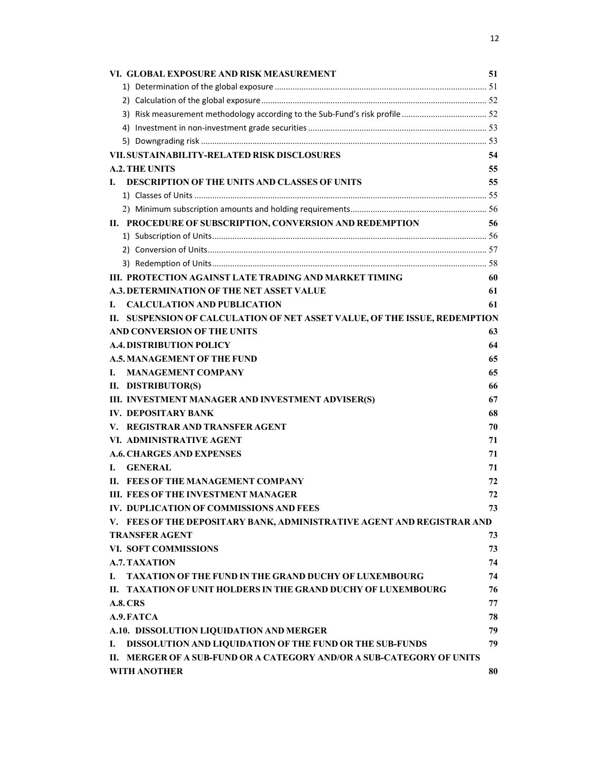| VI. GLOBAL EXPOSURE AND RISK MEASUREMENT                                   | 51 |
|----------------------------------------------------------------------------|----|
|                                                                            |    |
|                                                                            |    |
|                                                                            |    |
|                                                                            |    |
|                                                                            |    |
| VII. SUSTAINABILITY-RELATED RISK DISCLOSURES                               | 54 |
| <b>A.2. THE UNITS</b>                                                      | 55 |
| DESCRIPTION OF THE UNITS AND CLASSES OF UNITS<br>L.                        | 55 |
|                                                                            |    |
|                                                                            |    |
| II. PROCEDURE OF SUBSCRIPTION, CONVERSION AND REDEMPTION                   | 56 |
|                                                                            |    |
|                                                                            |    |
|                                                                            |    |
| III. PROTECTION AGAINST LATE TRADING AND MARKET TIMING                     | 60 |
| <b>A.3. DETERMINATION OF THE NET ASSET VALUE</b>                           | 61 |
| <b>CALCULATION AND PUBLICATION</b><br>L.                                   | 61 |
| II. SUSPENSION OF CALCULATION OF NET ASSET VALUE, OF THE ISSUE, REDEMPTION |    |
| AND CONVERSION OF THE UNITS                                                | 63 |
| <b>A.4. DISTRIBUTION POLICY</b>                                            | 64 |
| <b>A.5. MANAGEMENT OF THE FUND</b>                                         | 65 |
| <b>MANAGEMENT COMPANY</b><br>L.                                            | 65 |
| II. DISTRIBUTOR(S)                                                         | 66 |
| III. INVESTMENT MANAGER AND INVESTMENT ADVISER(S)                          | 67 |
| <b>IV. DEPOSITARY BANK</b>                                                 | 68 |
| V. REGISTRAR AND TRANSFER AGENT                                            | 70 |
| VI. ADMINISTRATIVE AGENT                                                   | 71 |
| <b>A.6. CHARGES AND EXPENSES</b>                                           | 71 |
| <b>GENERAL</b><br>L.                                                       | 71 |
| FEES OF THE MANAGEMENT COMPANY<br>П.                                       | 72 |
| III. FEES OF THE INVESTMENT MANAGER                                        | 72 |
| IV. DUPLICATION OF COMMISSIONS AND FEES                                    | 73 |
| V. FEES OF THE DEPOSITARY BANK, ADMINISTRATIVE AGENT AND REGISTRAR AND     |    |
| <b>TRANSFER AGENT</b>                                                      | 73 |
| VI. SOFT COMMISSIONS                                                       | 73 |
| <b>A.7. TAXATION</b>                                                       | 74 |
| <b>TAXATION OF THE FUND IN THE GRAND DUCHY OF LUXEMBOURG</b><br>L.         | 74 |
| II. TAXATION OF UNIT HOLDERS IN THE GRAND DUCHY OF LUXEMBOURG              | 76 |
| <b>A.8. CRS</b>                                                            | 77 |
| A.9. FATCA                                                                 | 78 |
| A.10. DISSOLUTION LIQUIDATION AND MERGER                                   | 79 |
| DISSOLUTION AND LIQUIDATION OF THE FUND OR THE SUB-FUNDS<br>I.             | 79 |
| MERGER OF A SUB-FUND OR A CATEGORY AND/OR A SUB-CATEGORY OF UNITS<br>П.    |    |
| <b>WITH ANOTHER</b>                                                        | 80 |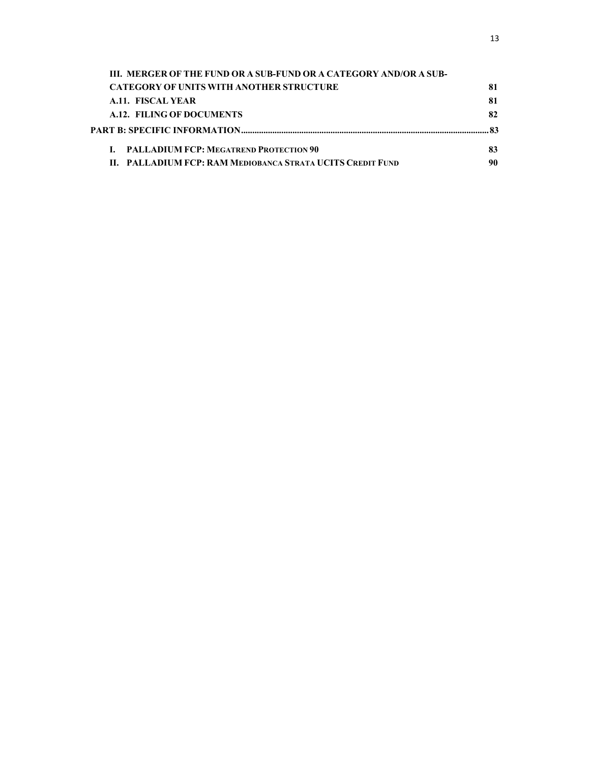| III. MERGER OF THE FUND OR A SUB-FUND OR A CATEGORY AND/OR A SUB- |    |
|-------------------------------------------------------------------|----|
| <b>CATEGORY OF UNITS WITH ANOTHER STRUCTURE</b>                   | 81 |
| A.11. FISCAL YEAR                                                 | 81 |
| A.12. FILING OF DOCUMENTS                                         | 82 |
|                                                                   |    |
| <b>I. PALLADIUM FCP: MEGATREND PROTECTION 90</b>                  | 83 |
| II. PALLADIUM FCP: RAM MEDIOBANCA STRATA UCITS CREDIT FUND        | 90 |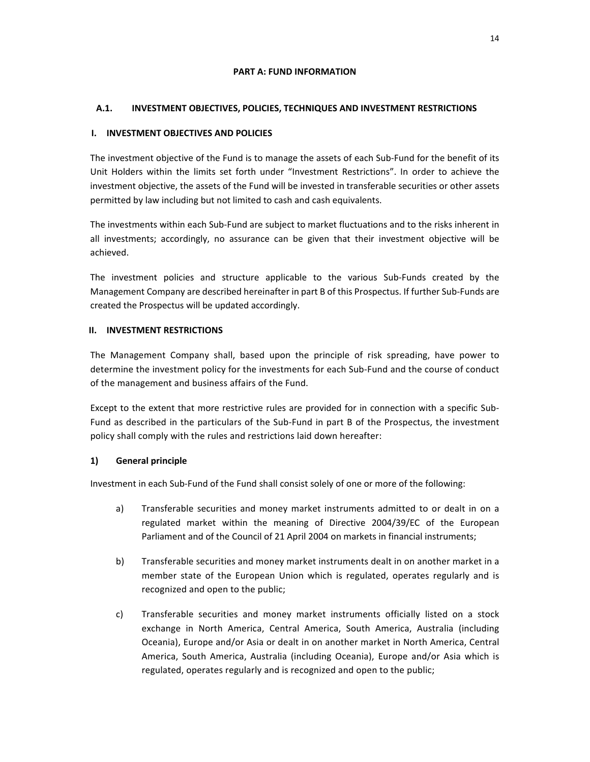## **PART A: FUND INFORMATION**

# **A.1. INVESTMENT OBJECTIVES, POLICIES, TECHNIQUES AND INVESTMENT RESTRICTIONS**

## **I. INVESTMENT OBJECTIVES AND POLICIES**

The investment objective of the Fund is to manage the assets of each Sub-Fund for the benefit of its Unit Holders within the limits set forth under "Investment Restrictions". In order to achieve the investment objective, the assets of the Fund will be invested in transferable securities or other assets permitted by law including but not limited to cash and cash equivalents.

The investments within each Sub-Fund are subject to market fluctuations and to the risks inherent in all investments; accordingly, no assurance can be given that their investment objective will be achieved.

The investment policies and structure applicable to the various Sub-Funds created by the Management Company are described hereinafter in part B of this Prospectus. If further Sub-Funds are created the Prospectus will be updated accordingly.

## **II. INVESTMENT RESTRICTIONS**

The Management Company shall, based upon the principle of risk spreading, have power to determine the investment policy for the investments for each Sub-Fund and the course of conduct of the management and business affairs of the Fund.

Except to the extent that more restrictive rules are provided for in connection with a specific Sub-Fund as described in the particulars of the Sub-Fund in part B of the Prospectus, the investment policy shall comply with the rules and restrictions laid down hereafter:

# **1) General principle**

Investment in each Sub-Fund of the Fund shall consist solely of one or more of the following:

- a) Transferable securities and money market instruments admitted to or dealt in on a regulated market within the meaning of Directive 2004/39/EC of the European Parliament and of the Council of 21 April 2004 on markets in financial instruments;
- b) Transferable securities and money market instruments dealt in on another market in a member state of the European Union which is regulated, operates regularly and is recognized and open to the public;
- c) Transferable securities and money market instruments officially listed on a stock exchange in North America, Central America, South America, Australia (including Oceania), Europe and/or Asia or dealt in on another market in North America, Central America, South America, Australia (including Oceania), Europe and/or Asia which is regulated, operates regularly and is recognized and open to the public;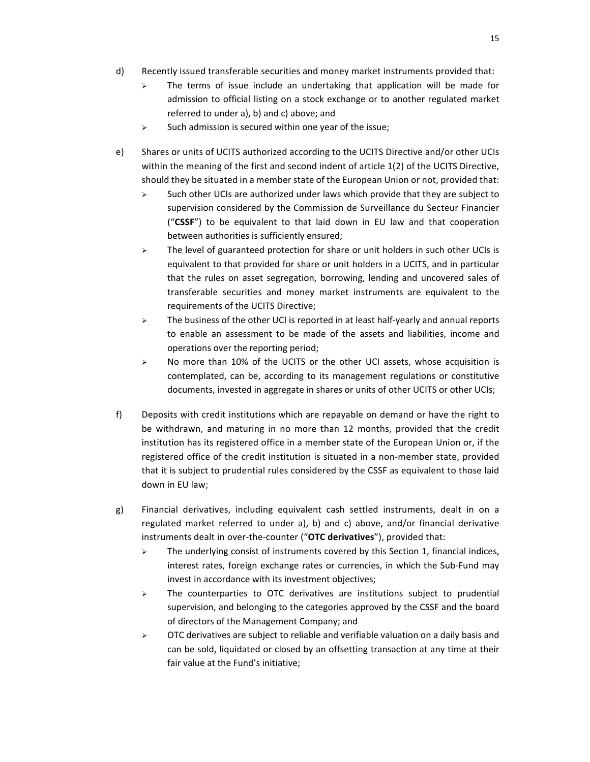- d) Recently issued transferable securities and money market instruments provided that:
	- $\triangleright$  The terms of issue include an undertaking that application will be made for admission to official listing on a stock exchange or to another regulated market referred to under a), b) and c) above; and
	- $\triangleright$  Such admission is secured within one year of the issue;
- e) Shares or units of UCITS authorized according to the UCITS Directive and/or other UCIs within the meaning of the first and second indent of article 1(2) of the UCITS Directive, should they be situated in a member state of the European Union or not, provided that:
	- $\triangleright$  Such other UCIs are authorized under laws which provide that they are subject to supervision considered by the Commission de Surveillance du Secteur Financier ("**CSSF**") to be equivalent to that laid down in EU law and that cooperation between authorities is sufficiently ensured;
	- $\triangleright$  The level of guaranteed protection for share or unit holders in such other UCIs is equivalent to that provided for share or unit holders in a UCITS, and in particular that the rules on asset segregation, borrowing, lending and uncovered sales of transferable securities and money market instruments are equivalent to the requirements of the UCITS Directive;
	- $\triangleright$  The business of the other UCI is reported in at least half-yearly and annual reports to enable an assessment to be made of the assets and liabilities, income and operations over the reporting period;
	- $\triangleright$  No more than 10% of the UCITS or the other UCI assets, whose acquisition is contemplated, can be, according to its management regulations or constitutive documents, invested in aggregate in shares or units of other UCITS or other UCIs;
- f) Deposits with credit institutions which are repayable on demand or have the right to be withdrawn, and maturing in no more than 12 months, provided that the credit institution has its registered office in a member state of the European Union or, if the registered office of the credit institution is situated in a non-member state, provided that it is subject to prudential rules considered by the CSSF as equivalent to those laid down in EU law;
- g) Financial derivatives, including equivalent cash settled instruments, dealt in on a regulated market referred to under a), b) and c) above, and/or financial derivative instruments dealt in over-the-counter ("**OTC derivatives**"), provided that:
	- $\triangleright$  The underlying consist of instruments covered by this Section 1, financial indices, interest rates, foreign exchange rates or currencies, in which the Sub-Fund may invest in accordance with its investment objectives;
	- $\triangleright$  The counterparties to OTC derivatives are institutions subject to prudential supervision, and belonging to the categories approved by the CSSF and the board of directors of the Management Company; and
	- $\triangleright$  OTC derivatives are subject to reliable and verifiable valuation on a daily basis and can be sold, liquidated or closed by an offsetting transaction at any time at their fair value at the Fund's initiative;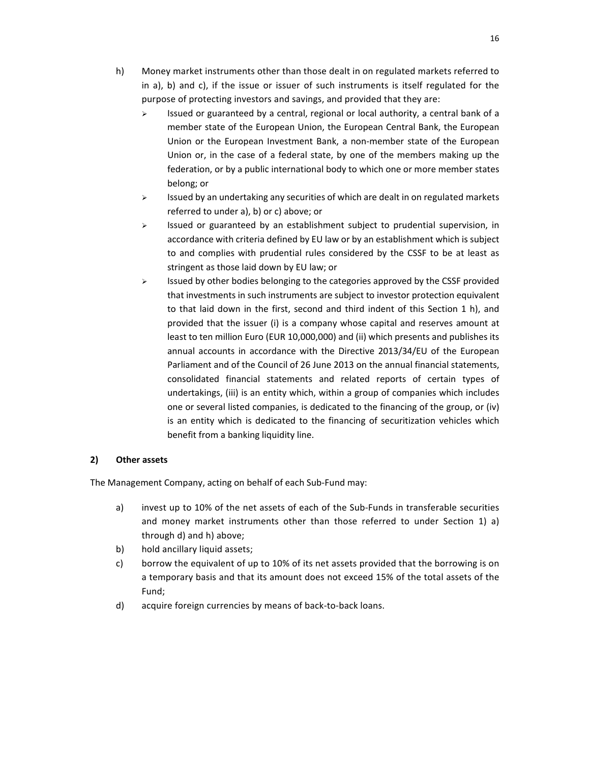- h) Money market instruments other than those dealt in on regulated markets referred to in a), b) and c), if the issue or issuer of such instruments is itself regulated for the purpose of protecting investors and savings, and provided that they are:
	- $\triangleright$  Issued or guaranteed by a central, regional or local authority, a central bank of a member state of the European Union, the European Central Bank, the European Union or the European Investment Bank, a non-member state of the European Union or, in the case of a federal state, by one of the members making up the federation, or by a public international body to which one or more member states belong; or
	- $\triangleright$  Issued by an undertaking any securities of which are dealt in on regulated markets referred to under a), b) or c) above; or
	- $\triangleright$  Issued or guaranteed by an establishment subject to prudential supervision, in accordance with criteria defined by EU law or by an establishment which is subject to and complies with prudential rules considered by the CSSF to be at least as stringent as those laid down by EU law; or
	- $\triangleright$  Issued by other bodies belonging to the categories approved by the CSSF provided that investments in such instruments are subject to investor protection equivalent to that laid down in the first, second and third indent of this Section 1 h), and provided that the issuer (i) is a company whose capital and reserves amount at least to ten million Euro (EUR 10,000,000) and (ii) which presents and publishes its annual accounts in accordance with the Directive 2013/34/EU of the European Parliament and of the Council of 26 June 2013 on the annual financial statements, consolidated financial statements and related reports of certain types of undertakings, (iii) is an entity which, within a group of companies which includes one or several listed companies, is dedicated to the financing of the group, or (iv) is an entity which is dedicated to the financing of securitization vehicles which benefit from a banking liquidity line.

# **2) Other assets**

The Management Company, acting on behalf of each Sub-Fund may:

- a) invest up to 10% of the net assets of each of the Sub-Funds in transferable securities and money market instruments other than those referred to under Section 1) a) through d) and h) above;
- b) hold ancillary liquid assets;
- c) borrow the equivalent of up to 10% of its net assets provided that the borrowing is on a temporary basis and that its amount does not exceed 15% of the total assets of the Fund;
- d) acquire foreign currencies by means of back-to-back loans.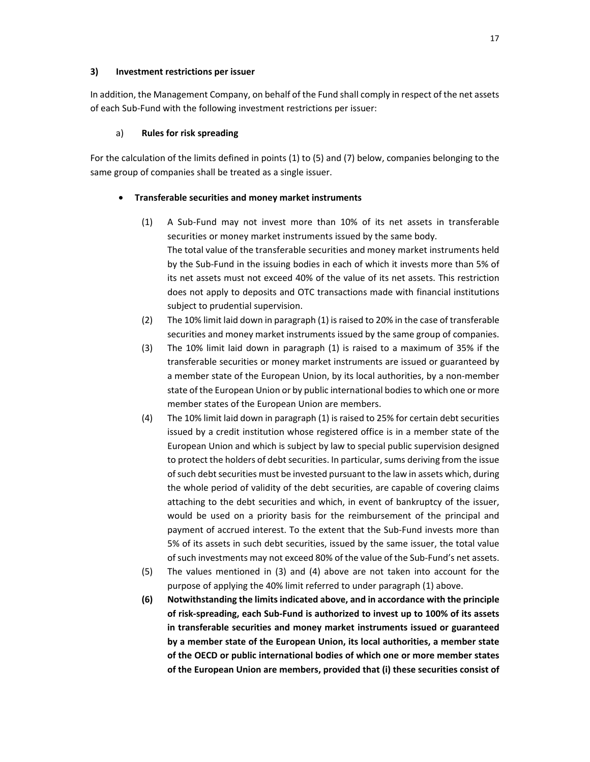#### **3) Investment restrictions per issuer**

In addition, the Management Company, on behalf of the Fund shall comply in respect of the net assets of each Sub-Fund with the following investment restrictions per issuer:

## a) **Rules for risk spreading**

For the calculation of the limits defined in points (1) to (5) and (7) below, companies belonging to the same group of companies shall be treated as a single issuer.

#### • **Transferable securities and money market instruments**

- (1) A Sub-Fund may not invest more than 10% of its net assets in transferable securities or money market instruments issued by the same body. The total value of the transferable securities and money market instruments held by the Sub-Fund in the issuing bodies in each of which it invests more than 5% of its net assets must not exceed 40% of the value of its net assets. This restriction does not apply to deposits and OTC transactions made with financial institutions subject to prudential supervision.
- (2) The 10% limit laid down in paragraph (1) is raised to 20% in the case of transferable securities and money market instruments issued by the same group of companies.
- (3) The 10% limit laid down in paragraph (1) is raised to a maximum of 35% if the transferable securities or money market instruments are issued or guaranteed by a member state of the European Union, by its local authorities, by a non-member state of the European Union or by public international bodies to which one or more member states of the European Union are members.
- (4) The 10% limit laid down in paragraph (1) is raised to 25% for certain debt securities issued by a credit institution whose registered office is in a member state of the European Union and which is subject by law to special public supervision designed to protect the holders of debt securities. In particular, sums deriving from the issue of such debt securities must be invested pursuant to the law in assets which, during the whole period of validity of the debt securities, are capable of covering claims attaching to the debt securities and which, in event of bankruptcy of the issuer, would be used on a priority basis for the reimbursement of the principal and payment of accrued interest. To the extent that the Sub-Fund invests more than 5% of its assets in such debt securities, issued by the same issuer, the total value of such investments may not exceed 80% of the value of the Sub-Fund's net assets.
- (5) The values mentioned in (3) and (4) above are not taken into account for the purpose of applying the 40% limit referred to under paragraph (1) above.
- **(6) Notwithstanding the limits indicated above, and in accordance with the principle of risk-spreading, each Sub-Fund is authorized to invest up to 100% of its assets in transferable securities and money market instruments issued or guaranteed by a member state of the European Union, its local authorities, a member state of the OECD or public international bodies of which one or more member states of the European Union are members, provided that (i) these securities consist of**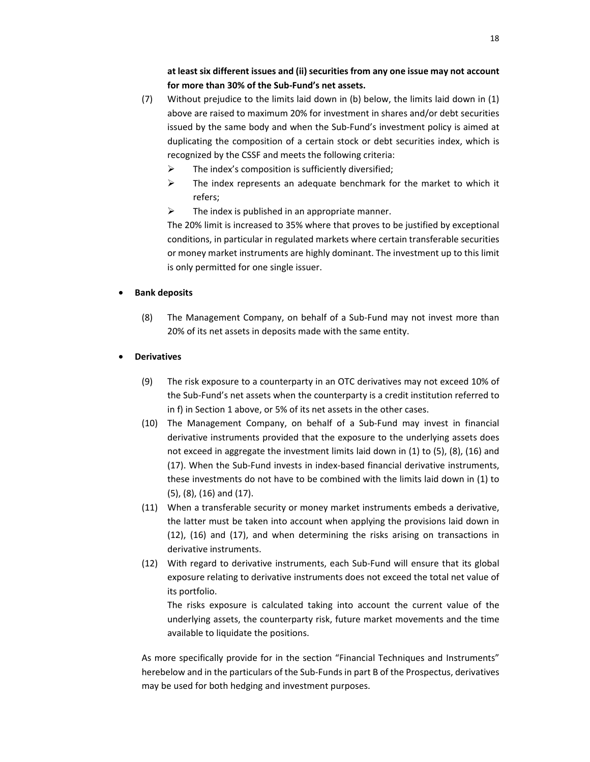**at least six different issues and (ii) securities from any one issue may not account for more than 30% of the Sub-Fund's net assets.** 

- (7) Without prejudice to the limits laid down in (b) below, the limits laid down in (1) above are raised to maximum 20% for investment in shares and/or debt securities issued by the same body and when the Sub-Fund's investment policy is aimed at duplicating the composition of a certain stock or debt securities index, which is recognized by the CSSF and meets the following criteria:
	- $\triangleright$  The index's composition is sufficiently diversified;
	- $\triangleright$  The index represents an adequate benchmark for the market to which it refers;
	- $\triangleright$  The index is published in an appropriate manner.

The 20% limit is increased to 35% where that proves to be justified by exceptional conditions, in particular in regulated markets where certain transferable securities or money market instruments are highly dominant. The investment up to this limit is only permitted for one single issuer.

#### • **Bank deposits**

- (8) The Management Company, on behalf of a Sub-Fund may not invest more than 20% of its net assets in deposits made with the same entity.
- **Derivatives**
	- (9) The risk exposure to a counterparty in an OTC derivatives may not exceed 10% of the Sub-Fund's net assets when the counterparty is a credit institution referred to in f) in Section 1 above, or 5% of its net assets in the other cases.
	- (10) The Management Company, on behalf of a Sub-Fund may invest in financial derivative instruments provided that the exposure to the underlying assets does not exceed in aggregate the investment limits laid down in (1) to (5), (8), (16) and (17). When the Sub-Fund invests in index-based financial derivative instruments, these investments do not have to be combined with the limits laid down in (1) to (5), (8), (16) and (17).
	- (11) When a transferable security or money market instruments embeds a derivative, the latter must be taken into account when applying the provisions laid down in (12), (16) and (17), and when determining the risks arising on transactions in derivative instruments.
	- (12) With regard to derivative instruments, each Sub-Fund will ensure that its global exposure relating to derivative instruments does not exceed the total net value of its portfolio.

The risks exposure is calculated taking into account the current value of the underlying assets, the counterparty risk, future market movements and the time available to liquidate the positions.

As more specifically provide for in the section "Financial Techniques and Instruments" herebelow and in the particulars of the Sub-Funds in part B of the Prospectus, derivatives may be used for both hedging and investment purposes.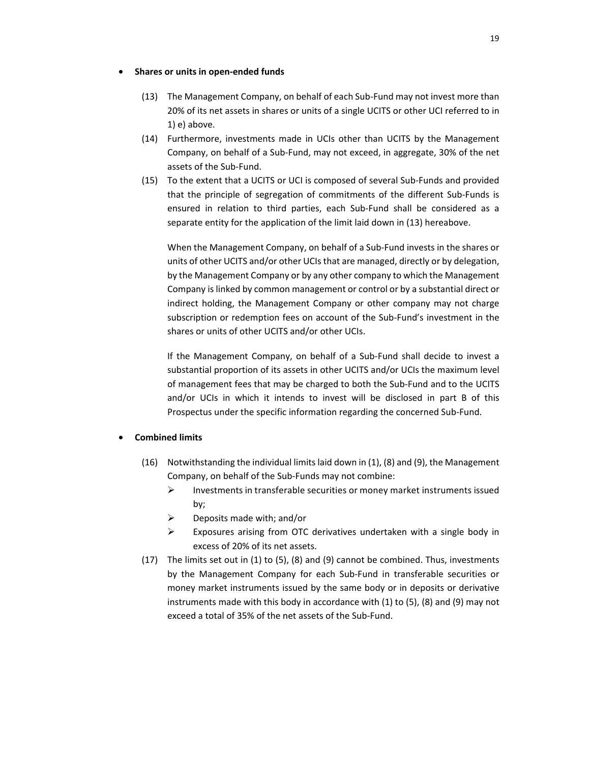#### • **Shares or units in open-ended funds**

- (13) The Management Company, on behalf of each Sub-Fund may not invest more than 20% of its net assets in shares or units of a single UCITS or other UCI referred to in 1) e) above.
- (14) Furthermore, investments made in UCIs other than UCITS by the Management Company, on behalf of a Sub-Fund, may not exceed, in aggregate, 30% of the net assets of the Sub-Fund.
- (15) To the extent that a UCITS or UCI is composed of several Sub-Funds and provided that the principle of segregation of commitments of the different Sub-Funds is ensured in relation to third parties, each Sub-Fund shall be considered as a separate entity for the application of the limit laid down in (13) hereabove.

When the Management Company, on behalf of a Sub-Fund invests in the shares or units of other UCITS and/or other UCIs that are managed, directly or by delegation, by the Management Company or by any other company to which the Management Company is linked by common management or control or by a substantial direct or indirect holding, the Management Company or other company may not charge subscription or redemption fees on account of the Sub-Fund's investment in the shares or units of other UCITS and/or other UCIs.

If the Management Company, on behalf of a Sub-Fund shall decide to invest a substantial proportion of its assets in other UCITS and/or UCIs the maximum level of management fees that may be charged to both the Sub-Fund and to the UCITS and/or UCIs in which it intends to invest will be disclosed in part B of this Prospectus under the specific information regarding the concerned Sub-Fund.

#### • **Combined limits**

- (16) Notwithstanding the individual limits laid down in (1), (8) and (9), the Management Company, on behalf of the Sub-Funds may not combine:
	- $\triangleright$  Investments in transferable securities or money market instruments issued by;
	- $\triangleright$  Deposits made with; and/or
	- $\triangleright$  Exposures arising from OTC derivatives undertaken with a single body in excess of 20% of its net assets.
- (17) The limits set out in (1) to (5), (8) and (9) cannot be combined. Thus, investments by the Management Company for each Sub-Fund in transferable securities or money market instruments issued by the same body or in deposits or derivative instruments made with this body in accordance with (1) to (5), (8) and (9) may not exceed a total of 35% of the net assets of the Sub-Fund.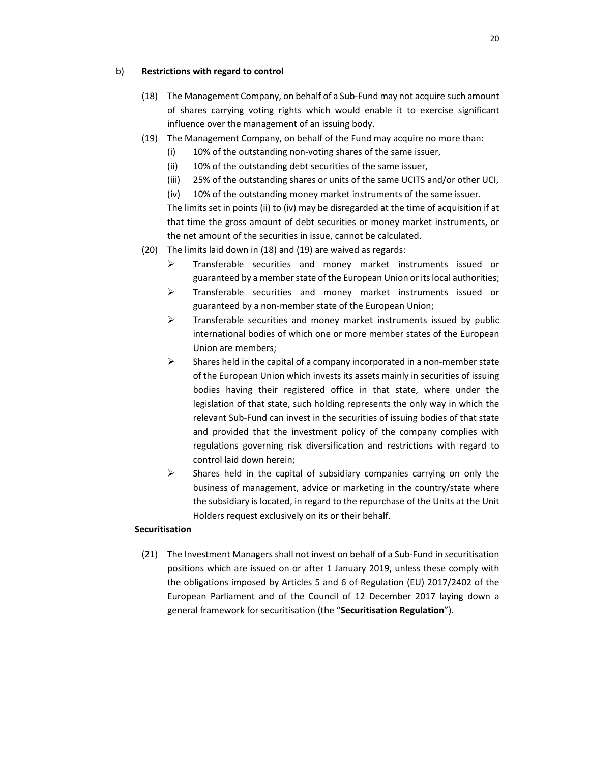### b) **Restrictions with regard to control**

- (18) The Management Company, on behalf of a Sub-Fund may not acquire such amount of shares carrying voting rights which would enable it to exercise significant influence over the management of an issuing body.
- (19) The Management Company, on behalf of the Fund may acquire no more than:
	- (i) 10% of the outstanding non-voting shares of the same issuer,
	- (ii) 10% of the outstanding debt securities of the same issuer,
	- (iii) 25% of the outstanding shares or units of the same UCITS and/or other UCI,
	- (iv) 10% of the outstanding money market instruments of the same issuer.

The limits set in points (ii) to (iv) may be disregarded at the time of acquisition if at that time the gross amount of debt securities or money market instruments, or the net amount of the securities in issue, cannot be calculated.

- (20) The limits laid down in (18) and (19) are waived as regards:
	- $\triangleright$  Transferable securities and money market instruments issued or guaranteed by a member state of the European Union or its local authorities;
	- $\triangleright$  Transferable securities and money market instruments issued or guaranteed by a non-member state of the European Union;
	- $\triangleright$  Transferable securities and money market instruments issued by public international bodies of which one or more member states of the European Union are members;
	- $\triangleright$  Shares held in the capital of a company incorporated in a non-member state of the European Union which invests its assets mainly in securities of issuing bodies having their registered office in that state, where under the legislation of that state, such holding represents the only way in which the relevant Sub-Fund can invest in the securities of issuing bodies of that state and provided that the investment policy of the company complies with regulations governing risk diversification and restrictions with regard to control laid down herein;
	- $\triangleright$  Shares held in the capital of subsidiary companies carrying on only the business of management, advice or marketing in the country/state where the subsidiary is located, in regard to the repurchase of the Units at the Unit Holders request exclusively on its or their behalf.

## **Securitisation**

(21) The Investment Managers shall not invest on behalf of a Sub-Fund in securitisation positions which are issued on or after 1 January 2019, unless these comply with the obligations imposed by Articles 5 and 6 of Regulation (EU) 2017/2402 of the European Parliament and of the Council of 12 December 2017 laying down a general framework for securitisation (the "**Securitisation Regulation**").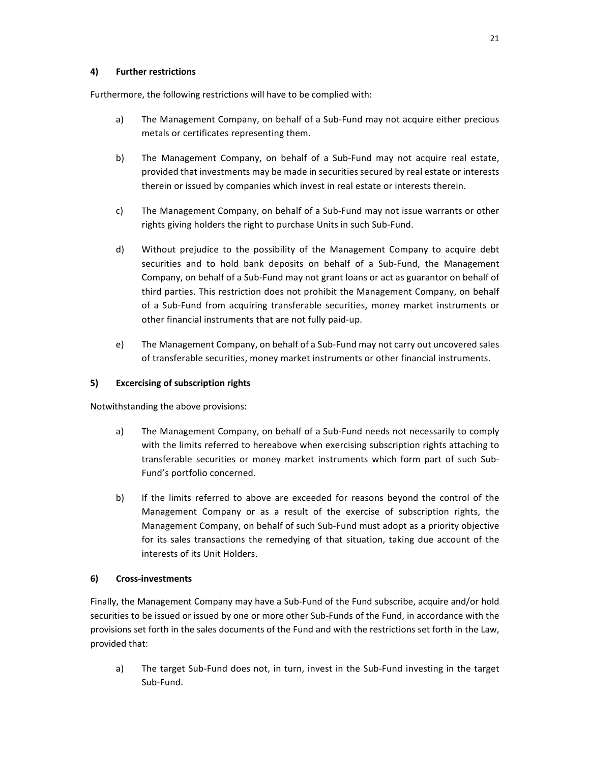## **4) Further restrictions**

Furthermore, the following restrictions will have to be complied with:

- a) The Management Company, on behalf of a Sub-Fund may not acquire either precious metals or certificates representing them.
- b) The Management Company, on behalf of a Sub-Fund may not acquire real estate, provided that investments may be made in securities secured by real estate or interests therein or issued by companies which invest in real estate or interests therein.
- c) The Management Company, on behalf of a Sub-Fund may not issue warrants or other rights giving holders the right to purchase Units in such Sub-Fund.
- d) Without prejudice to the possibility of the Management Company to acquire debt securities and to hold bank deposits on behalf of a Sub-Fund, the Management Company, on behalf of a Sub-Fund may not grant loans or act as guarantor on behalf of third parties. This restriction does not prohibit the Management Company, on behalf of a Sub-Fund from acquiring transferable securities, money market instruments or other financial instruments that are not fully paid-up.
- e) The Management Company, on behalf of a Sub-Fund may not carry out uncovered sales of transferable securities, money market instruments or other financial instruments.

## **5) Excercising of subscription rights**

Notwithstanding the above provisions:

- a) The Management Company, on behalf of a Sub-Fund needs not necessarily to comply with the limits referred to hereabove when exercising subscription rights attaching to transferable securities or money market instruments which form part of such Sub-Fund's portfolio concerned.
- b) If the limits referred to above are exceeded for reasons beyond the control of the Management Company or as a result of the exercise of subscription rights, the Management Company, on behalf of such Sub-Fund must adopt as a priority objective for its sales transactions the remedying of that situation, taking due account of the interests of its Unit Holders.

# **6) Cross-investments**

Finally, the Management Company may have a Sub-Fund of the Fund subscribe, acquire and/or hold securities to be issued or issued by one or more other Sub-Funds of the Fund, in accordance with the provisions set forth in the sales documents of the Fund and with the restrictions set forth in the Law, provided that:

a) The target Sub-Fund does not, in turn, invest in the Sub-Fund investing in the target Sub-Fund.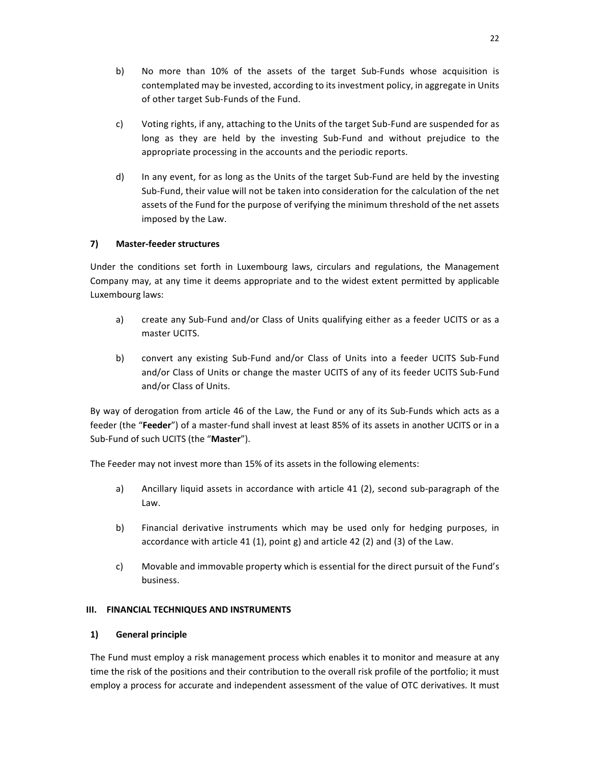- b) No more than 10% of the assets of the target Sub-Funds whose acquisition is contemplated may be invested, according to its investment policy, in aggregate in Units of other target Sub-Funds of the Fund.
- c) Voting rights, if any, attaching to the Units of the target Sub-Fund are suspended for as long as they are held by the investing Sub-Fund and without prejudice to the appropriate processing in the accounts and the periodic reports.
- d) In any event, for as long as the Units of the target Sub-Fund are held by the investing Sub-Fund, their value will not be taken into consideration for the calculation of the net assets of the Fund for the purpose of verifying the minimum threshold of the net assets imposed by the Law.

# **7) Master-feeder structures**

Under the conditions set forth in Luxembourg laws, circulars and regulations, the Management Company may, at any time it deems appropriate and to the widest extent permitted by applicable Luxembourg laws:

- a) create any Sub-Fund and/or Class of Units qualifying either as a feeder UCITS or as a master UCITS.
- b) convert any existing Sub-Fund and/or Class of Units into a feeder UCITS Sub-Fund and/or Class of Units or change the master UCITS of any of its feeder UCITS Sub-Fund and/or Class of Units.

By way of derogation from article 46 of the Law, the Fund or any of its Sub-Funds which acts as a feeder (the "**Feeder**") of a master-fund shall invest at least 85% of its assets in another UCITS or in a Sub-Fund of such UCITS (the "**Master**").

The Feeder may not invest more than 15% of its assets in the following elements:

- a) Ancillary liquid assets in accordance with article 41 (2), second sub-paragraph of the Law.
- b) Financial derivative instruments which may be used only for hedging purposes, in accordance with article 41 (1), point g) and article 42 (2) and (3) of the Law.
- c) Movable and immovable property which is essential for the direct pursuit of the Fund's business.

## **III. FINANCIAL TECHNIQUES AND INSTRUMENTS**

## **1) General principle**

The Fund must employ a risk management process which enables it to monitor and measure at any time the risk of the positions and their contribution to the overall risk profile of the portfolio; it must employ a process for accurate and independent assessment of the value of OTC derivatives. It must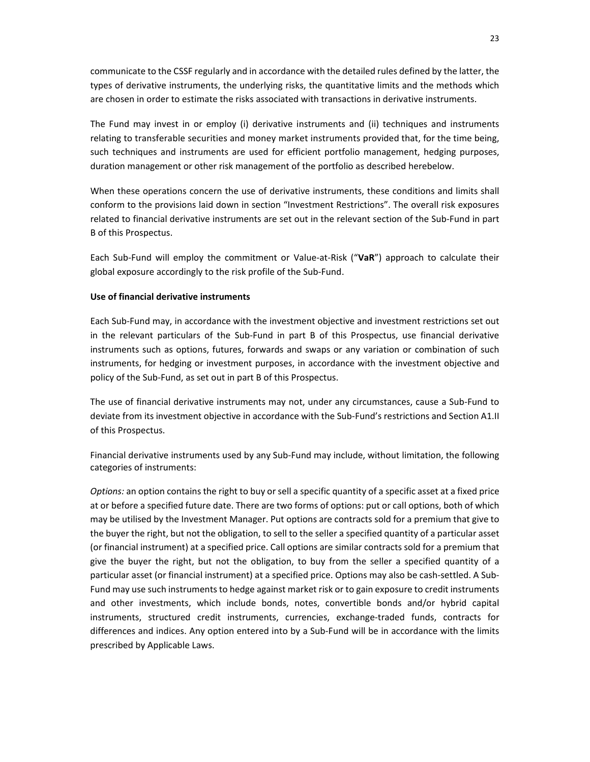communicate to the CSSF regularly and in accordance with the detailed rules defined by the latter, the types of derivative instruments, the underlying risks, the quantitative limits and the methods which are chosen in order to estimate the risks associated with transactions in derivative instruments.

The Fund may invest in or employ (i) derivative instruments and (ii) techniques and instruments relating to transferable securities and money market instruments provided that, for the time being, such techniques and instruments are used for efficient portfolio management, hedging purposes, duration management or other risk management of the portfolio as described herebelow.

When these operations concern the use of derivative instruments, these conditions and limits shall conform to the provisions laid down in section "Investment Restrictions". The overall risk exposures related to financial derivative instruments are set out in the relevant section of the Sub-Fund in part B of this Prospectus.

Each Sub-Fund will employ the commitment or Value-at-Risk ("**VaR**") approach to calculate their global exposure accordingly to the risk profile of the Sub-Fund.

### **Use of financial derivative instruments**

Each Sub-Fund may, in accordance with the investment objective and investment restrictions set out in the relevant particulars of the Sub-Fund in part B of this Prospectus, use financial derivative instruments such as options, futures, forwards and swaps or any variation or combination of such instruments, for hedging or investment purposes, in accordance with the investment objective and policy of the Sub-Fund, as set out in part B of this Prospectus.

The use of financial derivative instruments may not, under any circumstances, cause a Sub-Fund to deviate from its investment objective in accordance with the Sub-Fund's restrictions and Section A1.II of this Prospectus.

Financial derivative instruments used by any Sub-Fund may include, without limitation, the following categories of instruments:

*Options:* an option contains the right to buy or sell a specific quantity of a specific asset at a fixed price at or before a specified future date. There are two forms of options: put or call options, both of which may be utilised by the Investment Manager. Put options are contracts sold for a premium that give to the buyer the right, but not the obligation, to sell to the seller a specified quantity of a particular asset (or financial instrument) at a specified price. Call options are similar contracts sold for a premium that give the buyer the right, but not the obligation, to buy from the seller a specified quantity of a particular asset (or financial instrument) at a specified price. Options may also be cash-settled. A Sub-Fund may use such instruments to hedge against market risk or to gain exposure to credit instruments and other investments, which include bonds, notes, convertible bonds and/or hybrid capital instruments, structured credit instruments, currencies, exchange-traded funds, contracts for differences and indices. Any option entered into by a Sub-Fund will be in accordance with the limits prescribed by Applicable Laws.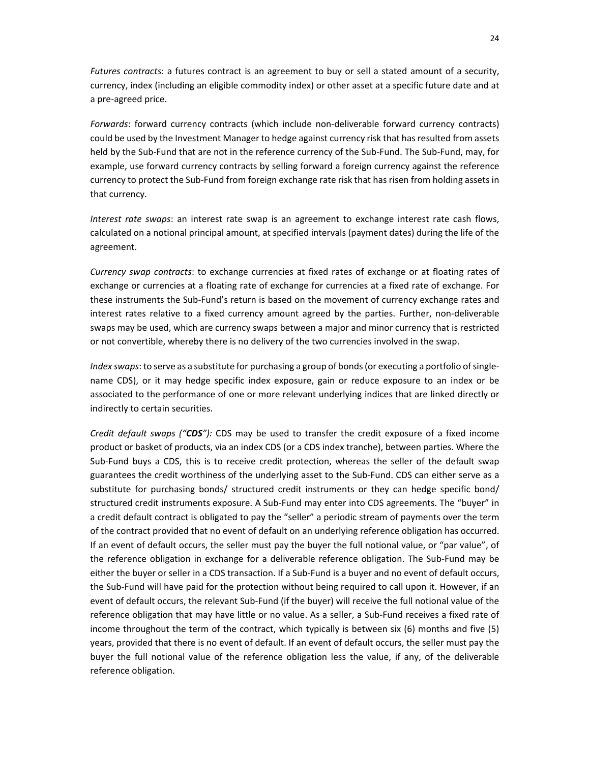*Futures contracts*: a futures contract is an agreement to buy or sell a stated amount of a security, currency, index (including an eligible commodity index) or other asset at a specific future date and at a pre-agreed price.

*Forwards*: forward currency contracts (which include non-deliverable forward currency contracts) could be used by the Investment Manager to hedge against currency risk that has resulted from assets held by the Sub-Fund that are not in the reference currency of the Sub-Fund. The Sub-Fund, may, for example, use forward currency contracts by selling forward a foreign currency against the reference currency to protect the Sub-Fund from foreign exchange rate risk that has risen from holding assets in that currency.

*Interest rate swaps*: an interest rate swap is an agreement to exchange interest rate cash flows, calculated on a notional principal amount, at specified intervals (payment dates) during the life of the agreement.

*Currency swap contracts*: to exchange currencies at fixed rates of exchange or at floating rates of exchange or currencies at a floating rate of exchange for currencies at a fixed rate of exchange. For these instruments the Sub-Fund's return is based on the movement of currency exchange rates and interest rates relative to a fixed currency amount agreed by the parties. Further, non-deliverable swaps may be used, which are currency swaps between a major and minor currency that is restricted or not convertible, whereby there is no delivery of the two currencies involved in the swap.

*Index swaps*: to serve as a substitute for purchasing a group of bonds (or executing a portfolio of singlename CDS), or it may hedge specific index exposure, gain or reduce exposure to an index or be associated to the performance of one or more relevant underlying indices that are linked directly or indirectly to certain securities.

*Credit default swaps ("CDS"):* CDS may be used to transfer the credit exposure of a fixed income product or basket of products, via an index CDS (or a CDS index tranche), between parties. Where the Sub-Fund buys a CDS, this is to receive credit protection, whereas the seller of the default swap guarantees the credit worthiness of the underlying asset to the Sub-Fund. CDS can either serve as a substitute for purchasing bonds/ structured credit instruments or they can hedge specific bond/ structured credit instruments exposure. A Sub-Fund may enter into CDS agreements. The "buyer" in a credit default contract is obligated to pay the "seller" a periodic stream of payments over the term of the contract provided that no event of default on an underlying reference obligation has occurred. If an event of default occurs, the seller must pay the buyer the full notional value, or "par value", of the reference obligation in exchange for a deliverable reference obligation. The Sub-Fund may be either the buyer or seller in a CDS transaction. If a Sub-Fund is a buyer and no event of default occurs, the Sub-Fund will have paid for the protection without being required to call upon it. However, if an event of default occurs, the relevant Sub-Fund (if the buyer) will receive the full notional value of the reference obligation that may have little or no value. As a seller, a Sub-Fund receives a fixed rate of income throughout the term of the contract, which typically is between six (6) months and five (5) years, provided that there is no event of default. If an event of default occurs, the seller must pay the buyer the full notional value of the reference obligation less the value, if any, of the deliverable reference obligation.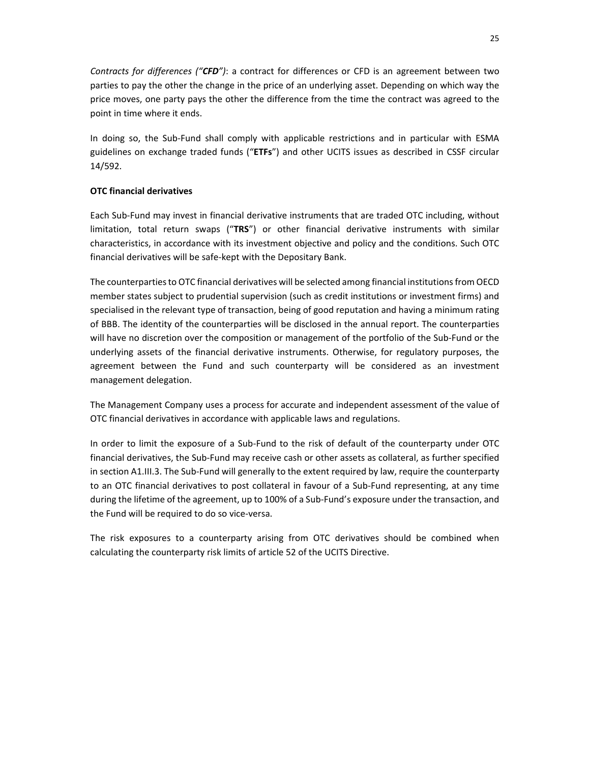*Contracts for differences ("CFD")*: a contract for differences or CFD is an agreement between two parties to pay the other the change in the price of an underlying asset. Depending on which way the price moves, one party pays the other the difference from the time the contract was agreed to the point in time where it ends.

In doing so, the Sub-Fund shall comply with applicable restrictions and in particular with ESMA guidelines on exchange traded funds ("**ETFs**") and other UCITS issues as described in CSSF circular 14/592.

## **OTC financial derivatives**

Each Sub-Fund may invest in financial derivative instruments that are traded OTC including, without limitation, total return swaps ("**TRS**") or other financial derivative instruments with similar characteristics, in accordance with its investment objective and policy and the conditions. Such OTC financial derivatives will be safe-kept with the Depositary Bank.

The counterparties to OTC financial derivatives will be selected among financial institutions from OECD member states subject to prudential supervision (such as credit institutions or investment firms) and specialised in the relevant type of transaction, being of good reputation and having a minimum rating of BBB. The identity of the counterparties will be disclosed in the annual report. The counterparties will have no discretion over the composition or management of the portfolio of the Sub-Fund or the underlying assets of the financial derivative instruments. Otherwise, for regulatory purposes, the agreement between the Fund and such counterparty will be considered as an investment management delegation.

The Management Company uses a process for accurate and independent assessment of the value of OTC financial derivatives in accordance with applicable laws and regulations.

In order to limit the exposure of a Sub-Fund to the risk of default of the counterparty under OTC financial derivatives, the Sub-Fund may receive cash or other assets as collateral, as further specified in section A1.III.3. The Sub-Fund will generally to the extent required by law, require the counterparty to an OTC financial derivatives to post collateral in favour of a Sub-Fund representing, at any time during the lifetime of the agreement, up to 100% of a Sub-Fund's exposure under the transaction, and the Fund will be required to do so vice-versa.

The risk exposures to a counterparty arising from OTC derivatives should be combined when calculating the counterparty risk limits of article 52 of the UCITS Directive.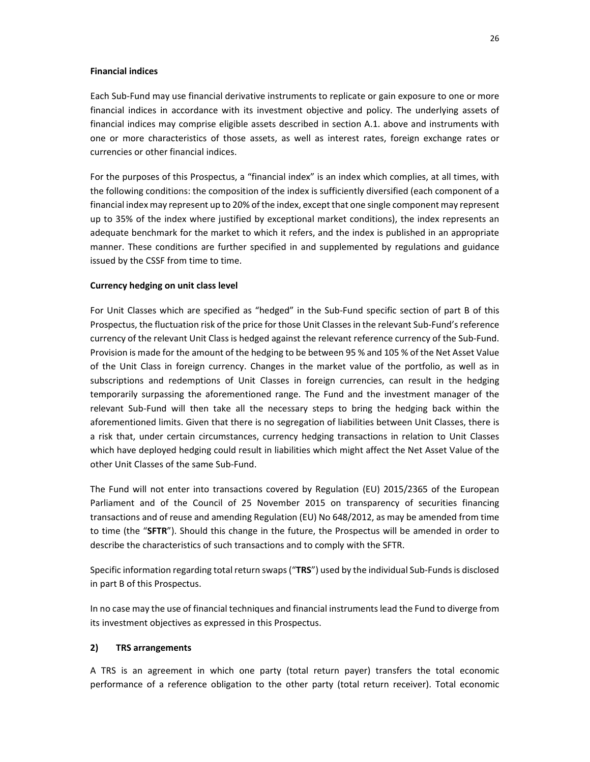#### **Financial indices**

Each Sub-Fund may use financial derivative instruments to replicate or gain exposure to one or more financial indices in accordance with its investment objective and policy. The underlying assets of financial indices may comprise eligible assets described in section A.1. above and instruments with one or more characteristics of those assets, as well as interest rates, foreign exchange rates or currencies or other financial indices.

For the purposes of this Prospectus, a "financial index" is an index which complies, at all times, with the following conditions: the composition of the index is sufficiently diversified (each component of a financial index may represent up to 20% of the index, except that one single component may represent up to 35% of the index where justified by exceptional market conditions), the index represents an adequate benchmark for the market to which it refers, and the index is published in an appropriate manner. These conditions are further specified in and supplemented by regulations and guidance issued by the CSSF from time to time.

#### **Currency hedging on unit class level**

For Unit Classes which are specified as "hedged" in the Sub-Fund specific section of part B of this Prospectus, the fluctuation risk of the price for those Unit Classes in the relevant Sub-Fund's reference currency of the relevant Unit Class is hedged against the relevant reference currency of the Sub-Fund. Provision is made for the amount of the hedging to be between 95 % and 105 % of the Net Asset Value of the Unit Class in foreign currency. Changes in the market value of the portfolio, as well as in subscriptions and redemptions of Unit Classes in foreign currencies, can result in the hedging temporarily surpassing the aforementioned range. The Fund and the investment manager of the relevant Sub-Fund will then take all the necessary steps to bring the hedging back within the aforementioned limits. Given that there is no segregation of liabilities between Unit Classes, there is a risk that, under certain circumstances, currency hedging transactions in relation to Unit Classes which have deployed hedging could result in liabilities which might affect the Net Asset Value of the other Unit Classes of the same Sub-Fund.

The Fund will not enter into transactions covered by Regulation (EU) 2015/2365 of the European Parliament and of the Council of 25 November 2015 on transparency of securities financing transactions and of reuse and amending Regulation (EU) No 648/2012, as may be amended from time to time (the "**SFTR**"). Should this change in the future, the Prospectus will be amended in order to describe the characteristics of such transactions and to comply with the SFTR.

Specific information regarding total return swaps ("**TRS**") used by the individual Sub-Funds is disclosed in part B of this Prospectus.

In no case may the use of financial techniques and financial instruments lead the Fund to diverge from its investment objectives as expressed in this Prospectus.

#### **2) TRS arrangements**

A TRS is an agreement in which one party (total return payer) transfers the total economic performance of a reference obligation to the other party (total return receiver). Total economic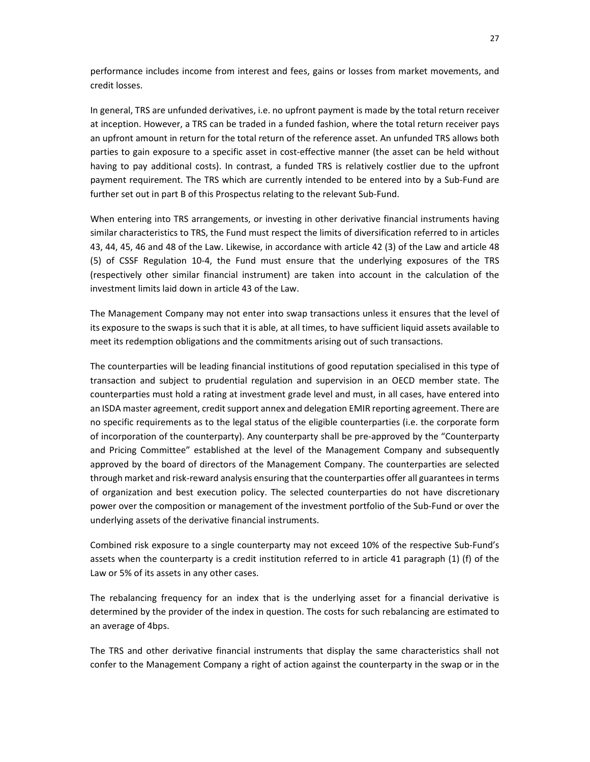performance includes income from interest and fees, gains or losses from market movements, and credit losses.

In general, TRS are unfunded derivatives, i.e. no upfront payment is made by the total return receiver at inception. However, a TRS can be traded in a funded fashion, where the total return receiver pays an upfront amount in return for the total return of the reference asset. An unfunded TRS allows both parties to gain exposure to a specific asset in cost-effective manner (the asset can be held without having to pay additional costs). In contrast, a funded TRS is relatively costlier due to the upfront payment requirement. The TRS which are currently intended to be entered into by a Sub-Fund are further set out in part B of this Prospectus relating to the relevant Sub-Fund.

When entering into TRS arrangements, or investing in other derivative financial instruments having similar characteristics to TRS, the Fund must respect the limits of diversification referred to in articles 43, 44, 45, 46 and 48 of the Law. Likewise, in accordance with article 42 (3) of the Law and article 48 (5) of CSSF Regulation 10-4, the Fund must ensure that the underlying exposures of the TRS (respectively other similar financial instrument) are taken into account in the calculation of the investment limits laid down in article 43 of the Law.

The Management Company may not enter into swap transactions unless it ensures that the level of its exposure to the swaps is such that it is able, at all times, to have sufficient liquid assets available to meet its redemption obligations and the commitments arising out of such transactions.

The counterparties will be leading financial institutions of good reputation specialised in this type of transaction and subject to prudential regulation and supervision in an OECD member state. The counterparties must hold a rating at investment grade level and must, in all cases, have entered into an ISDA master agreement, credit support annex and delegation EMIR reporting agreement. There are no specific requirements as to the legal status of the eligible counterparties (i.e. the corporate form of incorporation of the counterparty). Any counterparty shall be pre-approved by the "Counterparty and Pricing Committee" established at the level of the Management Company and subsequently approved by the board of directors of the Management Company. The counterparties are selected through market and risk-reward analysis ensuring that the counterparties offer all guarantees in terms of organization and best execution policy. The selected counterparties do not have discretionary power over the composition or management of the investment portfolio of the Sub-Fund or over the underlying assets of the derivative financial instruments.

Combined risk exposure to a single counterparty may not exceed 10% of the respective Sub-Fund's assets when the counterparty is a credit institution referred to in article 41 paragraph (1) (f) of the Law or 5% of its assets in any other cases.

The rebalancing frequency for an index that is the underlying asset for a financial derivative is determined by the provider of the index in question. The costs for such rebalancing are estimated to an average of 4bps.

The TRS and other derivative financial instruments that display the same characteristics shall not confer to the Management Company a right of action against the counterparty in the swap or in the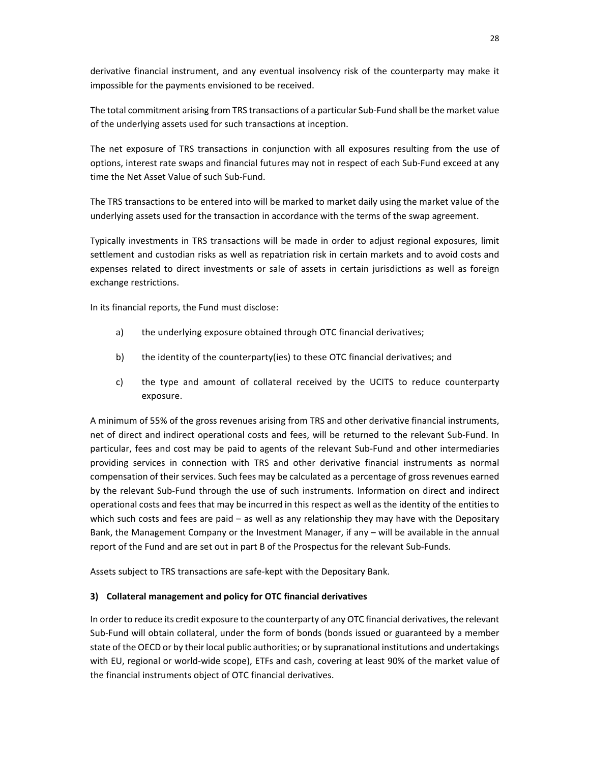derivative financial instrument, and any eventual insolvency risk of the counterparty may make it impossible for the payments envisioned to be received.

The total commitment arising from TRS transactions of a particular Sub-Fund shall be the market value of the underlying assets used for such transactions at inception.

The net exposure of TRS transactions in conjunction with all exposures resulting from the use of options, interest rate swaps and financial futures may not in respect of each Sub-Fund exceed at any time the Net Asset Value of such Sub-Fund.

The TRS transactions to be entered into will be marked to market daily using the market value of the underlying assets used for the transaction in accordance with the terms of the swap agreement.

Typically investments in TRS transactions will be made in order to adjust regional exposures, limit settlement and custodian risks as well as repatriation risk in certain markets and to avoid costs and expenses related to direct investments or sale of assets in certain jurisdictions as well as foreign exchange restrictions.

In its financial reports, the Fund must disclose:

- a) the underlying exposure obtained through OTC financial derivatives;
- b) the identity of the counterparty(ies) to these OTC financial derivatives; and
- c) the type and amount of collateral received by the UCITS to reduce counterparty exposure.

A minimum of 55% of the gross revenues arising from TRS and other derivative financial instruments, net of direct and indirect operational costs and fees, will be returned to the relevant Sub-Fund. In particular, fees and cost may be paid to agents of the relevant Sub-Fund and other intermediaries providing services in connection with TRS and other derivative financial instruments as normal compensation of their services. Such fees may be calculated as a percentage of gross revenues earned by the relevant Sub-Fund through the use of such instruments. Information on direct and indirect operational costs and fees that may be incurred in this respect as well as the identity of the entities to which such costs and fees are paid – as well as any relationship they may have with the Depositary Bank, the Management Company or the Investment Manager, if any – will be available in the annual report of the Fund and are set out in part B of the Prospectus for the relevant Sub-Funds.

Assets subject to TRS transactions are safe-kept with the Depositary Bank.

## **3) Collateral management and policy for OTC financial derivatives**

In order to reduce its credit exposure to the counterparty of any OTC financial derivatives, the relevant Sub-Fund will obtain collateral, under the form of bonds (bonds issued or guaranteed by a member state of the OECD or by their local public authorities; or by supranational institutions and undertakings with EU, regional or world-wide scope), ETFs and cash, covering at least 90% of the market value of the financial instruments object of OTC financial derivatives.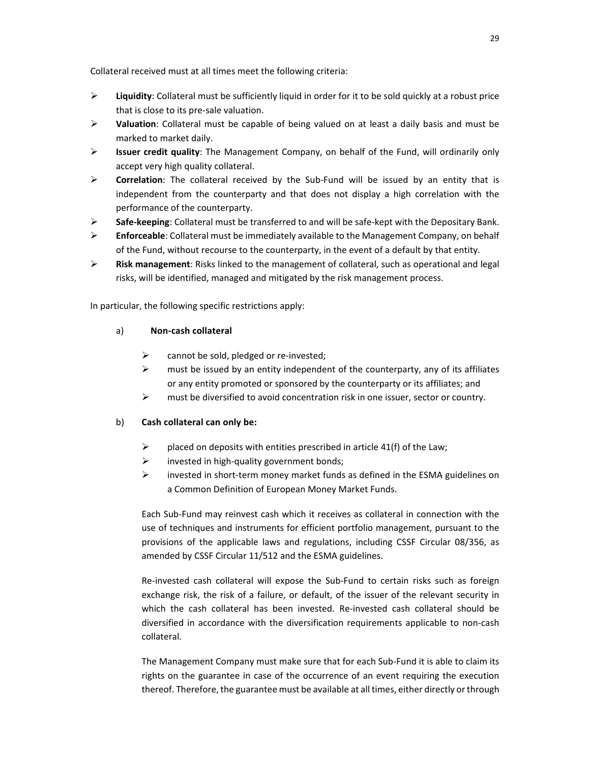Collateral received must at all times meet the following criteria:

- **Liquidity**: Collateral must be sufficiently liquid in order for it to be sold quickly at a robust price that is close to its pre-sale valuation.
- **Valuation**: Collateral must be capable of being valued on at least a daily basis and must be marked to market daily.
- **Issuer credit quality**: The Management Company, on behalf of the Fund, will ordinarily only accept very high quality collateral.
- **Correlation**: The collateral received by the Sub-Fund will be issued by an entity that is independent from the counterparty and that does not display a high correlation with the performance of the counterparty.
- **Safe-keeping**: Collateral must be transferred to and will be safe-kept with the Depositary Bank.
- **Enforceable**: Collateral must be immediately available to the Management Company, on behalf of the Fund, without recourse to the counterparty, in the event of a default by that entity.
- **Risk management**: Risks linked to the management of collateral, such as operational and legal risks, will be identified, managed and mitigated by the risk management process.

In particular, the following specific restrictions apply:

## a) **Non-cash collateral**

- $\triangleright$  cannot be sold, pledged or re-invested;
- $\triangleright$  must be issued by an entity independent of the counterparty, any of its affiliates or any entity promoted or sponsored by the counterparty or its affiliates; and
- must be diversified to avoid concentration risk in one issuer, sector or country.

## b) **Cash collateral can only be:**

- $\triangleright$  placed on deposits with entities prescribed in article 41(f) of the Law;
- $\triangleright$  invested in high-quality government bonds;
- $\triangleright$  invested in short-term money market funds as defined in the ESMA guidelines on a Common Definition of European Money Market Funds.

Each Sub-Fund may reinvest cash which it receives as collateral in connection with the use of techniques and instruments for efficient portfolio management, pursuant to the provisions of the applicable laws and regulations, including CSSF Circular 08/356, as amended by CSSF Circular 11/512 and the ESMA guidelines.

Re-invested cash collateral will expose the Sub-Fund to certain risks such as foreign exchange risk, the risk of a failure, or default, of the issuer of the relevant security in which the cash collateral has been invested. Re-invested cash collateral should be diversified in accordance with the diversification requirements applicable to non-cash collateral.

The Management Company must make sure that for each Sub-Fund it is able to claim its rights on the guarantee in case of the occurrence of an event requiring the execution thereof. Therefore, the guarantee must be available at all times, either directly or through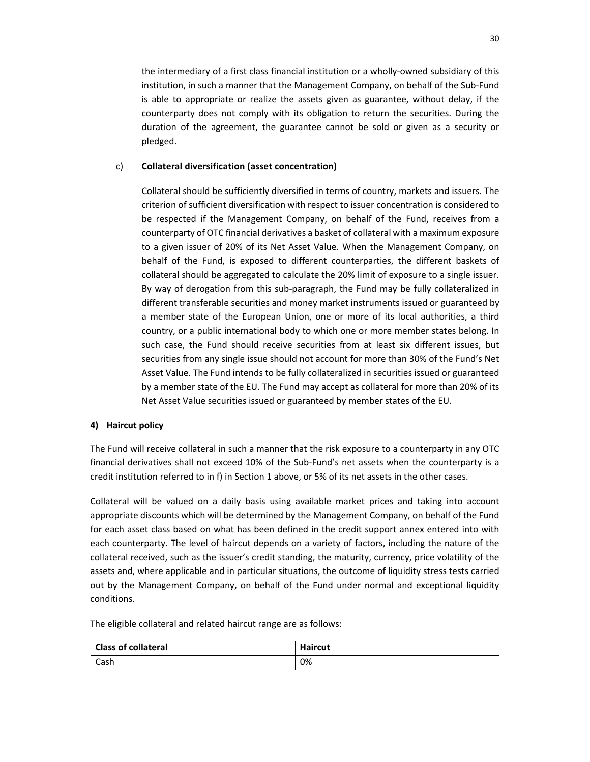the intermediary of a first class financial institution or a wholly-owned subsidiary of this institution, in such a manner that the Management Company, on behalf of the Sub-Fund is able to appropriate or realize the assets given as guarantee, without delay, if the counterparty does not comply with its obligation to return the securities. During the duration of the agreement, the guarantee cannot be sold or given as a security or pledged.

## c) **Collateral diversification (asset concentration)**

Collateral should be sufficiently diversified in terms of country, markets and issuers. The criterion of sufficient diversification with respect to issuer concentration is considered to be respected if the Management Company, on behalf of the Fund, receives from a counterparty of OTC financial derivatives a basket of collateral with a maximum exposure to a given issuer of 20% of its Net Asset Value. When the Management Company, on behalf of the Fund, is exposed to different counterparties, the different baskets of collateral should be aggregated to calculate the 20% limit of exposure to a single issuer. By way of derogation from this sub-paragraph, the Fund may be fully collateralized in different transferable securities and money market instruments issued or guaranteed by a member state of the European Union, one or more of its local authorities, a third country, or a public international body to which one or more member states belong. In such case, the Fund should receive securities from at least six different issues, but securities from any single issue should not account for more than 30% of the Fund's Net Asset Value. The Fund intends to be fully collateralized in securities issued or guaranteed by a member state of the EU. The Fund may accept as collateral for more than 20% of its Net Asset Value securities issued or guaranteed by member states of the EU.

## **4) Haircut policy**

The Fund will receive collateral in such a manner that the risk exposure to a counterparty in any OTC financial derivatives shall not exceed 10% of the Sub-Fund's net assets when the counterparty is a credit institution referred to in f) in Section 1 above, or 5% of its net assets in the other cases.

Collateral will be valued on a daily basis using available market prices and taking into account appropriate discounts which will be determined by the Management Company, on behalf of the Fund for each asset class based on what has been defined in the credit support annex entered into with each counterparty. The level of haircut depends on a variety of factors, including the nature of the collateral received, such as the issuer's credit standing, the maturity, currency, price volatility of the assets and, where applicable and in particular situations, the outcome of liquidity stress tests carried out by the Management Company, on behalf of the Fund under normal and exceptional liquidity conditions.

The eligible collateral and related haircut range are as follows:

| <b>Class of collateral</b> | <b>Haircut</b> |
|----------------------------|----------------|
| Cash                       | 0%             |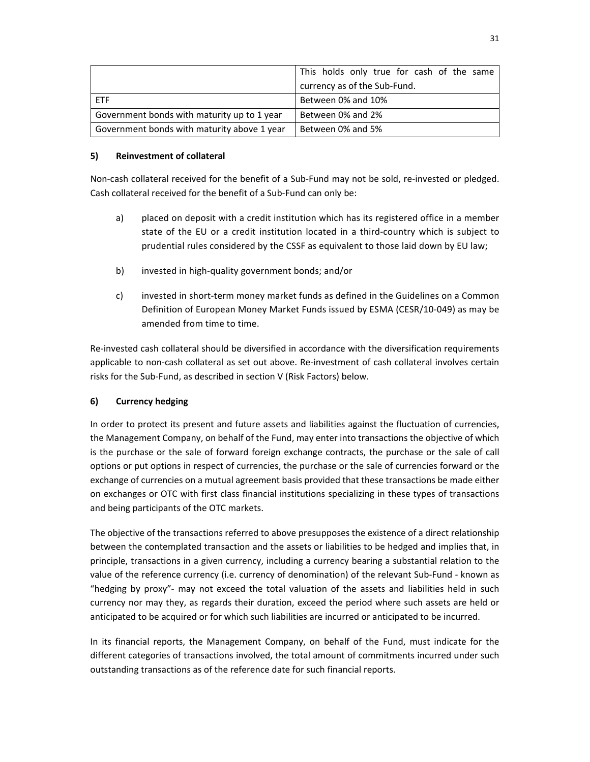|                                             | This holds only true for cash of the same |
|---------------------------------------------|-------------------------------------------|
|                                             | currency as of the Sub-Fund.              |
| <b>FTF</b>                                  | Between 0% and 10%                        |
| Government bonds with maturity up to 1 year | Between 0% and 2%                         |
| Government bonds with maturity above 1 year | Between 0% and 5%                         |

## **5) Reinvestment of collateral**

Non-cash collateral received for the benefit of a Sub-Fund may not be sold, re-invested or pledged. Cash collateral received for the benefit of a Sub-Fund can only be:

- a) placed on deposit with a credit institution which has its registered office in a member state of the EU or a credit institution located in a third-country which is subject to prudential rules considered by the CSSF as equivalent to those laid down by EU law;
- b) invested in high-quality government bonds; and/or
- c) invested in short-term money market funds as defined in the Guidelines on a Common Definition of European Money Market Funds issued by ESMA (CESR/10-049) as may be amended from time to time.

Re-invested cash collateral should be diversified in accordance with the diversification requirements applicable to non-cash collateral as set out above. Re-investment of cash collateral involves certain risks for the Sub-Fund, as described in section V (Risk Factors) below.

# **6) Currency hedging**

In order to protect its present and future assets and liabilities against the fluctuation of currencies, the Management Company, on behalf of the Fund, may enter into transactions the objective of which is the purchase or the sale of forward foreign exchange contracts, the purchase or the sale of call options or put options in respect of currencies, the purchase or the sale of currencies forward or the exchange of currencies on a mutual agreement basis provided that these transactions be made either on exchanges or OTC with first class financial institutions specializing in these types of transactions and being participants of the OTC markets.

The objective of the transactions referred to above presupposes the existence of a direct relationship between the contemplated transaction and the assets or liabilities to be hedged and implies that, in principle, transactions in a given currency, including a currency bearing a substantial relation to the value of the reference currency (i.e. currency of denomination) of the relevant Sub-Fund - known as "hedging by proxy"- may not exceed the total valuation of the assets and liabilities held in such currency nor may they, as regards their duration, exceed the period where such assets are held or anticipated to be acquired or for which such liabilities are incurred or anticipated to be incurred.

In its financial reports, the Management Company, on behalf of the Fund, must indicate for the different categories of transactions involved, the total amount of commitments incurred under such outstanding transactions as of the reference date for such financial reports.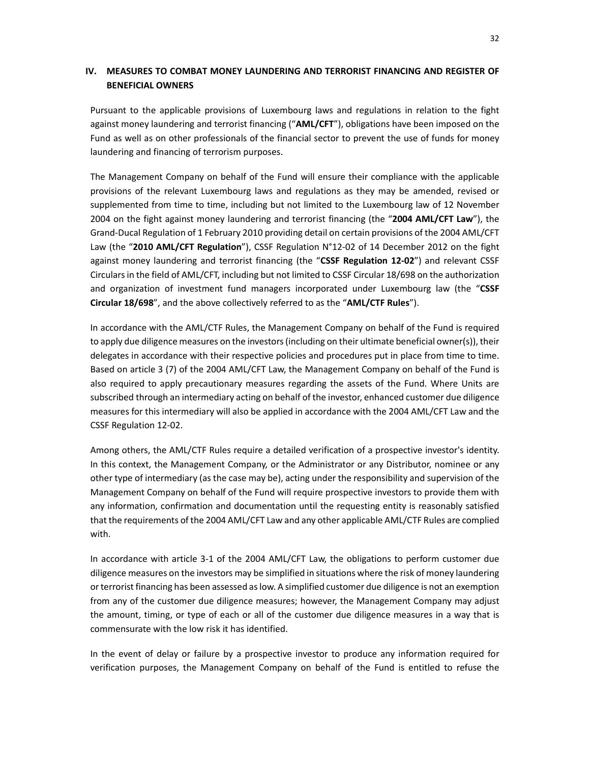# **IV. MEASURES TO COMBAT MONEY LAUNDERING AND TERRORIST FINANCING AND REGISTER OF BENEFICIAL OWNERS**

Pursuant to the applicable provisions of Luxembourg laws and regulations in relation to the fight against money laundering and terrorist financing ("**AML/CFT**"), obligations have been imposed on the Fund as well as on other professionals of the financial sector to prevent the use of funds for money laundering and financing of terrorism purposes.

The Management Company on behalf of the Fund will ensure their compliance with the applicable provisions of the relevant Luxembourg laws and regulations as they may be amended, revised or supplemented from time to time, including but not limited to the Luxembourg law of 12 November 2004 on the fight against money laundering and terrorist financing (the "**2004 AML/CFT Law**"), the Grand-Ducal Regulation of 1 February 2010 providing detail on certain provisions of the 2004 AML/CFT Law (the "**2010 AML/CFT Regulation**"), CSSF Regulation N°12-02 of 14 December 2012 on the fight against money laundering and terrorist financing (the "**CSSF Regulation 12-02**") and relevant CSSF Circulars in the field of AML/CFT, including but not limited to CSSF Circular 18/698 on the authorization and organization of investment fund managers incorporated under Luxembourg law (the "**CSSF Circular 18/698**", and the above collectively referred to as the "**AML/CTF Rules**").

In accordance with the AML/CTF Rules, the Management Company on behalf of the Fund is required to apply due diligence measures on the investors (including on their ultimate beneficial owner(s)), their delegates in accordance with their respective policies and procedures put in place from time to time. Based on article 3 (7) of the 2004 AML/CFT Law, the Management Company on behalf of the Fund is also required to apply precautionary measures regarding the assets of the Fund. Where Units are subscribed through an intermediary acting on behalf of the investor, enhanced customer due diligence measures for this intermediary will also be applied in accordance with the 2004 AML/CFT Law and the CSSF Regulation 12-02.

Among others, the AML/CTF Rules require a detailed verification of a prospective investor's identity. In this context, the Management Company, or the Administrator or any Distributor, nominee or any other type of intermediary (as the case may be), acting under the responsibility and supervision of the Management Company on behalf of the Fund will require prospective investors to provide them with any information, confirmation and documentation until the requesting entity is reasonably satisfied that the requirements of the 2004 AML/CFT Law and any other applicable AML/CTF Rules are complied with.

In accordance with article 3-1 of the 2004 AML/CFT Law, the obligations to perform customer due diligence measures on the investors may be simplified in situations where the risk of money laundering or terrorist financing has been assessed as low. A simplified customer due diligence is not an exemption from any of the customer due diligence measures; however, the Management Company may adjust the amount, timing, or type of each or all of the customer due diligence measures in a way that is commensurate with the low risk it has identified.

In the event of delay or failure by a prospective investor to produce any information required for verification purposes, the Management Company on behalf of the Fund is entitled to refuse the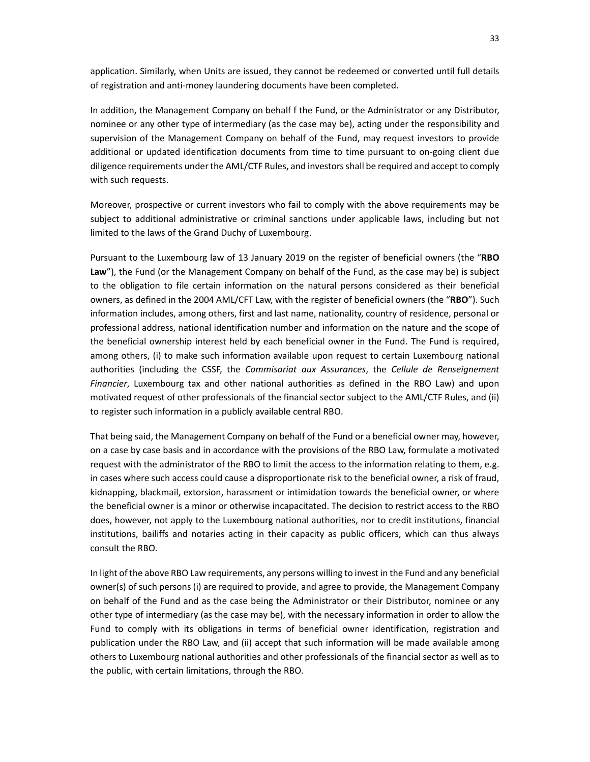application. Similarly, when Units are issued, they cannot be redeemed or converted until full details of registration and anti-money laundering documents have been completed.

In addition, the Management Company on behalf f the Fund, or the Administrator or any Distributor, nominee or any other type of intermediary (as the case may be), acting under the responsibility and supervision of the Management Company on behalf of the Fund, may request investors to provide additional or updated identification documents from time to time pursuant to on-going client due diligence requirements under the AML/CTF Rules, and investors shall be required and accept to comply with such requests.

Moreover, prospective or current investors who fail to comply with the above requirements may be subject to additional administrative or criminal sanctions under applicable laws, including but not limited to the laws of the Grand Duchy of Luxembourg.

Pursuant to the Luxembourg law of 13 January 2019 on the register of beneficial owners (the "**RBO**  Law"), the Fund (or the Management Company on behalf of the Fund, as the case may be) is subject to the obligation to file certain information on the natural persons considered as their beneficial owners, as defined in the 2004 AML/CFT Law, with the register of beneficial owners (the "**RBO**"). Such information includes, among others, first and last name, nationality, country of residence, personal or professional address, national identification number and information on the nature and the scope of the beneficial ownership interest held by each beneficial owner in the Fund. The Fund is required, among others, (i) to make such information available upon request to certain Luxembourg national authorities (including the CSSF, the *Commisariat aux Assurances*, the *Cellule de Renseignement Financier*, Luxembourg tax and other national authorities as defined in the RBO Law) and upon motivated request of other professionals of the financial sector subject to the AML/CTF Rules, and (ii) to register such information in a publicly available central RBO.

That being said, the Management Company on behalf of the Fund or a beneficial owner may, however, on a case by case basis and in accordance with the provisions of the RBO Law, formulate a motivated request with the administrator of the RBO to limit the access to the information relating to them, e.g. in cases where such access could cause a disproportionate risk to the beneficial owner, a risk of fraud, kidnapping, blackmail, extorsion, harassment or intimidation towards the beneficial owner, or where the beneficial owner is a minor or otherwise incapacitated. The decision to restrict access to the RBO does, however, not apply to the Luxembourg national authorities, nor to credit institutions, financial institutions, bailiffs and notaries acting in their capacity as public officers, which can thus always consult the RBO.

In light of the above RBO Law requirements, any persons willing to invest in the Fund and any beneficial owner(s) of such persons (i) are required to provide, and agree to provide, the Management Company on behalf of the Fund and as the case being the Administrator or their Distributor, nominee or any other type of intermediary (as the case may be), with the necessary information in order to allow the Fund to comply with its obligations in terms of beneficial owner identification, registration and publication under the RBO Law, and (ii) accept that such information will be made available among others to Luxembourg national authorities and other professionals of the financial sector as well as to the public, with certain limitations, through the RBO.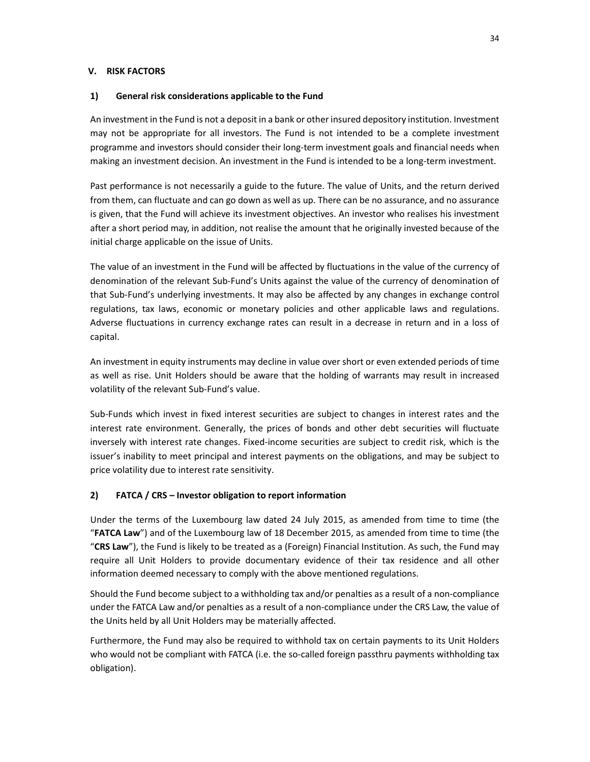### **V. RISK FACTORS**

#### **1) General risk considerations applicable to the Fund**

An investment in the Fund is not a deposit in a bank or other insured depository institution. Investment may not be appropriate for all investors. The Fund is not intended to be a complete investment programme and investors should consider their long-term investment goals and financial needs when making an investment decision. An investment in the Fund is intended to be a long-term investment.

Past performance is not necessarily a guide to the future. The value of Units, and the return derived from them, can fluctuate and can go down as well as up. There can be no assurance, and no assurance is given, that the Fund will achieve its investment objectives. An investor who realises his investment after a short period may, in addition, not realise the amount that he originally invested because of the initial charge applicable on the issue of Units.

The value of an investment in the Fund will be affected by fluctuations in the value of the currency of denomination of the relevant Sub-Fund's Units against the value of the currency of denomination of that Sub-Fund's underlying investments. It may also be affected by any changes in exchange control regulations, tax laws, economic or monetary policies and other applicable laws and regulations. Adverse fluctuations in currency exchange rates can result in a decrease in return and in a loss of capital.

An investment in equity instruments may decline in value over short or even extended periods of time as well as rise. Unit Holders should be aware that the holding of warrants may result in increased volatility of the relevant Sub-Fund's value.

Sub-Funds which invest in fixed interest securities are subject to changes in interest rates and the interest rate environment. Generally, the prices of bonds and other debt securities will fluctuate inversely with interest rate changes. Fixed-income securities are subject to credit risk, which is the issuer's inability to meet principal and interest payments on the obligations, and may be subject to price volatility due to interest rate sensitivity.

# **2) FATCA / CRS – Investor obligation to report information**

Under the terms of the Luxembourg law dated 24 July 2015, as amended from time to time (the "**FATCA Law**") and of the Luxembourg law of 18 December 2015, as amended from time to time (the "**CRS Law**"), the Fund is likely to be treated as a (Foreign) Financial Institution. As such, the Fund may require all Unit Holders to provide documentary evidence of their tax residence and all other information deemed necessary to comply with the above mentioned regulations.

Should the Fund become subject to a withholding tax and/or penalties as a result of a non-compliance under the FATCA Law and/or penalties as a result of a non-compliance under the CRS Law, the value of the Units held by all Unit Holders may be materially affected.

Furthermore, the Fund may also be required to withhold tax on certain payments to its Unit Holders who would not be compliant with FATCA (i.e. the so-called foreign passthru payments withholding tax obligation).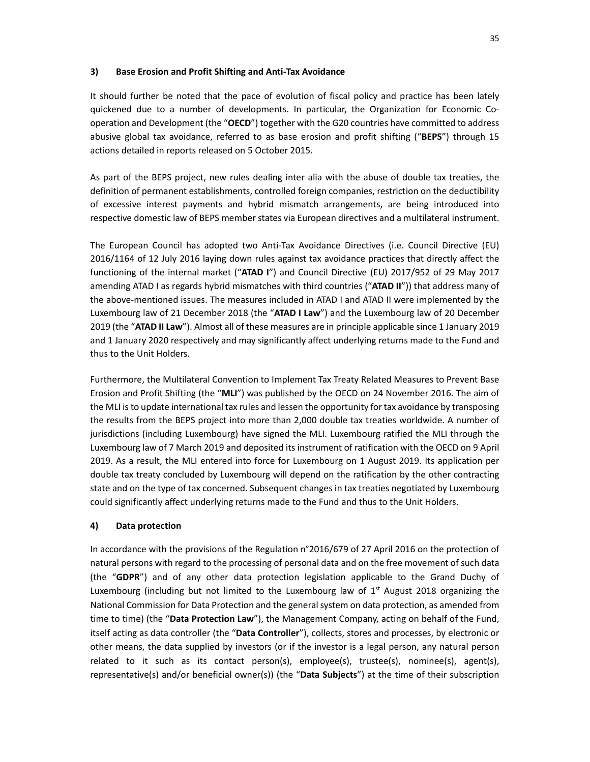#### **3) Base Erosion and Profit Shifting and Anti-Tax Avoidance**

It should further be noted that the pace of evolution of fiscal policy and practice has been lately quickened due to a number of developments. In particular, the Organization for Economic Cooperation and Development (the "**OECD**") together with the G20 countries have committed to address abusive global tax avoidance, referred to as base erosion and profit shifting ("**BEPS**") through 15 actions detailed in reports released on 5 October 2015.

As part of the BEPS project, new rules dealing inter alia with the abuse of double tax treaties, the definition of permanent establishments, controlled foreign companies, restriction on the deductibility of excessive interest payments and hybrid mismatch arrangements, are being introduced into respective domestic law of BEPS member states via European directives and a multilateral instrument.

The European Council has adopted two Anti-Tax Avoidance Directives (i.e. Council Directive (EU) 2016/1164 of 12 July 2016 laying down rules against tax avoidance practices that directly affect the functioning of the internal market ("**ATAD I**") and Council Directive (EU) 2017/952 of 29 May 2017 amending ATAD I as regards hybrid mismatches with third countries ("**ATAD II**")) that address many of the above-mentioned issues. The measures included in ATAD I and ATAD II were implemented by the Luxembourg law of 21 December 2018 (the "**ATAD I Law**") and the Luxembourg law of 20 December 2019 (the "**ATAD II Law**"). Almost all of these measures are in principle applicable since 1 January 2019 and 1 January 2020 respectively and may significantly affect underlying returns made to the Fund and thus to the Unit Holders.

Furthermore, the Multilateral Convention to Implement Tax Treaty Related Measures to Prevent Base Erosion and Profit Shifting (the "**MLI**") was published by the OECD on 24 November 2016. The aim of the MLI is to update international tax rules and lessen the opportunity for tax avoidance by transposing the results from the BEPS project into more than 2,000 double tax treaties worldwide. A number of jurisdictions (including Luxembourg) have signed the MLI. Luxembourg ratified the MLI through the Luxembourg law of 7 March 2019 and deposited its instrument of ratification with the OECD on 9 April 2019. As a result, the MLI entered into force for Luxembourg on 1 August 2019. Its application per double tax treaty concluded by Luxembourg will depend on the ratification by the other contracting state and on the type of tax concerned. Subsequent changes in tax treaties negotiated by Luxembourg could significantly affect underlying returns made to the Fund and thus to the Unit Holders.

#### **4) Data protection**

In accordance with the provisions of the Regulation n°2016/679 of 27 April 2016 on the protection of natural persons with regard to the processing of personal data and on the free movement of such data (the "**GDPR**") and of any other data protection legislation applicable to the Grand Duchy of Luxembourg (including but not limited to the Luxembourg law of  $1<sup>st</sup>$  August 2018 organizing the National Commission for Data Protection and the general system on data protection, as amended from time to time) (the "**Data Protection Law**"), the Management Company, acting on behalf of the Fund, itself acting as data controller (the "**Data Controller**"), collects, stores and processes, by electronic or other means, the data supplied by investors (or if the investor is a legal person, any natural person related to it such as its contact person(s), employee(s), trustee(s), nominee(s), agent(s), representative(s) and/or beneficial owner(s)) (the "**Data Subjects**") at the time of their subscription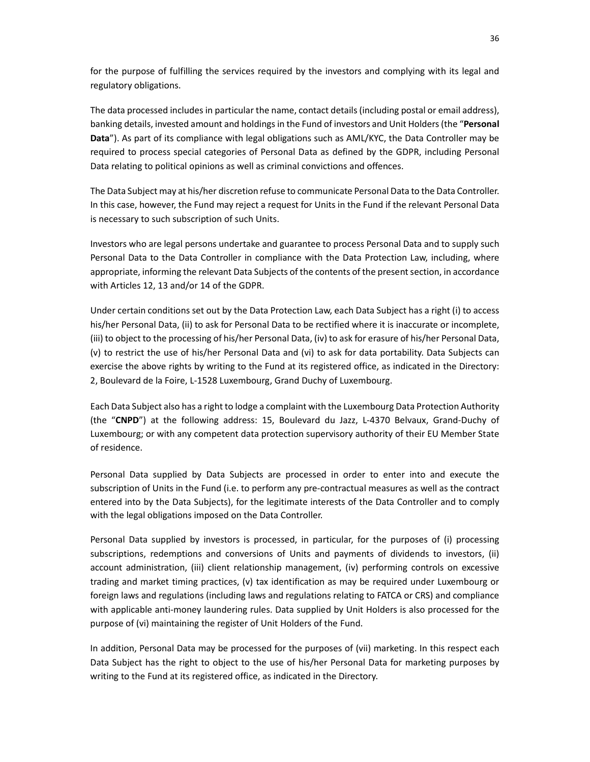for the purpose of fulfilling the services required by the investors and complying with its legal and regulatory obligations.

The data processed includes in particular the name, contact details (including postal or email address), banking details, invested amount and holdings in the Fund of investors and Unit Holders (the "**Personal Data**"). As part of its compliance with legal obligations such as AML/KYC, the Data Controller may be required to process special categories of Personal Data as defined by the GDPR, including Personal Data relating to political opinions as well as criminal convictions and offences.

The Data Subject may at his/her discretion refuse to communicate Personal Data to the Data Controller. In this case, however, the Fund may reject a request for Units in the Fund if the relevant Personal Data is necessary to such subscription of such Units.

Investors who are legal persons undertake and guarantee to process Personal Data and to supply such Personal Data to the Data Controller in compliance with the Data Protection Law, including, where appropriate, informing the relevant Data Subjects of the contents of the present section, in accordance with Articles 12, 13 and/or 14 of the GDPR.

Under certain conditions set out by the Data Protection Law, each Data Subject has a right (i) to access his/her Personal Data, (ii) to ask for Personal Data to be rectified where it is inaccurate or incomplete, (iii) to object to the processing of his/her Personal Data, (iv) to ask for erasure of his/her Personal Data, (v) to restrict the use of his/her Personal Data and (vi) to ask for data portability. Data Subjects can exercise the above rights by writing to the Fund at its registered office, as indicated in the Directory: 2, Boulevard de la Foire, L-1528 Luxembourg, Grand Duchy of Luxembourg.

Each Data Subject also has a right to lodge a complaint with the Luxembourg Data Protection Authority (the "**CNPD**") at the following address: 15, Boulevard du Jazz, L-4370 Belvaux, Grand-Duchy of Luxembourg; or with any competent data protection supervisory authority of their EU Member State of residence.

Personal Data supplied by Data Subjects are processed in order to enter into and execute the subscription of Units in the Fund (i.e. to perform any pre-contractual measures as well as the contract entered into by the Data Subjects), for the legitimate interests of the Data Controller and to comply with the legal obligations imposed on the Data Controller.

Personal Data supplied by investors is processed, in particular, for the purposes of (i) processing subscriptions, redemptions and conversions of Units and payments of dividends to investors, (ii) account administration, (iii) client relationship management, (iv) performing controls on excessive trading and market timing practices, (v) tax identification as may be required under Luxembourg or foreign laws and regulations (including laws and regulations relating to FATCA or CRS) and compliance with applicable anti-money laundering rules. Data supplied by Unit Holders is also processed for the purpose of (vi) maintaining the register of Unit Holders of the Fund.

In addition, Personal Data may be processed for the purposes of (vii) marketing. In this respect each Data Subject has the right to object to the use of his/her Personal Data for marketing purposes by writing to the Fund at its registered office, as indicated in the Directory.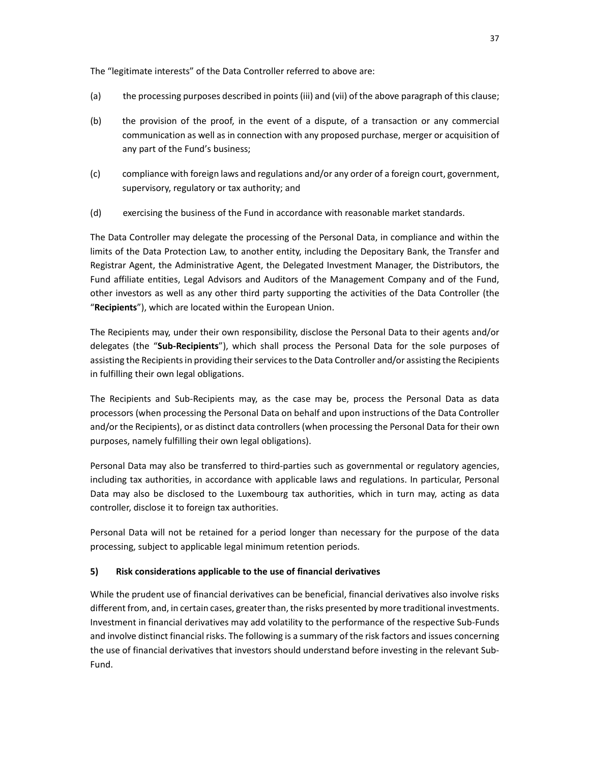The "legitimate interests" of the Data Controller referred to above are:

- (a) the processing purposes described in points (iii) and (vii) of the above paragraph of this clause;
- (b) the provision of the proof, in the event of a dispute, of a transaction or any commercial communication as well as in connection with any proposed purchase, merger or acquisition of any part of the Fund's business;
- (c) compliance with foreign laws and regulations and/or any order of a foreign court, government, supervisory, regulatory or tax authority; and
- (d) exercising the business of the Fund in accordance with reasonable market standards.

The Data Controller may delegate the processing of the Personal Data, in compliance and within the limits of the Data Protection Law, to another entity, including the Depositary Bank, the Transfer and Registrar Agent, the Administrative Agent, the Delegated Investment Manager, the Distributors, the Fund affiliate entities, Legal Advisors and Auditors of the Management Company and of the Fund, other investors as well as any other third party supporting the activities of the Data Controller (the "**Recipients**"), which are located within the European Union.

The Recipients may, under their own responsibility, disclose the Personal Data to their agents and/or delegates (the "**Sub-Recipients**"), which shall process the Personal Data for the sole purposes of assisting the Recipients in providing their services to the Data Controller and/or assisting the Recipients in fulfilling their own legal obligations.

The Recipients and Sub-Recipients may, as the case may be, process the Personal Data as data processors (when processing the Personal Data on behalf and upon instructions of the Data Controller and/or the Recipients), or as distinct data controllers (when processing the Personal Data for their own purposes, namely fulfilling their own legal obligations).

Personal Data may also be transferred to third-parties such as governmental or regulatory agencies, including tax authorities, in accordance with applicable laws and regulations. In particular, Personal Data may also be disclosed to the Luxembourg tax authorities, which in turn may, acting as data controller, disclose it to foreign tax authorities.

Personal Data will not be retained for a period longer than necessary for the purpose of the data processing, subject to applicable legal minimum retention periods.

### **5) Risk considerations applicable to the use of financial derivatives**

While the prudent use of financial derivatives can be beneficial, financial derivatives also involve risks different from, and, in certain cases, greater than, the risks presented by more traditional investments. Investment in financial derivatives may add volatility to the performance of the respective Sub-Funds and involve distinct financial risks. The following is a summary of the risk factors and issues concerning the use of financial derivatives that investors should understand before investing in the relevant Sub-Fund.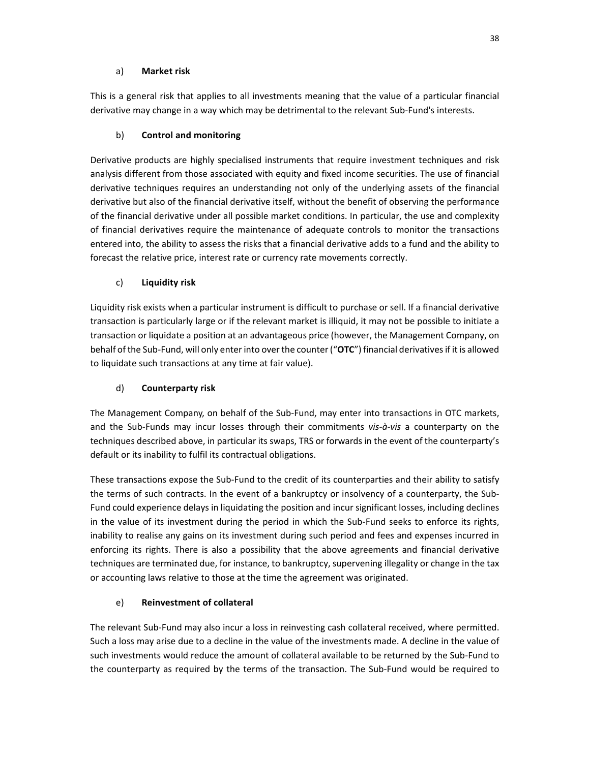## a) **Market risk**

This is a general risk that applies to all investments meaning that the value of a particular financial derivative may change in a way which may be detrimental to the relevant Sub-Fund's interests.

# b) **Control and monitoring**

Derivative products are highly specialised instruments that require investment techniques and risk analysis different from those associated with equity and fixed income securities. The use of financial derivative techniques requires an understanding not only of the underlying assets of the financial derivative but also of the financial derivative itself, without the benefit of observing the performance of the financial derivative under all possible market conditions. In particular, the use and complexity of financial derivatives require the maintenance of adequate controls to monitor the transactions entered into, the ability to assess the risks that a financial derivative adds to a fund and the ability to forecast the relative price, interest rate or currency rate movements correctly.

## c) **Liquidity risk**

Liquidity risk exists when a particular instrument is difficult to purchase or sell. If a financial derivative transaction is particularly large or if the relevant market is illiquid, it may not be possible to initiate a transaction or liquidate a position at an advantageous price (however, the Management Company, on behalf of the Sub-Fund, will only enter into over the counter ("**OTC**") financial derivatives if it is allowed to liquidate such transactions at any time at fair value).

# d) **Counterparty risk**

The Management Company, on behalf of the Sub-Fund, may enter into transactions in OTC markets, and the Sub-Funds may incur losses through their commitments *vis-à-vis* a counterparty on the techniques described above, in particular its swaps, TRS or forwards in the event of the counterparty's default or its inability to fulfil its contractual obligations.

These transactions expose the Sub-Fund to the credit of its counterparties and their ability to satisfy the terms of such contracts. In the event of a bankruptcy or insolvency of a counterparty, the Sub-Fund could experience delays in liquidating the position and incur significant losses, including declines in the value of its investment during the period in which the Sub-Fund seeks to enforce its rights, inability to realise any gains on its investment during such period and fees and expenses incurred in enforcing its rights. There is also a possibility that the above agreements and financial derivative techniques are terminated due, for instance, to bankruptcy, supervening illegality or change in the tax or accounting laws relative to those at the time the agreement was originated.

# e) **Reinvestment of collateral**

The relevant Sub-Fund may also incur a loss in reinvesting cash collateral received, where permitted. Such a loss may arise due to a decline in the value of the investments made. A decline in the value of such investments would reduce the amount of collateral available to be returned by the Sub-Fund to the counterparty as required by the terms of the transaction. The Sub-Fund would be required to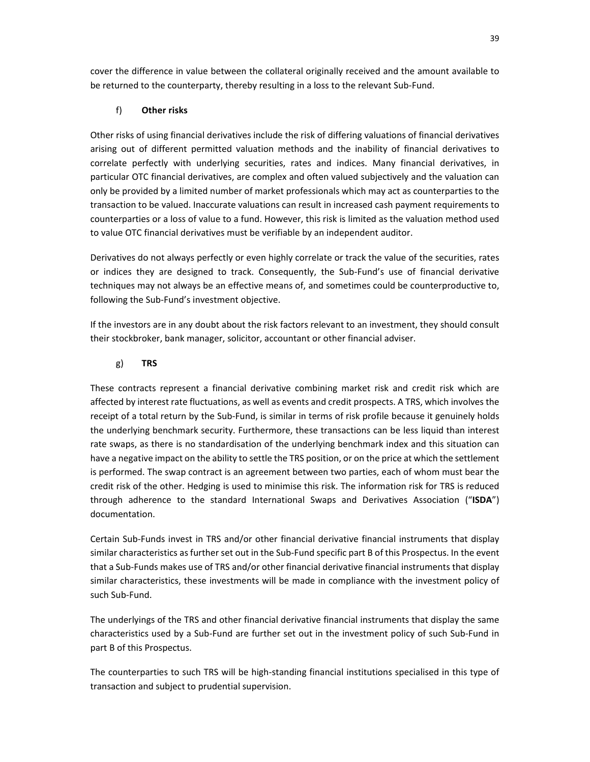cover the difference in value between the collateral originally received and the amount available to be returned to the counterparty, thereby resulting in a loss to the relevant Sub-Fund.

### f) **Other risks**

Other risks of using financial derivatives include the risk of differing valuations of financial derivatives arising out of different permitted valuation methods and the inability of financial derivatives to correlate perfectly with underlying securities, rates and indices. Many financial derivatives, in particular OTC financial derivatives, are complex and often valued subjectively and the valuation can only be provided by a limited number of market professionals which may act as counterparties to the transaction to be valued. Inaccurate valuations can result in increased cash payment requirements to counterparties or a loss of value to a fund. However, this risk is limited as the valuation method used to value OTC financial derivatives must be verifiable by an independent auditor.

Derivatives do not always perfectly or even highly correlate or track the value of the securities, rates or indices they are designed to track. Consequently, the Sub-Fund's use of financial derivative techniques may not always be an effective means of, and sometimes could be counterproductive to, following the Sub-Fund's investment objective.

If the investors are in any doubt about the risk factors relevant to an investment, they should consult their stockbroker, bank manager, solicitor, accountant or other financial adviser.

#### g) **TRS**

These contracts represent a financial derivative combining market risk and credit risk which are affected by interest rate fluctuations, as well as events and credit prospects. A TRS, which involves the receipt of a total return by the Sub-Fund, is similar in terms of risk profile because it genuinely holds the underlying benchmark security. Furthermore, these transactions can be less liquid than interest rate swaps, as there is no standardisation of the underlying benchmark index and this situation can have a negative impact on the ability to settle the TRS position, or on the price at which the settlement is performed. The swap contract is an agreement between two parties, each of whom must bear the credit risk of the other. Hedging is used to minimise this risk. The information risk for TRS is reduced through adherence to the standard International Swaps and Derivatives Association ("**ISDA**") documentation.

Certain Sub-Funds invest in TRS and/or other financial derivative financial instruments that display similar characteristics as further set out in the Sub-Fund specific part B of this Prospectus. In the event that a Sub-Funds makes use of TRS and/or other financial derivative financial instruments that display similar characteristics, these investments will be made in compliance with the investment policy of such Sub-Fund.

The underlyings of the TRS and other financial derivative financial instruments that display the same characteristics used by a Sub-Fund are further set out in the investment policy of such Sub-Fund in part B of this Prospectus.

The counterparties to such TRS will be high-standing financial institutions specialised in this type of transaction and subject to prudential supervision.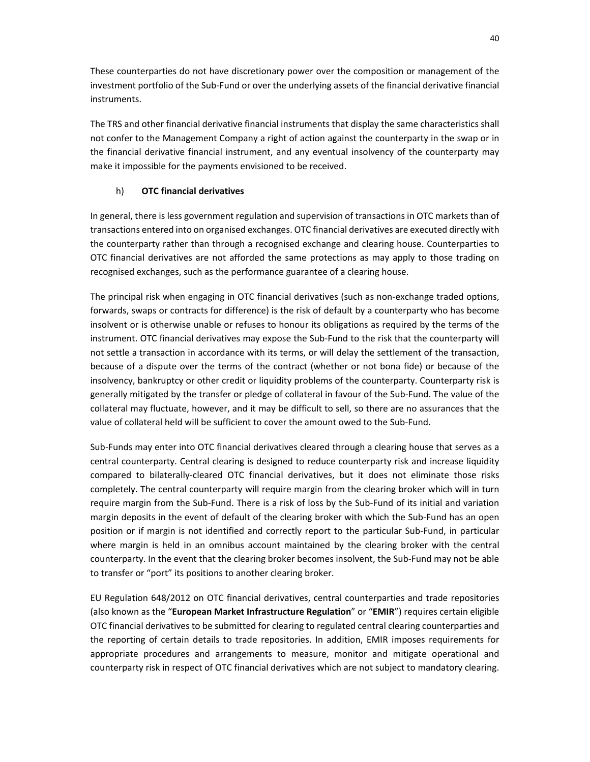These counterparties do not have discretionary power over the composition or management of the investment portfolio of the Sub-Fund or over the underlying assets of the financial derivative financial instruments.

The TRS and other financial derivative financial instruments that display the same characteristics shall not confer to the Management Company a right of action against the counterparty in the swap or in the financial derivative financial instrument, and any eventual insolvency of the counterparty may make it impossible for the payments envisioned to be received.

## h) **OTC financial derivatives**

In general, there is less government regulation and supervision of transactions in OTC markets than of transactions entered into on organised exchanges. OTC financial derivatives are executed directly with the counterparty rather than through a recognised exchange and clearing house. Counterparties to OTC financial derivatives are not afforded the same protections as may apply to those trading on recognised exchanges, such as the performance guarantee of a clearing house.

The principal risk when engaging in OTC financial derivatives (such as non-exchange traded options, forwards, swaps or contracts for difference) is the risk of default by a counterparty who has become insolvent or is otherwise unable or refuses to honour its obligations as required by the terms of the instrument. OTC financial derivatives may expose the Sub-Fund to the risk that the counterparty will not settle a transaction in accordance with its terms, or will delay the settlement of the transaction, because of a dispute over the terms of the contract (whether or not bona fide) or because of the insolvency, bankruptcy or other credit or liquidity problems of the counterparty. Counterparty risk is generally mitigated by the transfer or pledge of collateral in favour of the Sub-Fund. The value of the collateral may fluctuate, however, and it may be difficult to sell, so there are no assurances that the value of collateral held will be sufficient to cover the amount owed to the Sub-Fund.

Sub-Funds may enter into OTC financial derivatives cleared through a clearing house that serves as a central counterparty. Central clearing is designed to reduce counterparty risk and increase liquidity compared to bilaterally-cleared OTC financial derivatives, but it does not eliminate those risks completely. The central counterparty will require margin from the clearing broker which will in turn require margin from the Sub-Fund. There is a risk of loss by the Sub-Fund of its initial and variation margin deposits in the event of default of the clearing broker with which the Sub-Fund has an open position or if margin is not identified and correctly report to the particular Sub-Fund, in particular where margin is held in an omnibus account maintained by the clearing broker with the central counterparty. In the event that the clearing broker becomes insolvent, the Sub-Fund may not be able to transfer or "port" its positions to another clearing broker.

EU Regulation 648/2012 on OTC financial derivatives, central counterparties and trade repositories (also known as the "**European Market Infrastructure Regulation**" or "**EMIR**") requires certain eligible OTC financial derivatives to be submitted for clearing to regulated central clearing counterparties and the reporting of certain details to trade repositories. In addition, EMIR imposes requirements for appropriate procedures and arrangements to measure, monitor and mitigate operational and counterparty risk in respect of OTC financial derivatives which are not subject to mandatory clearing.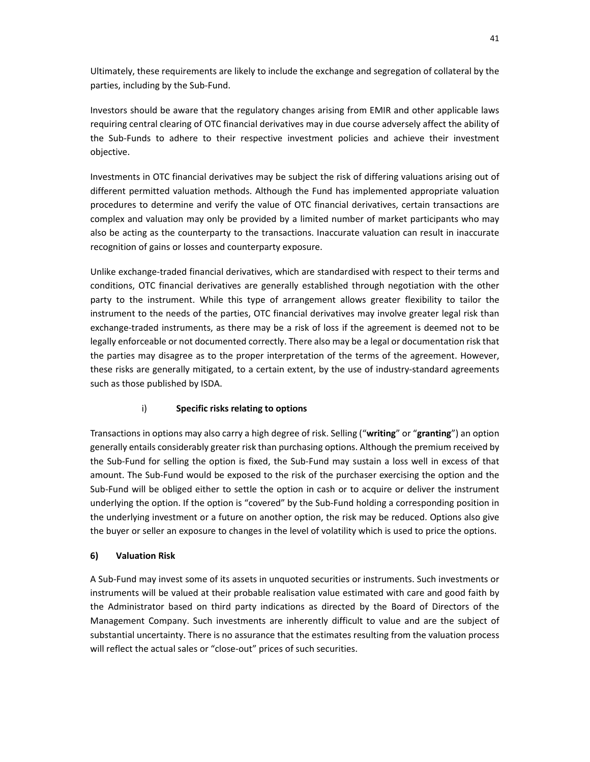Ultimately, these requirements are likely to include the exchange and segregation of collateral by the parties, including by the Sub-Fund.

Investors should be aware that the regulatory changes arising from EMIR and other applicable laws requiring central clearing of OTC financial derivatives may in due course adversely affect the ability of the Sub-Funds to adhere to their respective investment policies and achieve their investment objective.

Investments in OTC financial derivatives may be subject the risk of differing valuations arising out of different permitted valuation methods. Although the Fund has implemented appropriate valuation procedures to determine and verify the value of OTC financial derivatives, certain transactions are complex and valuation may only be provided by a limited number of market participants who may also be acting as the counterparty to the transactions. Inaccurate valuation can result in inaccurate recognition of gains or losses and counterparty exposure.

Unlike exchange-traded financial derivatives, which are standardised with respect to their terms and conditions, OTC financial derivatives are generally established through negotiation with the other party to the instrument. While this type of arrangement allows greater flexibility to tailor the instrument to the needs of the parties, OTC financial derivatives may involve greater legal risk than exchange-traded instruments, as there may be a risk of loss if the agreement is deemed not to be legally enforceable or not documented correctly. There also may be a legal or documentation risk that the parties may disagree as to the proper interpretation of the terms of the agreement. However, these risks are generally mitigated, to a certain extent, by the use of industry-standard agreements such as those published by ISDA.

## i) **Specific risks relating to options**

Transactions in options may also carry a high degree of risk. Selling ("**writing**" or "**granting**") an option generally entails considerably greater risk than purchasing options. Although the premium received by the Sub-Fund for selling the option is fixed, the Sub-Fund may sustain a loss well in excess of that amount. The Sub-Fund would be exposed to the risk of the purchaser exercising the option and the Sub-Fund will be obliged either to settle the option in cash or to acquire or deliver the instrument underlying the option. If the option is "covered" by the Sub-Fund holding a corresponding position in the underlying investment or a future on another option, the risk may be reduced. Options also give the buyer or seller an exposure to changes in the level of volatility which is used to price the options.

### **6) Valuation Risk**

A Sub-Fund may invest some of its assets in unquoted securities or instruments. Such investments or instruments will be valued at their probable realisation value estimated with care and good faith by the Administrator based on third party indications as directed by the Board of Directors of the Management Company. Such investments are inherently difficult to value and are the subject of substantial uncertainty. There is no assurance that the estimates resulting from the valuation process will reflect the actual sales or "close-out" prices of such securities.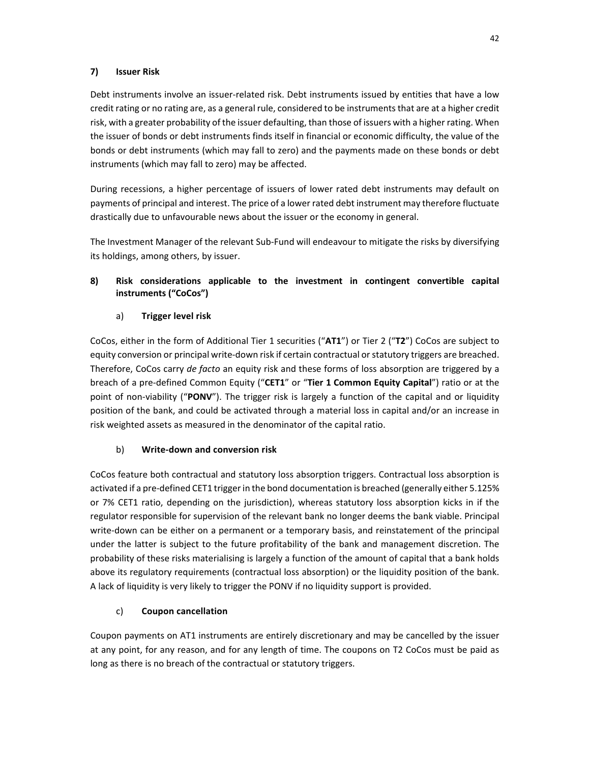### **7) Issuer Risk**

Debt instruments involve an issuer-related risk. Debt instruments issued by entities that have a low credit rating or no rating are, as a general rule, considered to be instruments that are at a higher credit risk, with a greater probability of the issuer defaulting, than those of issuers with a higher rating. When the issuer of bonds or debt instruments finds itself in financial or economic difficulty, the value of the bonds or debt instruments (which may fall to zero) and the payments made on these bonds or debt instruments (which may fall to zero) may be affected.

During recessions, a higher percentage of issuers of lower rated debt instruments may default on payments of principal and interest. The price of a lower rated debt instrument may therefore fluctuate drastically due to unfavourable news about the issuer or the economy in general.

The Investment Manager of the relevant Sub-Fund will endeavour to mitigate the risks by diversifying its holdings, among others, by issuer.

## **8) Risk considerations applicable to the investment in contingent convertible capital instruments ("CoCos")**

## a) **Trigger level risk**

CoCos, either in the form of Additional Tier 1 securities ("**AT1**") or Tier 2 ("**T2**") CoCos are subject to equity conversion or principal write-down risk if certain contractual or statutory triggers are breached. Therefore, CoCos carry *de facto* an equity risk and these forms of loss absorption are triggered by a breach of a pre-defined Common Equity ("**CET1**" or "**Tier 1 Common Equity Capital**") ratio or at the point of non-viability ("**PONV**"). The trigger risk is largely a function of the capital and or liquidity position of the bank, and could be activated through a material loss in capital and/or an increase in risk weighted assets as measured in the denominator of the capital ratio.

## b) **Write-down and conversion risk**

CoCos feature both contractual and statutory loss absorption triggers. Contractual loss absorption is activated if a pre-defined CET1 trigger in the bond documentation is breached (generally either 5.125% or 7% CET1 ratio, depending on the jurisdiction), whereas statutory loss absorption kicks in if the regulator responsible for supervision of the relevant bank no longer deems the bank viable. Principal write-down can be either on a permanent or a temporary basis, and reinstatement of the principal under the latter is subject to the future profitability of the bank and management discretion. The probability of these risks materialising is largely a function of the amount of capital that a bank holds above its regulatory requirements (contractual loss absorption) or the liquidity position of the bank. A lack of liquidity is very likely to trigger the PONV if no liquidity support is provided.

## c) **Coupon cancellation**

Coupon payments on AT1 instruments are entirely discretionary and may be cancelled by the issuer at any point, for any reason, and for any length of time. The coupons on T2 CoCos must be paid as long as there is no breach of the contractual or statutory triggers.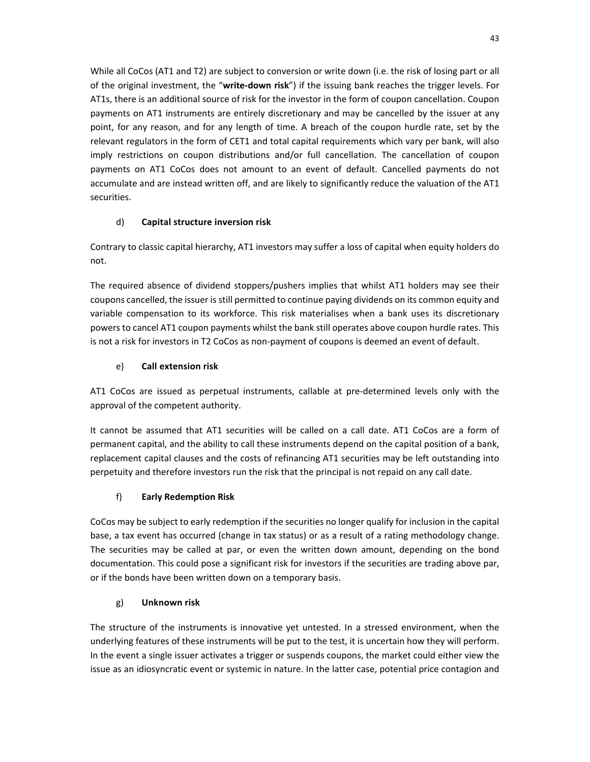While all CoCos (AT1 and T2) are subject to conversion or write down (i.e. the risk of losing part or all of the original investment, the "**write-down risk**") if the issuing bank reaches the trigger levels. For AT1s, there is an additional source of risk for the investor in the form of coupon cancellation. Coupon payments on AT1 instruments are entirely discretionary and may be cancelled by the issuer at any point, for any reason, and for any length of time. A breach of the coupon hurdle rate, set by the relevant regulators in the form of CET1 and total capital requirements which vary per bank, will also imply restrictions on coupon distributions and/or full cancellation. The cancellation of coupon payments on AT1 CoCos does not amount to an event of default. Cancelled payments do not accumulate and are instead written off, and are likely to significantly reduce the valuation of the AT1 securities.

# d) **Capital structure inversion risk**

Contrary to classic capital hierarchy, AT1 investors may suffer a loss of capital when equity holders do not.

The required absence of dividend stoppers/pushers implies that whilst AT1 holders may see their coupons cancelled, the issuer is still permitted to continue paying dividends on its common equity and variable compensation to its workforce. This risk materialises when a bank uses its discretionary powers to cancel AT1 coupon payments whilst the bank still operates above coupon hurdle rates. This is not a risk for investors in T2 CoCos as non-payment of coupons is deemed an event of default.

# e) **Call extension risk**

AT1 CoCos are issued as perpetual instruments, callable at pre-determined levels only with the approval of the competent authority.

It cannot be assumed that AT1 securities will be called on a call date. AT1 CoCos are a form of permanent capital, and the ability to call these instruments depend on the capital position of a bank, replacement capital clauses and the costs of refinancing AT1 securities may be left outstanding into perpetuity and therefore investors run the risk that the principal is not repaid on any call date.

# f) **Early Redemption Risk**

CoCos may be subject to early redemption if the securities no longer qualify for inclusion in the capital base, a tax event has occurred (change in tax status) or as a result of a rating methodology change. The securities may be called at par, or even the written down amount, depending on the bond documentation. This could pose a significant risk for investors if the securities are trading above par, or if the bonds have been written down on a temporary basis.

## g) **Unknown risk**

The structure of the instruments is innovative yet untested. In a stressed environment, when the underlying features of these instruments will be put to the test, it is uncertain how they will perform. In the event a single issuer activates a trigger or suspends coupons, the market could either view the issue as an idiosyncratic event or systemic in nature. In the latter case, potential price contagion and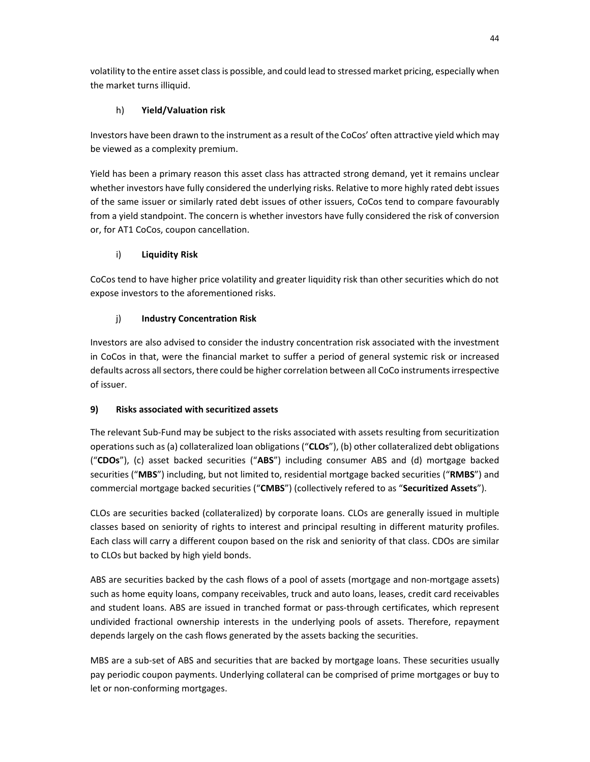volatility to the entire asset class is possible, and could lead to stressed market pricing, especially when the market turns illiquid.

# h) **Yield/Valuation risk**

Investors have been drawn to the instrument as a result of the CoCos' often attractive yield which may be viewed as a complexity premium.

Yield has been a primary reason this asset class has attracted strong demand, yet it remains unclear whether investors have fully considered the underlying risks. Relative to more highly rated debt issues of the same issuer or similarly rated debt issues of other issuers, CoCos tend to compare favourably from a yield standpoint. The concern is whether investors have fully considered the risk of conversion or, for AT1 CoCos, coupon cancellation.

# i) **Liquidity Risk**

CoCos tend to have higher price volatility and greater liquidity risk than other securities which do not expose investors to the aforementioned risks.

# j) **Industry Concentration Risk**

Investors are also advised to consider the industry concentration risk associated with the investment in CoCos in that, were the financial market to suffer a period of general systemic risk or increased defaults across all sectors, there could be higher correlation between all CoCo instruments irrespective of issuer.

# **9) Risks associated with securitized assets**

The relevant Sub-Fund may be subject to the risks associated with assets resulting from securitization operations such as (a) collateralized loan obligations ("**CLOs**"), (b) other collateralized debt obligations ("**CDOs**"), (c) asset backed securities ("**ABS**") including consumer ABS and (d) mortgage backed securities ("**MBS**") including, but not limited to, residential mortgage backed securities ("**RMBS**") and commercial mortgage backed securities ("**CMBS**") (collectively refered to as "**Securitized Assets**").

CLOs are securities backed (collateralized) by corporate loans. CLOs are generally issued in multiple classes based on seniority of rights to interest and principal resulting in different maturity profiles. Each class will carry a different coupon based on the risk and seniority of that class. CDOs are similar to CLOs but backed by high yield bonds.

ABS are securities backed by the cash flows of a pool of assets (mortgage and non-mortgage assets) such as home equity loans, company receivables, truck and auto loans, leases, credit card receivables and student loans. ABS are issued in tranched format or pass-through certificates, which represent undivided fractional ownership interests in the underlying pools of assets. Therefore, repayment depends largely on the cash flows generated by the assets backing the securities.

MBS are a sub-set of ABS and securities that are backed by mortgage loans. These securities usually pay periodic coupon payments. Underlying collateral can be comprised of prime mortgages or buy to let or non-conforming mortgages.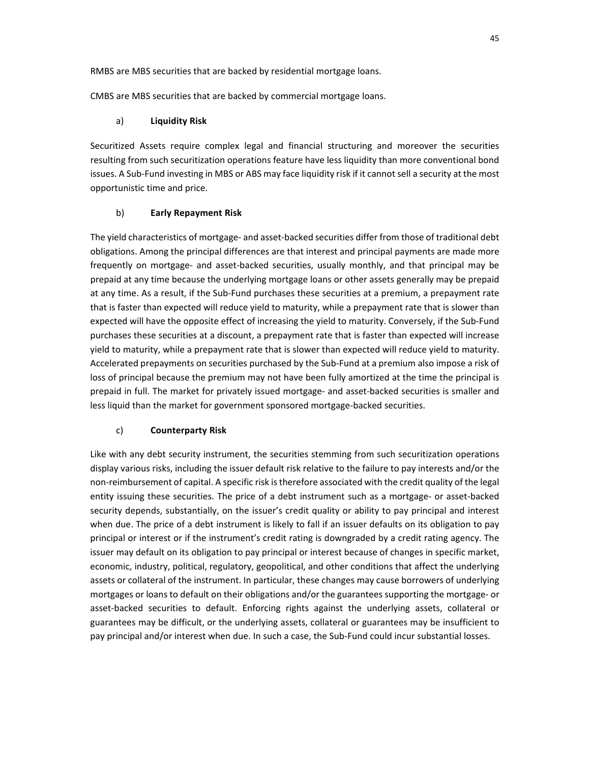RMBS are MBS securities that are backed by residential mortgage loans.

CMBS are MBS securities that are backed by commercial mortgage loans.

### a) **Liquidity Risk**

Securitized Assets require complex legal and financial structuring and moreover the securities resulting from such securitization operations feature have less liquidity than more conventional bond issues. A Sub-Fund investing in MBS or ABS may face liquidity risk if it cannot sell a security at the most opportunistic time and price.

## b) **Early Repayment Risk**

The yield characteristics of mortgage- and asset-backed securities differ from those of traditional debt obligations. Among the principal differences are that interest and principal payments are made more frequently on mortgage- and asset-backed securities, usually monthly, and that principal may be prepaid at any time because the underlying mortgage loans or other assets generally may be prepaid at any time. As a result, if the Sub-Fund purchases these securities at a premium, a prepayment rate that is faster than expected will reduce yield to maturity, while a prepayment rate that is slower than expected will have the opposite effect of increasing the yield to maturity. Conversely, if the Sub-Fund purchases these securities at a discount, a prepayment rate that is faster than expected will increase yield to maturity, while a prepayment rate that is slower than expected will reduce yield to maturity. Accelerated prepayments on securities purchased by the Sub-Fund at a premium also impose a risk of loss of principal because the premium may not have been fully amortized at the time the principal is prepaid in full. The market for privately issued mortgage- and asset-backed securities is smaller and less liquid than the market for government sponsored mortgage-backed securities.

## c) **Counterparty Risk**

Like with any debt security instrument, the securities stemming from such securitization operations display various risks, including the issuer default risk relative to the failure to pay interests and/or the non-reimbursement of capital. A specific risk is therefore associated with the credit quality of the legal entity issuing these securities. The price of a debt instrument such as a mortgage- or asset-backed security depends, substantially, on the issuer's credit quality or ability to pay principal and interest when due. The price of a debt instrument is likely to fall if an issuer defaults on its obligation to pay principal or interest or if the instrument's credit rating is downgraded by a credit rating agency. The issuer may default on its obligation to pay principal or interest because of changes in specific market, economic, industry, political, regulatory, geopolitical, and other conditions that affect the underlying assets or collateral of the instrument. In particular, these changes may cause borrowers of underlying mortgages or loans to default on their obligations and/or the guarantees supporting the mortgage- or asset-backed securities to default. Enforcing rights against the underlying assets, collateral or guarantees may be difficult, or the underlying assets, collateral or guarantees may be insufficient to pay principal and/or interest when due. In such a case, the Sub-Fund could incur substantial losses.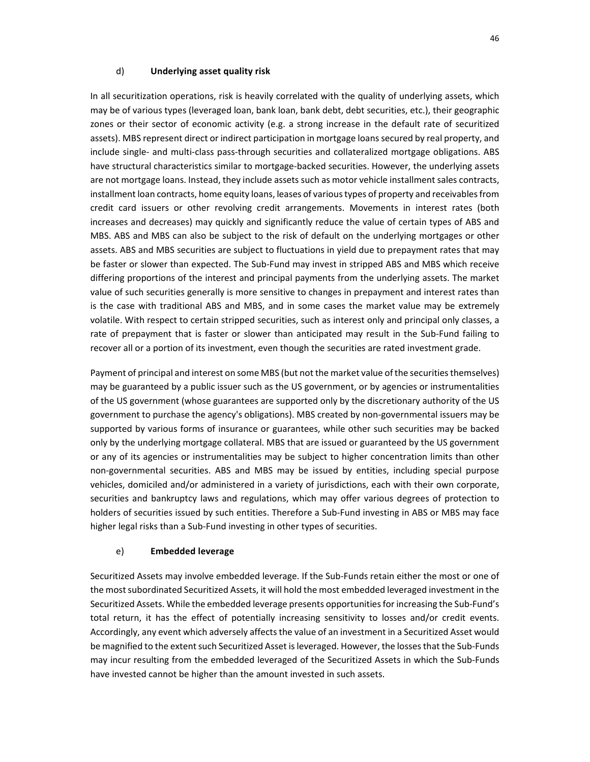#### d) **Underlying asset quality risk**

In all securitization operations, risk is heavily correlated with the quality of underlying assets, which may be of various types (leveraged loan, bank loan, bank debt, debt securities, etc.), their geographic zones or their sector of economic activity (e.g. a strong increase in the default rate of securitized assets). MBS represent direct or indirect participation in mortgage loans secured by real property, and include single- and multi-class pass-through securities and collateralized mortgage obligations. ABS have structural characteristics similar to mortgage-backed securities. However, the underlying assets are not mortgage loans. Instead, they include assets such as motor vehicle installment sales contracts, installment loan contracts, home equity loans, leases of various types of property and receivables from credit card issuers or other revolving credit arrangements. Movements in interest rates (both increases and decreases) may quickly and significantly reduce the value of certain types of ABS and MBS. ABS and MBS can also be subject to the risk of default on the underlying mortgages or other assets. ABS and MBS securities are subject to fluctuations in yield due to prepayment rates that may be faster or slower than expected. The Sub-Fund may invest in stripped ABS and MBS which receive differing proportions of the interest and principal payments from the underlying assets. The market value of such securities generally is more sensitive to changes in prepayment and interest rates than is the case with traditional ABS and MBS, and in some cases the market value may be extremely volatile. With respect to certain stripped securities, such as interest only and principal only classes, a rate of prepayment that is faster or slower than anticipated may result in the Sub-Fund failing to recover all or a portion of its investment, even though the securities are rated investment grade.

Payment of principal and interest on some MBS (but not the market value of the securities themselves) may be guaranteed by a public issuer such as the US government, or by agencies or instrumentalities of the US government (whose guarantees are supported only by the discretionary authority of the US government to purchase the agency's obligations). MBS created by non-governmental issuers may be supported by various forms of insurance or guarantees, while other such securities may be backed only by the underlying mortgage collateral. MBS that are issued or guaranteed by the US government or any of its agencies or instrumentalities may be subject to higher concentration limits than other non-governmental securities. ABS and MBS may be issued by entities, including special purpose vehicles, domiciled and/or administered in a variety of jurisdictions, each with their own corporate, securities and bankruptcy laws and regulations, which may offer various degrees of protection to holders of securities issued by such entities. Therefore a Sub-Fund investing in ABS or MBS may face higher legal risks than a Sub-Fund investing in other types of securities.

### e) **Embedded leverage**

Securitized Assets may involve embedded leverage. If the Sub-Funds retain either the most or one of the most subordinated Securitized Assets, it will hold the most embedded leveraged investment in the Securitized Assets. While the embedded leverage presents opportunities for increasing the Sub-Fund's total return, it has the effect of potentially increasing sensitivity to losses and/or credit events. Accordingly, any event which adversely affects the value of an investment in a Securitized Asset would be magnified to the extent such Securitized Asset is leveraged. However, the losses that the Sub-Funds may incur resulting from the embedded leveraged of the Securitized Assets in which the Sub-Funds have invested cannot be higher than the amount invested in such assets.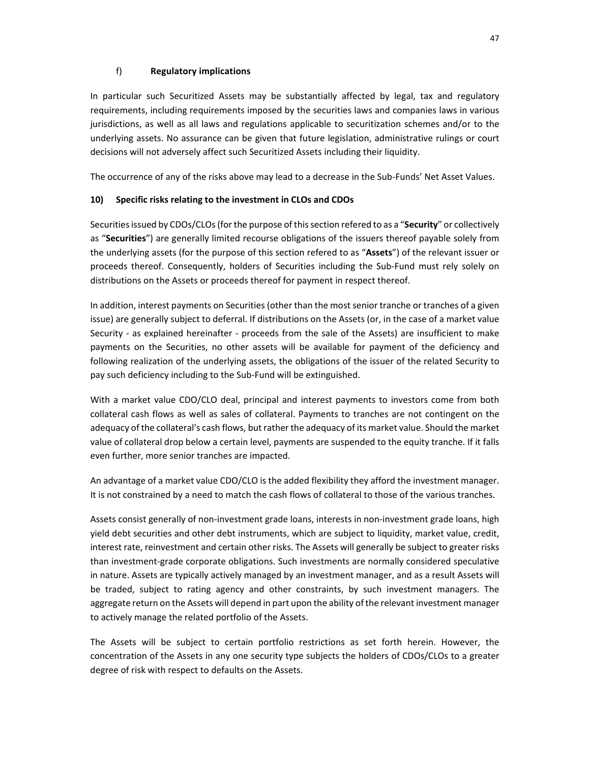## f) **Regulatory implications**

In particular such Securitized Assets may be substantially affected by legal, tax and regulatory requirements, including requirements imposed by the securities laws and companies laws in various jurisdictions, as well as all laws and regulations applicable to securitization schemes and/or to the underlying assets. No assurance can be given that future legislation, administrative rulings or court decisions will not adversely affect such Securitized Assets including their liquidity.

The occurrence of any of the risks above may lead to a decrease in the Sub-Funds' Net Asset Values.

### **10) Specific risks relating to the investment in CLOs and CDOs**

Securities issued by CDOs/CLOs (for the purpose of this section refered to as a "**Security**" or collectively as "**Securities**") are generally limited recourse obligations of the issuers thereof payable solely from the underlying assets (for the purpose of this section refered to as "**Assets**") of the relevant issuer or proceeds thereof. Consequently, holders of Securities including the Sub-Fund must rely solely on distributions on the Assets or proceeds thereof for payment in respect thereof.

In addition, interest payments on Securities (other than the most senior tranche or tranches of a given issue) are generally subject to deferral. If distributions on the Assets (or, in the case of a market value Security - as explained hereinafter - proceeds from the sale of the Assets) are insufficient to make payments on the Securities, no other assets will be available for payment of the deficiency and following realization of the underlying assets, the obligations of the issuer of the related Security to pay such deficiency including to the Sub-Fund will be extinguished.

With a market value CDO/CLO deal, principal and interest payments to investors come from both collateral cash flows as well as sales of collateral. Payments to tranches are not contingent on the adequacy of the collateral's cash flows, but rather the adequacy of its market value. Should the market value of collateral drop below a certain level, payments are suspended to the equity tranche. If it falls even further, more senior tranches are impacted.

An advantage of a market value CDO/CLO is the added flexibility they afford the investment manager. It is not constrained by a need to match the cash flows of collateral to those of the various tranches.

Assets consist generally of non-investment grade loans, interests in non-investment grade loans, high yield debt securities and other debt instruments, which are subject to liquidity, market value, credit, interest rate, reinvestment and certain other risks. The Assets will generally be subject to greater risks than investment-grade corporate obligations. Such investments are normally considered speculative in nature. Assets are typically actively managed by an investment manager, and as a result Assets will be traded, subject to rating agency and other constraints, by such investment managers. The aggregate return on the Assets will depend in part upon the ability of the relevant investment manager to actively manage the related portfolio of the Assets.

The Assets will be subject to certain portfolio restrictions as set forth herein. However, the concentration of the Assets in any one security type subjects the holders of CDOs/CLOs to a greater degree of risk with respect to defaults on the Assets.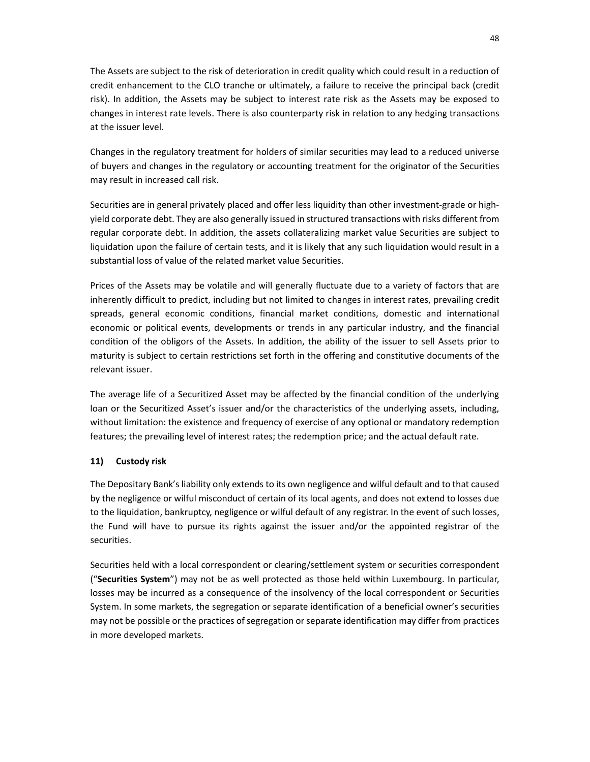The Assets are subject to the risk of deterioration in credit quality which could result in a reduction of credit enhancement to the CLO tranche or ultimately, a failure to receive the principal back (credit risk). In addition, the Assets may be subject to interest rate risk as the Assets may be exposed to changes in interest rate levels. There is also counterparty risk in relation to any hedging transactions at the issuer level.

Changes in the regulatory treatment for holders of similar securities may lead to a reduced universe of buyers and changes in the regulatory or accounting treatment for the originator of the Securities may result in increased call risk.

Securities are in general privately placed and offer less liquidity than other investment-grade or highyield corporate debt. They are also generally issued in structured transactions with risks different from regular corporate debt. In addition, the assets collateralizing market value Securities are subject to liquidation upon the failure of certain tests, and it is likely that any such liquidation would result in a substantial loss of value of the related market value Securities.

Prices of the Assets may be volatile and will generally fluctuate due to a variety of factors that are inherently difficult to predict, including but not limited to changes in interest rates, prevailing credit spreads, general economic conditions, financial market conditions, domestic and international economic or political events, developments or trends in any particular industry, and the financial condition of the obligors of the Assets. In addition, the ability of the issuer to sell Assets prior to maturity is subject to certain restrictions set forth in the offering and constitutive documents of the relevant issuer.

The average life of a Securitized Asset may be affected by the financial condition of the underlying loan or the Securitized Asset's issuer and/or the characteristics of the underlying assets, including, without limitation: the existence and frequency of exercise of any optional or mandatory redemption features; the prevailing level of interest rates; the redemption price; and the actual default rate.

### **11) Custody risk**

The Depositary Bank's liability only extends to its own negligence and wilful default and to that caused by the negligence or wilful misconduct of certain of its local agents, and does not extend to losses due to the liquidation, bankruptcy, negligence or wilful default of any registrar. In the event of such losses, the Fund will have to pursue its rights against the issuer and/or the appointed registrar of the securities.

Securities held with a local correspondent or clearing/settlement system or securities correspondent ("**Securities System**") may not be as well protected as those held within Luxembourg. In particular, losses may be incurred as a consequence of the insolvency of the local correspondent or Securities System. In some markets, the segregation or separate identification of a beneficial owner's securities may not be possible or the practices of segregation or separate identification may differ from practices in more developed markets.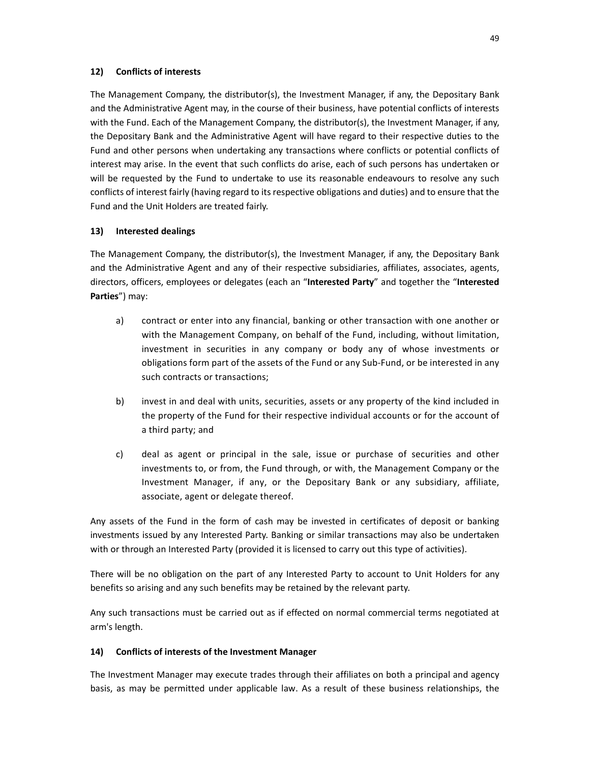### **12) Conflicts of interests**

The Management Company, the distributor(s), the Investment Manager, if any, the Depositary Bank and the Administrative Agent may, in the course of their business, have potential conflicts of interests with the Fund. Each of the Management Company, the distributor(s), the Investment Manager, if any, the Depositary Bank and the Administrative Agent will have regard to their respective duties to the Fund and other persons when undertaking any transactions where conflicts or potential conflicts of interest may arise. In the event that such conflicts do arise, each of such persons has undertaken or will be requested by the Fund to undertake to use its reasonable endeavours to resolve any such conflicts of interest fairly (having regard to its respective obligations and duties) and to ensure that the Fund and the Unit Holders are treated fairly.

#### **13) Interested dealings**

The Management Company, the distributor(s), the Investment Manager, if any, the Depositary Bank and the Administrative Agent and any of their respective subsidiaries, affiliates, associates, agents, directors, officers, employees or delegates (each an "**Interested Party**" and together the "**Interested Parties**") may:

- a) contract or enter into any financial, banking or other transaction with one another or with the Management Company, on behalf of the Fund, including, without limitation, investment in securities in any company or body any of whose investments or obligations form part of the assets of the Fund or any Sub-Fund, or be interested in any such contracts or transactions;
- b) invest in and deal with units, securities, assets or any property of the kind included in the property of the Fund for their respective individual accounts or for the account of a third party; and
- c) deal as agent or principal in the sale, issue or purchase of securities and other investments to, or from, the Fund through, or with, the Management Company or the Investment Manager, if any, or the Depositary Bank or any subsidiary, affiliate, associate, agent or delegate thereof.

Any assets of the Fund in the form of cash may be invested in certificates of deposit or banking investments issued by any Interested Party. Banking or similar transactions may also be undertaken with or through an Interested Party (provided it is licensed to carry out this type of activities).

There will be no obligation on the part of any Interested Party to account to Unit Holders for any benefits so arising and any such benefits may be retained by the relevant party.

Any such transactions must be carried out as if effected on normal commercial terms negotiated at arm's length.

#### **14) Conflicts of interests of the Investment Manager**

The Investment Manager may execute trades through their affiliates on both a principal and agency basis, as may be permitted under applicable law. As a result of these business relationships, the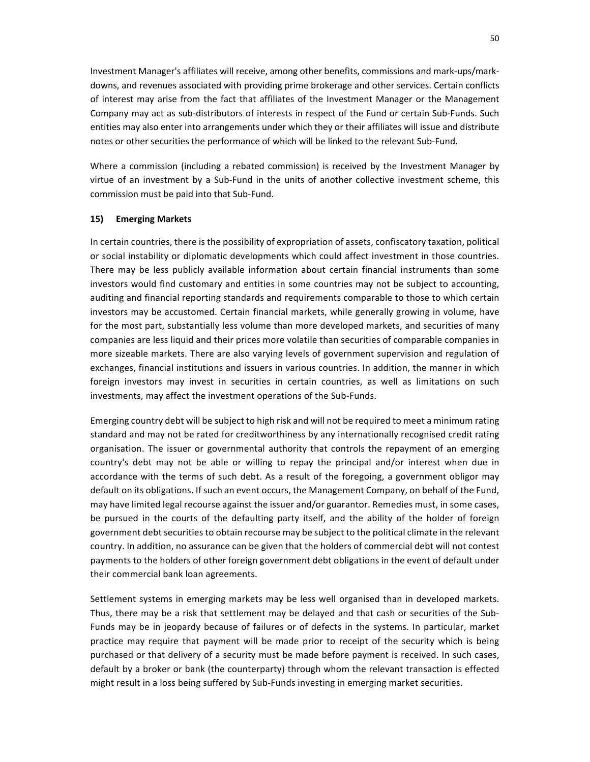Investment Manager's affiliates will receive, among other benefits, commissions and mark-ups/markdowns, and revenues associated with providing prime brokerage and other services. Certain conflicts of interest may arise from the fact that affiliates of the Investment Manager or the Management Company may act as sub-distributors of interests in respect of the Fund or certain Sub-Funds. Such entities may also enter into arrangements under which they or their affiliates will issue and distribute notes or other securities the performance of which will be linked to the relevant Sub-Fund.

Where a commission (including a rebated commission) is received by the Investment Manager by virtue of an investment by a Sub-Fund in the units of another collective investment scheme, this commission must be paid into that Sub-Fund.

#### **15) Emerging Markets**

In certain countries, there is the possibility of expropriation of assets, confiscatory taxation, political or social instability or diplomatic developments which could affect investment in those countries. There may be less publicly available information about certain financial instruments than some investors would find customary and entities in some countries may not be subject to accounting, auditing and financial reporting standards and requirements comparable to those to which certain investors may be accustomed. Certain financial markets, while generally growing in volume, have for the most part, substantially less volume than more developed markets, and securities of many companies are less liquid and their prices more volatile than securities of comparable companies in more sizeable markets. There are also varying levels of government supervision and regulation of exchanges, financial institutions and issuers in various countries. In addition, the manner in which foreign investors may invest in securities in certain countries, as well as limitations on such investments, may affect the investment operations of the Sub-Funds.

Emerging country debt will be subject to high risk and will not be required to meet a minimum rating standard and may not be rated for creditworthiness by any internationally recognised credit rating organisation. The issuer or governmental authority that controls the repayment of an emerging country's debt may not be able or willing to repay the principal and/or interest when due in accordance with the terms of such debt. As a result of the foregoing, a government obligor may default on its obligations. If such an event occurs, the Management Company, on behalf of the Fund, may have limited legal recourse against the issuer and/or guarantor. Remedies must, in some cases, be pursued in the courts of the defaulting party itself, and the ability of the holder of foreign government debt securities to obtain recourse may be subject to the political climate in the relevant country. In addition, no assurance can be given that the holders of commercial debt will not contest payments to the holders of other foreign government debt obligations in the event of default under their commercial bank loan agreements.

Settlement systems in emerging markets may be less well organised than in developed markets. Thus, there may be a risk that settlement may be delayed and that cash or securities of the Sub-Funds may be in jeopardy because of failures or of defects in the systems. In particular, market practice may require that payment will be made prior to receipt of the security which is being purchased or that delivery of a security must be made before payment is received. In such cases, default by a broker or bank (the counterparty) through whom the relevant transaction is effected might result in a loss being suffered by Sub-Funds investing in emerging market securities.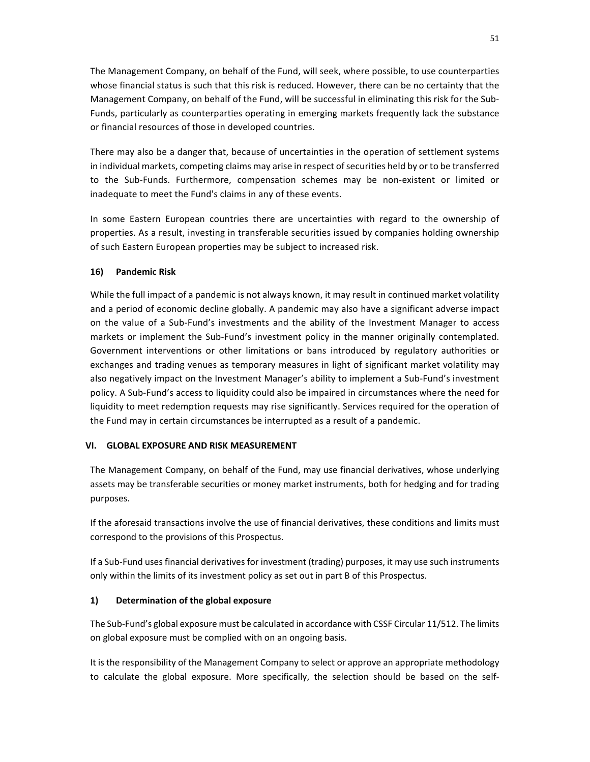The Management Company, on behalf of the Fund, will seek, where possible, to use counterparties whose financial status is such that this risk is reduced. However, there can be no certainty that the Management Company, on behalf of the Fund, will be successful in eliminating this risk for the Sub-Funds, particularly as counterparties operating in emerging markets frequently lack the substance or financial resources of those in developed countries.

There may also be a danger that, because of uncertainties in the operation of settlement systems in individual markets, competing claims may arise in respect of securities held by or to be transferred to the Sub-Funds. Furthermore, compensation schemes may be non-existent or limited or inadequate to meet the Fund's claims in any of these events.

In some Eastern European countries there are uncertainties with regard to the ownership of properties. As a result, investing in transferable securities issued by companies holding ownership of such Eastern European properties may be subject to increased risk.

### **16) Pandemic Risk**

While the full impact of a pandemic is not always known, it may result in continued market volatility and a period of economic decline globally. A pandemic may also have a significant adverse impact on the value of a Sub-Fund's investments and the ability of the Investment Manager to access markets or implement the Sub-Fund's investment policy in the manner originally contemplated. Government interventions or other limitations or bans introduced by regulatory authorities or exchanges and trading venues as temporary measures in light of significant market volatility may also negatively impact on the Investment Manager's ability to implement a Sub-Fund's investment policy. A Sub-Fund's access to liquidity could also be impaired in circumstances where the need for liquidity to meet redemption requests may rise significantly. Services required for the operation of the Fund may in certain circumstances be interrupted as a result of a pandemic.

### **VI. GLOBAL EXPOSURE AND RISK MEASUREMENT**

The Management Company, on behalf of the Fund, may use financial derivatives, whose underlying assets may be transferable securities or money market instruments, both for hedging and for trading purposes.

If the aforesaid transactions involve the use of financial derivatives, these conditions and limits must correspond to the provisions of this Prospectus.

If a Sub-Fund uses financial derivatives for investment (trading) purposes, it may use such instruments only within the limits of its investment policy as set out in part B of this Prospectus.

## **1) Determination of the global exposure**

The Sub-Fund's global exposure must be calculated in accordance with CSSF Circular 11/512. The limits on global exposure must be complied with on an ongoing basis.

It is the responsibility of the Management Company to select or approve an appropriate methodology to calculate the global exposure. More specifically, the selection should be based on the self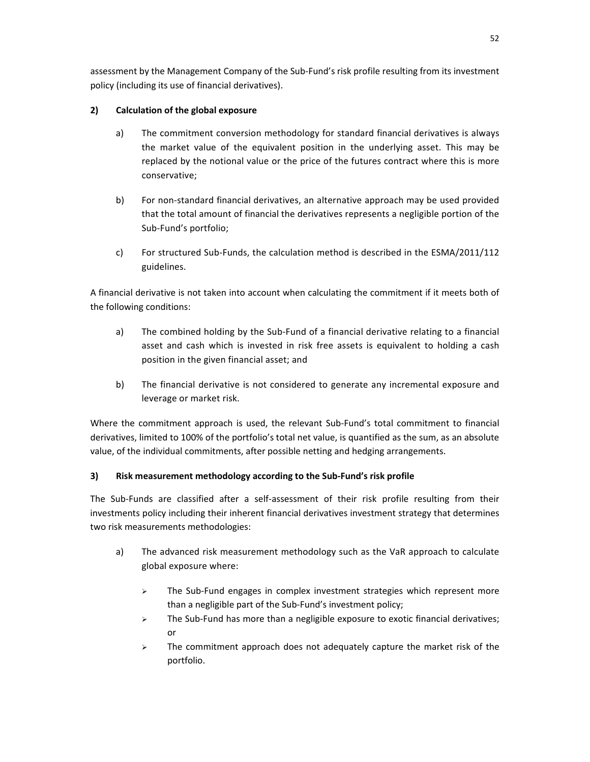assessment by the Management Company of the Sub-Fund's risk profile resulting from its investment policy (including its use of financial derivatives).

# **2) Calculation of the global exposure**

- a) The commitment conversion methodology for standard financial derivatives is always the market value of the equivalent position in the underlying asset. This may be replaced by the notional value or the price of the futures contract where this is more conservative;
- b) For non-standard financial derivatives, an alternative approach may be used provided that the total amount of financial the derivatives represents a negligible portion of the Sub-Fund's portfolio;
- c) For structured Sub-Funds, the calculation method is described in the ESMA/2011/112 guidelines.

A financial derivative is not taken into account when calculating the commitment if it meets both of the following conditions:

- a) The combined holding by the Sub-Fund of a financial derivative relating to a financial asset and cash which is invested in risk free assets is equivalent to holding a cash position in the given financial asset; and
- b) The financial derivative is not considered to generate any incremental exposure and leverage or market risk.

Where the commitment approach is used, the relevant Sub-Fund's total commitment to financial derivatives, limited to 100% of the portfolio's total net value, is quantified as the sum, as an absolute value, of the individual commitments, after possible netting and hedging arrangements.

# **3) Risk measurement methodology according to the Sub-Fund's risk profile**

The Sub-Funds are classified after a self-assessment of their risk profile resulting from their investments policy including their inherent financial derivatives investment strategy that determines two risk measurements methodologies:

- a) The advanced risk measurement methodology such as the VaR approach to calculate global exposure where:
	- $\triangleright$  The Sub-Fund engages in complex investment strategies which represent more than a negligible part of the Sub-Fund's investment policy;
	- $\triangleright$  The Sub-Fund has more than a negligible exposure to exotic financial derivatives; or
	- $\triangleright$  The commitment approach does not adequately capture the market risk of the portfolio.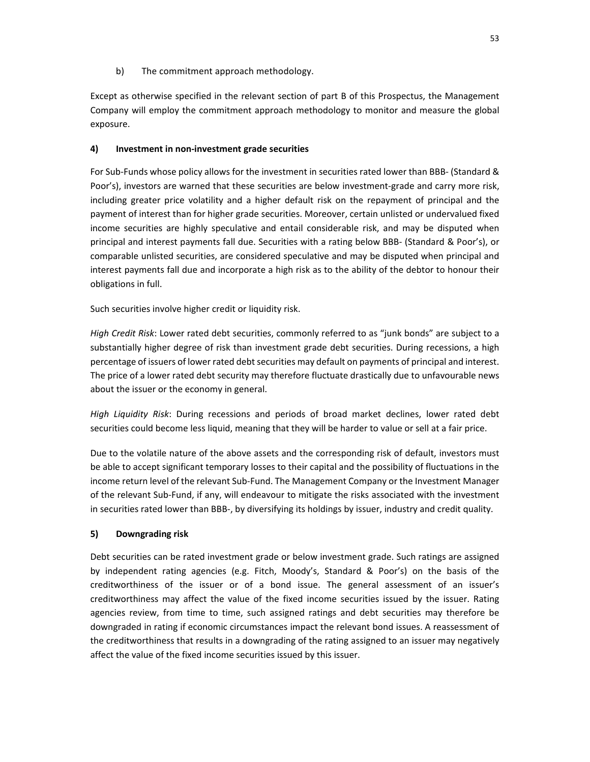b) The commitment approach methodology.

Except as otherwise specified in the relevant section of part B of this Prospectus, the Management Company will employ the commitment approach methodology to monitor and measure the global exposure.

### **4) Investment in non-investment grade securities**

For Sub-Funds whose policy allows for the investment in securities rated lower than BBB- (Standard & Poor's), investors are warned that these securities are below investment-grade and carry more risk, including greater price volatility and a higher default risk on the repayment of principal and the payment of interest than for higher grade securities. Moreover, certain unlisted or undervalued fixed income securities are highly speculative and entail considerable risk, and may be disputed when principal and interest payments fall due. Securities with a rating below BBB- (Standard & Poor's), or comparable unlisted securities, are considered speculative and may be disputed when principal and interest payments fall due and incorporate a high risk as to the ability of the debtor to honour their obligations in full.

Such securities involve higher credit or liquidity risk.

*High Credit Risk*: Lower rated debt securities, commonly referred to as "junk bonds" are subject to a substantially higher degree of risk than investment grade debt securities. During recessions, a high percentage of issuers of lower rated debt securities may default on payments of principal and interest. The price of a lower rated debt security may therefore fluctuate drastically due to unfavourable news about the issuer or the economy in general.

*High Liquidity Risk*: During recessions and periods of broad market declines, lower rated debt securities could become less liquid, meaning that they will be harder to value or sell at a fair price.

Due to the volatile nature of the above assets and the corresponding risk of default, investors must be able to accept significant temporary losses to their capital and the possibility of fluctuations in the income return level of the relevant Sub-Fund. The Management Company or the Investment Manager of the relevant Sub-Fund, if any, will endeavour to mitigate the risks associated with the investment in securities rated lower than BBB-, by diversifying its holdings by issuer, industry and credit quality.

## **5) Downgrading risk**

Debt securities can be rated investment grade or below investment grade. Such ratings are assigned by independent rating agencies (e.g. Fitch, Moody's, Standard & Poor's) on the basis of the creditworthiness of the issuer or of a bond issue. The general assessment of an issuer's creditworthiness may affect the value of the fixed income securities issued by the issuer. Rating agencies review, from time to time, such assigned ratings and debt securities may therefore be downgraded in rating if economic circumstances impact the relevant bond issues. A reassessment of the creditworthiness that results in a downgrading of the rating assigned to an issuer may negatively affect the value of the fixed income securities issued by this issuer.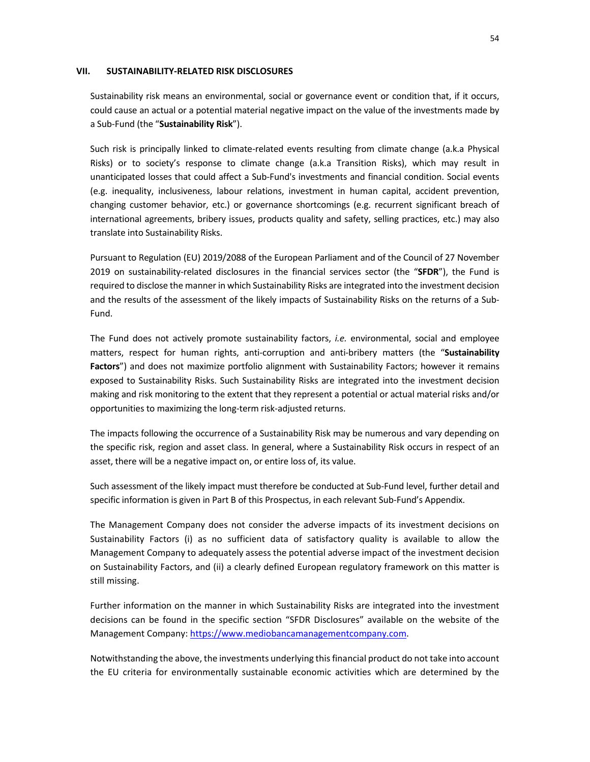#### **VII. SUSTAINABILITY-RELATED RISK DISCLOSURES**

Sustainability risk means an environmental, social or governance event or condition that, if it occurs, could cause an actual or a potential material negative impact on the value of the investments made by a Sub-Fund (the "**Sustainability Risk**").

Such risk is principally linked to climate-related events resulting from climate change (a.k.a Physical Risks) or to society's response to climate change (a.k.a Transition Risks), which may result in unanticipated losses that could affect a Sub-Fund's investments and financial condition. Social events (e.g. inequality, inclusiveness, labour relations, investment in human capital, accident prevention, changing customer behavior, etc.) or governance shortcomings (e.g. recurrent significant breach of international agreements, bribery issues, products quality and safety, selling practices, etc.) may also translate into Sustainability Risks.

Pursuant to Regulation (EU) 2019/2088 of the European Parliament and of the Council of 27 November 2019 on sustainability-related disclosures in the financial services sector (the "**SFDR**"), the Fund is required to disclose the manner in which Sustainability Risks are integrated into the investment decision and the results of the assessment of the likely impacts of Sustainability Risks on the returns of a Sub-Fund.

The Fund does not actively promote sustainability factors, *i.e.* environmental, social and employee matters, respect for human rights, anti-corruption and anti-bribery matters (the "**Sustainability Factors**") and does not maximize portfolio alignment with Sustainability Factors; however it remains exposed to Sustainability Risks. Such Sustainability Risks are integrated into the investment decision making and risk monitoring to the extent that they represent a potential or actual material risks and/or opportunities to maximizing the long-term risk-adjusted returns.

The impacts following the occurrence of a Sustainability Risk may be numerous and vary depending on the specific risk, region and asset class. In general, where a Sustainability Risk occurs in respect of an asset, there will be a negative impact on, or entire loss of, its value.

Such assessment of the likely impact must therefore be conducted at Sub-Fund level, further detail and specific information is given in Part B of this Prospectus, in each relevant Sub-Fund's Appendix.

The Management Company does not consider the adverse impacts of its investment decisions on Sustainability Factors (i) as no sufficient data of satisfactory quality is available to allow the Management Company to adequately assess the potential adverse impact of the investment decision on Sustainability Factors, and (ii) a clearly defined European regulatory framework on this matter is still missing.

Further information on the manner in which Sustainability Risks are integrated into the investment decisions can be found in the specific section "SFDR Disclosures" available on the website of the Management Company: https://www.mediobancamanagementcompany.com.

Notwithstanding the above, the investments underlying this financial product do not take into account the EU criteria for environmentally sustainable economic activities which are determined by the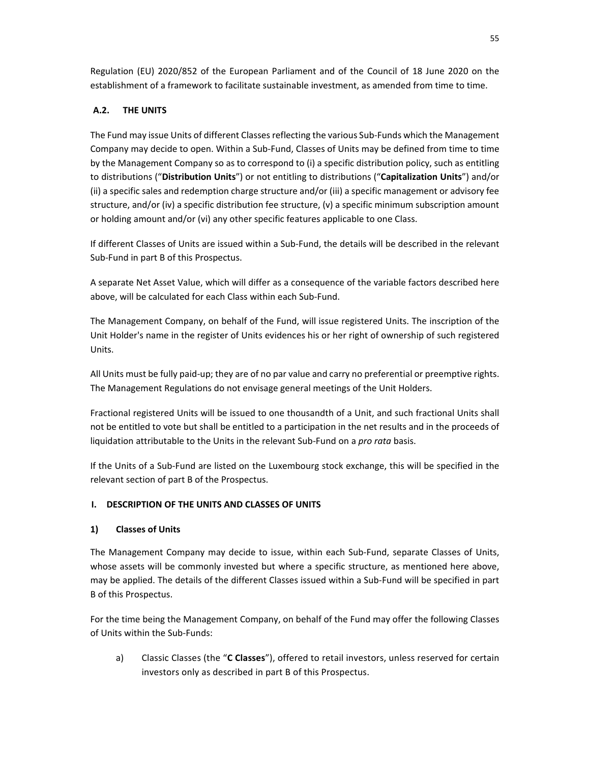Regulation (EU) 2020/852 of the European Parliament and of the Council of 18 June 2020 on the establishment of a framework to facilitate sustainable investment, as amended from time to time.

# **A.2. THE UNITS**

The Fund may issue Units of different Classes reflecting the various Sub-Funds which the Management Company may decide to open. Within a Sub-Fund, Classes of Units may be defined from time to time by the Management Company so as to correspond to (i) a specific distribution policy, such as entitling to distributions ("**Distribution Units**") or not entitling to distributions ("**Capitalization Units**") and/or (ii) a specific sales and redemption charge structure and/or (iii) a specific management or advisory fee structure, and/or (iv) a specific distribution fee structure, (v) a specific minimum subscription amount or holding amount and/or (vi) any other specific features applicable to one Class.

If different Classes of Units are issued within a Sub-Fund, the details will be described in the relevant Sub-Fund in part B of this Prospectus.

A separate Net Asset Value, which will differ as a consequence of the variable factors described here above, will be calculated for each Class within each Sub-Fund.

The Management Company, on behalf of the Fund, will issue registered Units. The inscription of the Unit Holder's name in the register of Units evidences his or her right of ownership of such registered Units.

All Units must be fully paid-up; they are of no par value and carry no preferential or preemptive rights. The Management Regulations do not envisage general meetings of the Unit Holders.

Fractional registered Units will be issued to one thousandth of a Unit, and such fractional Units shall not be entitled to vote but shall be entitled to a participation in the net results and in the proceeds of liquidation attributable to the Units in the relevant Sub-Fund on a *pro rata* basis.

If the Units of a Sub-Fund are listed on the Luxembourg stock exchange, this will be specified in the relevant section of part B of the Prospectus.

## **I. DESCRIPTION OF THE UNITS AND CLASSES OF UNITS**

## **1) Classes of Units**

The Management Company may decide to issue, within each Sub-Fund, separate Classes of Units, whose assets will be commonly invested but where a specific structure, as mentioned here above, may be applied. The details of the different Classes issued within a Sub-Fund will be specified in part B of this Prospectus.

For the time being the Management Company, on behalf of the Fund may offer the following Classes of Units within the Sub-Funds:

a) Classic Classes (the "**C Classes**"), offered to retail investors, unless reserved for certain investors only as described in part B of this Prospectus.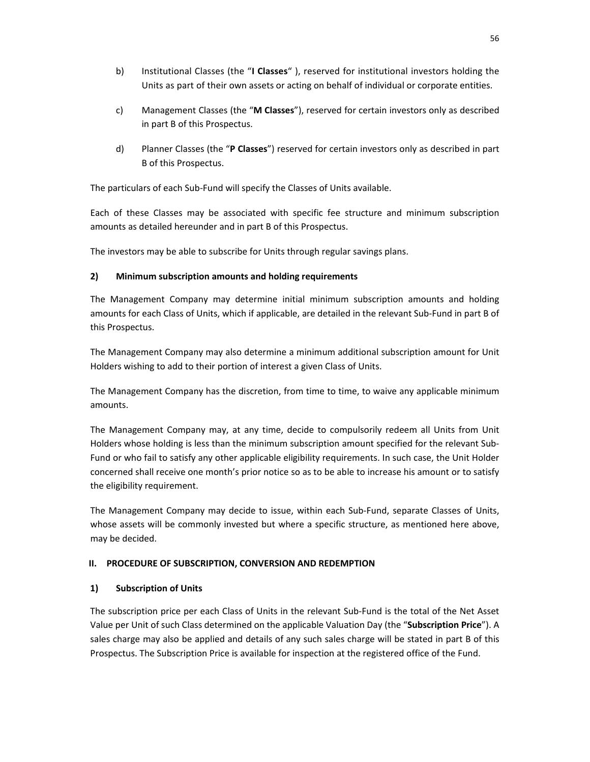- b) Institutional Classes (the "**I Classes**" ), reserved for institutional investors holding the Units as part of their own assets or acting on behalf of individual or corporate entities.
- c) Management Classes (the "**M Classes**"), reserved for certain investors only as described in part B of this Prospectus.
- d) Planner Classes (the "**P Classes**") reserved for certain investors only as described in part B of this Prospectus.

The particulars of each Sub-Fund will specify the Classes of Units available.

Each of these Classes may be associated with specific fee structure and minimum subscription amounts as detailed hereunder and in part B of this Prospectus.

The investors may be able to subscribe for Units through regular savings plans.

### **2) Minimum subscription amounts and holding requirements**

The Management Company may determine initial minimum subscription amounts and holding amounts for each Class of Units, which if applicable, are detailed in the relevant Sub-Fund in part B of this Prospectus.

The Management Company may also determine a minimum additional subscription amount for Unit Holders wishing to add to their portion of interest a given Class of Units.

The Management Company has the discretion, from time to time, to waive any applicable minimum amounts.

The Management Company may, at any time, decide to compulsorily redeem all Units from Unit Holders whose holding is less than the minimum subscription amount specified for the relevant Sub-Fund or who fail to satisfy any other applicable eligibility requirements. In such case, the Unit Holder concerned shall receive one month's prior notice so as to be able to increase his amount or to satisfy the eligibility requirement.

The Management Company may decide to issue, within each Sub-Fund, separate Classes of Units, whose assets will be commonly invested but where a specific structure, as mentioned here above, may be decided.

### **II. PROCEDURE OF SUBSCRIPTION, CONVERSION AND REDEMPTION**

### **1) Subscription of Units**

The subscription price per each Class of Units in the relevant Sub-Fund is the total of the Net Asset Value per Unit of such Class determined on the applicable Valuation Day (the "**Subscription Price**"). A sales charge may also be applied and details of any such sales charge will be stated in part B of this Prospectus. The Subscription Price is available for inspection at the registered office of the Fund.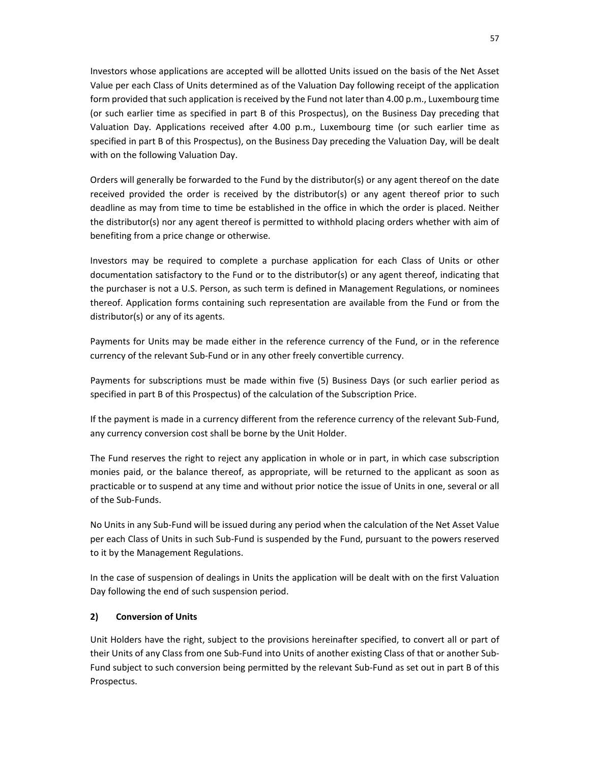Investors whose applications are accepted will be allotted Units issued on the basis of the Net Asset Value per each Class of Units determined as of the Valuation Day following receipt of the application form provided that such application is received by the Fund not later than 4.00 p.m., Luxembourg time (or such earlier time as specified in part B of this Prospectus), on the Business Day preceding that Valuation Day. Applications received after 4.00 p.m., Luxembourg time (or such earlier time as specified in part B of this Prospectus), on the Business Day preceding the Valuation Day, will be dealt with on the following Valuation Day.

Orders will generally be forwarded to the Fund by the distributor(s) or any agent thereof on the date received provided the order is received by the distributor(s) or any agent thereof prior to such deadline as may from time to time be established in the office in which the order is placed. Neither the distributor(s) nor any agent thereof is permitted to withhold placing orders whether with aim of benefiting from a price change or otherwise.

Investors may be required to complete a purchase application for each Class of Units or other documentation satisfactory to the Fund or to the distributor(s) or any agent thereof, indicating that the purchaser is not a U.S. Person, as such term is defined in Management Regulations, or nominees thereof. Application forms containing such representation are available from the Fund or from the distributor(s) or any of its agents.

Payments for Units may be made either in the reference currency of the Fund, or in the reference currency of the relevant Sub-Fund or in any other freely convertible currency.

Payments for subscriptions must be made within five (5) Business Days (or such earlier period as specified in part B of this Prospectus) of the calculation of the Subscription Price.

If the payment is made in a currency different from the reference currency of the relevant Sub-Fund, any currency conversion cost shall be borne by the Unit Holder.

The Fund reserves the right to reject any application in whole or in part, in which case subscription monies paid, or the balance thereof, as appropriate, will be returned to the applicant as soon as practicable or to suspend at any time and without prior notice the issue of Units in one, several or all of the Sub-Funds.

No Units in any Sub-Fund will be issued during any period when the calculation of the Net Asset Value per each Class of Units in such Sub-Fund is suspended by the Fund, pursuant to the powers reserved to it by the Management Regulations.

In the case of suspension of dealings in Units the application will be dealt with on the first Valuation Day following the end of such suspension period.

### **2) Conversion of Units**

Unit Holders have the right, subject to the provisions hereinafter specified, to convert all or part of their Units of any Class from one Sub-Fund into Units of another existing Class of that or another Sub-Fund subject to such conversion being permitted by the relevant Sub-Fund as set out in part B of this Prospectus.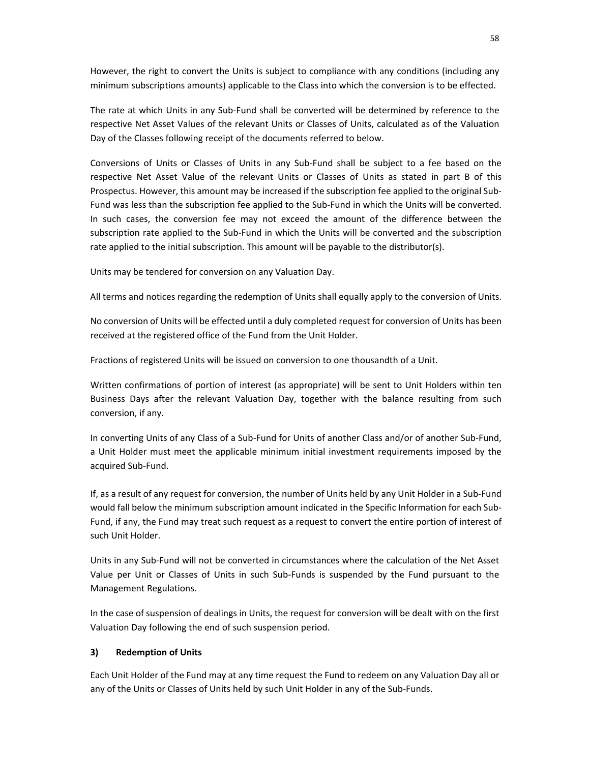However, the right to convert the Units is subject to compliance with any conditions (including any minimum subscriptions amounts) applicable to the Class into which the conversion is to be effected.

The rate at which Units in any Sub-Fund shall be converted will be determined by reference to the respective Net Asset Values of the relevant Units or Classes of Units, calculated as of the Valuation Day of the Classes following receipt of the documents referred to below.

Conversions of Units or Classes of Units in any Sub-Fund shall be subject to a fee based on the respective Net Asset Value of the relevant Units or Classes of Units as stated in part B of this Prospectus. However, this amount may be increased if the subscription fee applied to the original Sub-Fund was less than the subscription fee applied to the Sub-Fund in which the Units will be converted. In such cases, the conversion fee may not exceed the amount of the difference between the subscription rate applied to the Sub-Fund in which the Units will be converted and the subscription rate applied to the initial subscription. This amount will be payable to the distributor(s).

Units may be tendered for conversion on any Valuation Day.

All terms and notices regarding the redemption of Units shall equally apply to the conversion of Units.

No conversion of Units will be effected until a duly completed request for conversion of Units has been received at the registered office of the Fund from the Unit Holder.

Fractions of registered Units will be issued on conversion to one thousandth of a Unit.

Written confirmations of portion of interest (as appropriate) will be sent to Unit Holders within ten Business Days after the relevant Valuation Day, together with the balance resulting from such conversion, if any.

In converting Units of any Class of a Sub-Fund for Units of another Class and/or of another Sub-Fund, a Unit Holder must meet the applicable minimum initial investment requirements imposed by the acquired Sub-Fund.

If, as a result of any request for conversion, the number of Units held by any Unit Holder in a Sub-Fund would fall below the minimum subscription amount indicated in the Specific Information for each Sub-Fund, if any, the Fund may treat such request as a request to convert the entire portion of interest of such Unit Holder.

Units in any Sub-Fund will not be converted in circumstances where the calculation of the Net Asset Value per Unit or Classes of Units in such Sub-Funds is suspended by the Fund pursuant to the Management Regulations.

In the case of suspension of dealings in Units, the request for conversion will be dealt with on the first Valuation Day following the end of such suspension period.

### **3) Redemption of Units**

Each Unit Holder of the Fund may at any time request the Fund to redeem on any Valuation Day all or any of the Units or Classes of Units held by such Unit Holder in any of the Sub-Funds.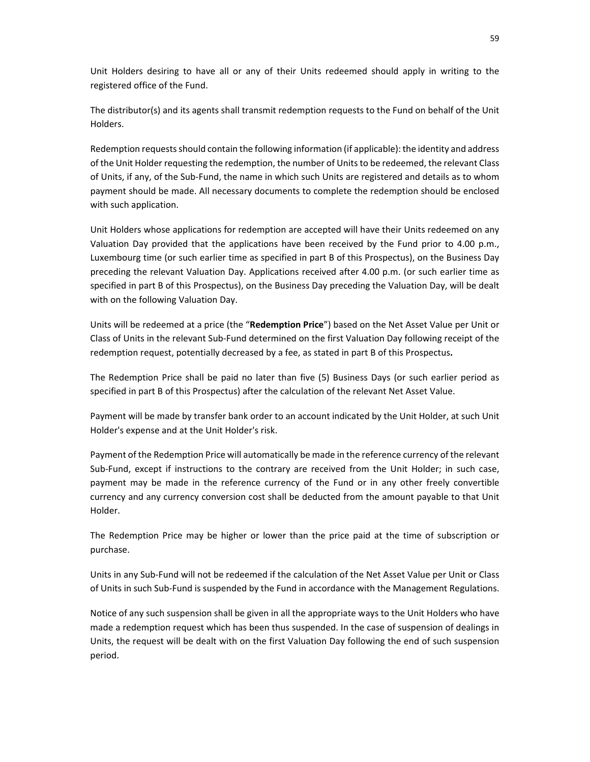Unit Holders desiring to have all or any of their Units redeemed should apply in writing to the registered office of the Fund.

The distributor(s) and its agents shall transmit redemption requests to the Fund on behalf of the Unit Holders.

Redemption requests should contain the following information (if applicable): the identity and address of the Unit Holder requesting the redemption, the number of Units to be redeemed, the relevant Class of Units, if any, of the Sub-Fund, the name in which such Units are registered and details as to whom payment should be made. All necessary documents to complete the redemption should be enclosed with such application.

Unit Holders whose applications for redemption are accepted will have their Units redeemed on any Valuation Day provided that the applications have been received by the Fund prior to 4.00 p.m., Luxembourg time (or such earlier time as specified in part B of this Prospectus), on the Business Day preceding the relevant Valuation Day. Applications received after 4.00 p.m. (or such earlier time as specified in part B of this Prospectus), on the Business Day preceding the Valuation Day, will be dealt with on the following Valuation Day.

Units will be redeemed at a price (the "**Redemption Price**") based on the Net Asset Value per Unit or Class of Units in the relevant Sub-Fund determined on the first Valuation Day following receipt of the redemption request, potentially decreased by a fee, as stated in part B of this Prospectus**.**

The Redemption Price shall be paid no later than five (5) Business Days (or such earlier period as specified in part B of this Prospectus) after the calculation of the relevant Net Asset Value.

Payment will be made by transfer bank order to an account indicated by the Unit Holder, at such Unit Holder's expense and at the Unit Holder's risk.

Payment of the Redemption Price will automatically be made in the reference currency of the relevant Sub-Fund, except if instructions to the contrary are received from the Unit Holder; in such case, payment may be made in the reference currency of the Fund or in any other freely convertible currency and any currency conversion cost shall be deducted from the amount payable to that Unit Holder.

The Redemption Price may be higher or lower than the price paid at the time of subscription or purchase.

Units in any Sub-Fund will not be redeemed if the calculation of the Net Asset Value per Unit or Class of Units in such Sub-Fund is suspended by the Fund in accordance with the Management Regulations.

Notice of any such suspension shall be given in all the appropriate ways to the Unit Holders who have made a redemption request which has been thus suspended. In the case of suspension of dealings in Units, the request will be dealt with on the first Valuation Day following the end of such suspension period.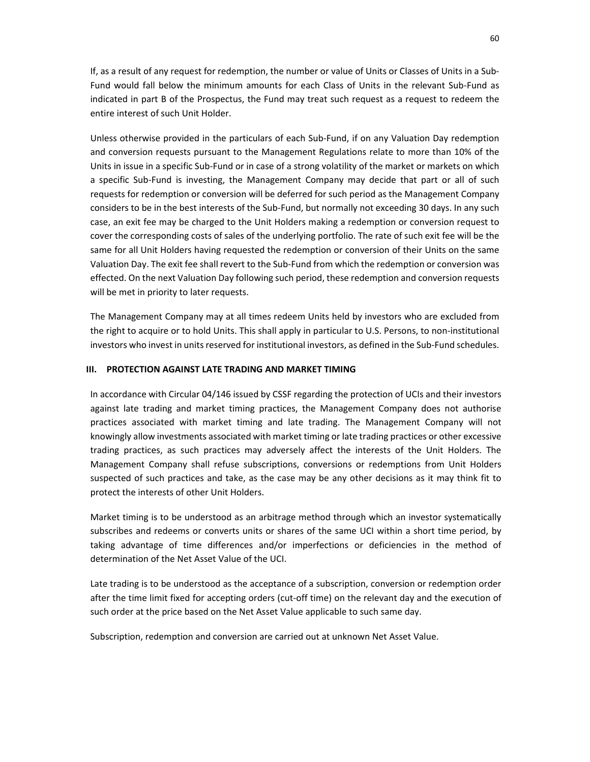If, as a result of any request for redemption, the number or value of Units or Classes of Units in a Sub-Fund would fall below the minimum amounts for each Class of Units in the relevant Sub-Fund as indicated in part B of the Prospectus, the Fund may treat such request as a request to redeem the entire interest of such Unit Holder.

Unless otherwise provided in the particulars of each Sub-Fund, if on any Valuation Day redemption and conversion requests pursuant to the Management Regulations relate to more than 10% of the Units in issue in a specific Sub-Fund or in case of a strong volatility of the market or markets on which a specific Sub-Fund is investing, the Management Company may decide that part or all of such requests for redemption or conversion will be deferred for such period as the Management Company considers to be in the best interests of the Sub-Fund, but normally not exceeding 30 days. In any such case, an exit fee may be charged to the Unit Holders making a redemption or conversion request to cover the corresponding costs of sales of the underlying portfolio. The rate of such exit fee will be the same for all Unit Holders having requested the redemption or conversion of their Units on the same Valuation Day. The exit fee shall revert to the Sub-Fund from which the redemption or conversion was effected. On the next Valuation Day following such period, these redemption and conversion requests will be met in priority to later requests.

The Management Company may at all times redeem Units held by investors who are excluded from the right to acquire or to hold Units. This shall apply in particular to U.S. Persons, to non-institutional investors who invest in units reserved for institutional investors, as defined in the Sub-Fund schedules.

#### **III. PROTECTION AGAINST LATE TRADING AND MARKET TIMING**

In accordance with Circular 04/146 issued by CSSF regarding the protection of UCIs and their investors against late trading and market timing practices, the Management Company does not authorise practices associated with market timing and late trading. The Management Company will not knowingly allow investments associated with market timing or late trading practices or other excessive trading practices, as such practices may adversely affect the interests of the Unit Holders. The Management Company shall refuse subscriptions, conversions or redemptions from Unit Holders suspected of such practices and take, as the case may be any other decisions as it may think fit to protect the interests of other Unit Holders.

Market timing is to be understood as an arbitrage method through which an investor systematically subscribes and redeems or converts units or shares of the same UCI within a short time period, by taking advantage of time differences and/or imperfections or deficiencies in the method of determination of the Net Asset Value of the UCI.

Late trading is to be understood as the acceptance of a subscription, conversion or redemption order after the time limit fixed for accepting orders (cut-off time) on the relevant day and the execution of such order at the price based on the Net Asset Value applicable to such same day.

Subscription, redemption and conversion are carried out at unknown Net Asset Value.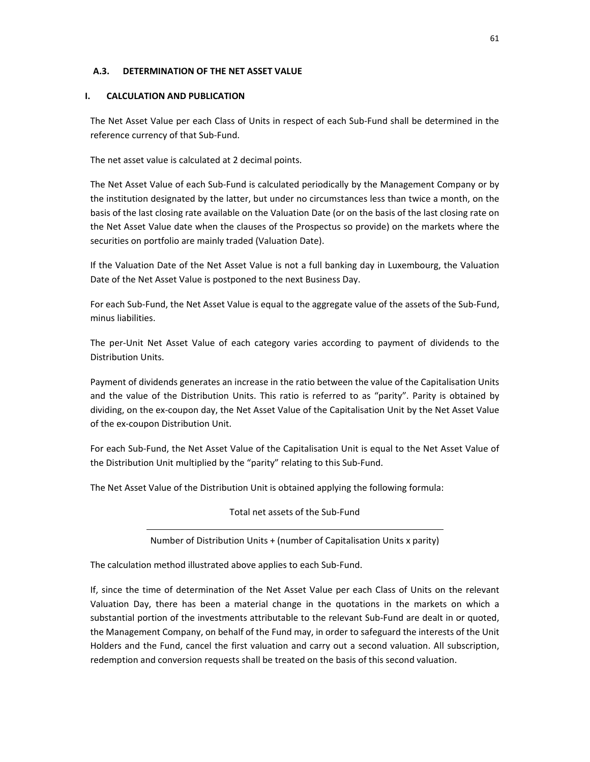### **A.3. DETERMINATION OF THE NET ASSET VALUE**

### **I. CALCULATION AND PUBLICATION**

The Net Asset Value per each Class of Units in respect of each Sub-Fund shall be determined in the reference currency of that Sub-Fund.

The net asset value is calculated at 2 decimal points.

The Net Asset Value of each Sub-Fund is calculated periodically by the Management Company or by the institution designated by the latter, but under no circumstances less than twice a month, on the basis of the last closing rate available on the Valuation Date (or on the basis of the last closing rate on the Net Asset Value date when the clauses of the Prospectus so provide) on the markets where the securities on portfolio are mainly traded (Valuation Date).

If the Valuation Date of the Net Asset Value is not a full banking day in Luxembourg, the Valuation Date of the Net Asset Value is postponed to the next Business Day.

For each Sub-Fund, the Net Asset Value is equal to the aggregate value of the assets of the Sub-Fund, minus liabilities.

The per-Unit Net Asset Value of each category varies according to payment of dividends to the Distribution Units.

Payment of dividends generates an increase in the ratio between the value of the Capitalisation Units and the value of the Distribution Units. This ratio is referred to as "parity". Parity is obtained by dividing, on the ex-coupon day, the Net Asset Value of the Capitalisation Unit by the Net Asset Value of the ex-coupon Distribution Unit.

For each Sub-Fund, the Net Asset Value of the Capitalisation Unit is equal to the Net Asset Value of the Distribution Unit multiplied by the "parity" relating to this Sub-Fund.

The Net Asset Value of the Distribution Unit is obtained applying the following formula:

Total net assets of the Sub-Fund

Number of Distribution Units + (number of Capitalisation Units x parity)

The calculation method illustrated above applies to each Sub-Fund.

If, since the time of determination of the Net Asset Value per each Class of Units on the relevant Valuation Day, there has been a material change in the quotations in the markets on which a substantial portion of the investments attributable to the relevant Sub-Fund are dealt in or quoted, the Management Company, on behalf of the Fund may, in order to safeguard the interests of the Unit Holders and the Fund, cancel the first valuation and carry out a second valuation. All subscription, redemption and conversion requests shall be treated on the basis of this second valuation.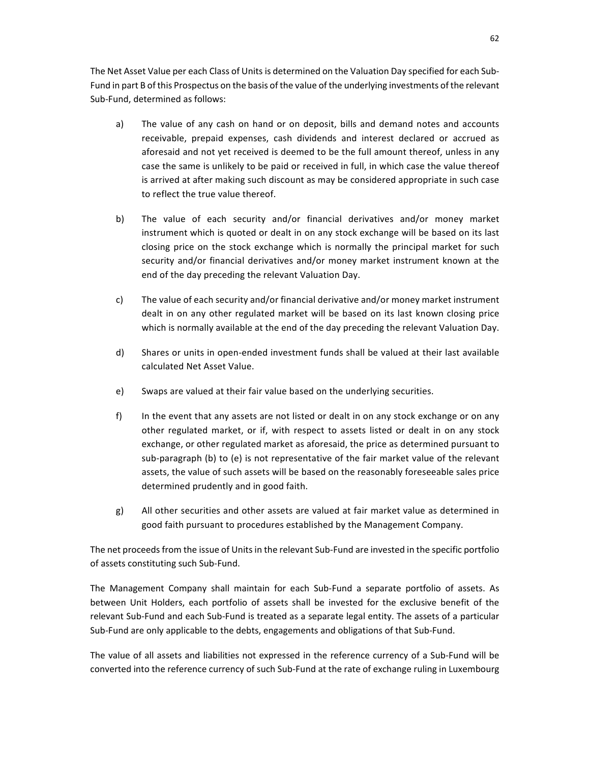The Net Asset Value per each Class of Units is determined on the Valuation Day specified for each Sub-Fund in part B of this Prospectus on the basis of the value of the underlying investments of the relevant Sub-Fund, determined as follows:

- a) The value of any cash on hand or on deposit, bills and demand notes and accounts receivable, prepaid expenses, cash dividends and interest declared or accrued as aforesaid and not yet received is deemed to be the full amount thereof, unless in any case the same is unlikely to be paid or received in full, in which case the value thereof is arrived at after making such discount as may be considered appropriate in such case to reflect the true value thereof.
- b) The value of each security and/or financial derivatives and/or money market instrument which is quoted or dealt in on any stock exchange will be based on its last closing price on the stock exchange which is normally the principal market for such security and/or financial derivatives and/or money market instrument known at the end of the day preceding the relevant Valuation Day.
- c) The value of each security and/or financial derivative and/or money market instrument dealt in on any other regulated market will be based on its last known closing price which is normally available at the end of the day preceding the relevant Valuation Day.
- d) Shares or units in open-ended investment funds shall be valued at their last available calculated Net Asset Value.
- e) Swaps are valued at their fair value based on the underlying securities.
- f) In the event that any assets are not listed or dealt in on any stock exchange or on any other regulated market, or if, with respect to assets listed or dealt in on any stock exchange, or other regulated market as aforesaid, the price as determined pursuant to sub-paragraph (b) to (e) is not representative of the fair market value of the relevant assets, the value of such assets will be based on the reasonably foreseeable sales price determined prudently and in good faith.
- g) All other securities and other assets are valued at fair market value as determined in good faith pursuant to procedures established by the Management Company.

The net proceeds from the issue of Units in the relevant Sub-Fund are invested in the specific portfolio of assets constituting such Sub-Fund.

The Management Company shall maintain for each Sub-Fund a separate portfolio of assets. As between Unit Holders, each portfolio of assets shall be invested for the exclusive benefit of the relevant Sub-Fund and each Sub-Fund is treated as a separate legal entity. The assets of a particular Sub-Fund are only applicable to the debts, engagements and obligations of that Sub-Fund.

The value of all assets and liabilities not expressed in the reference currency of a Sub-Fund will be converted into the reference currency of such Sub-Fund at the rate of exchange ruling in Luxembourg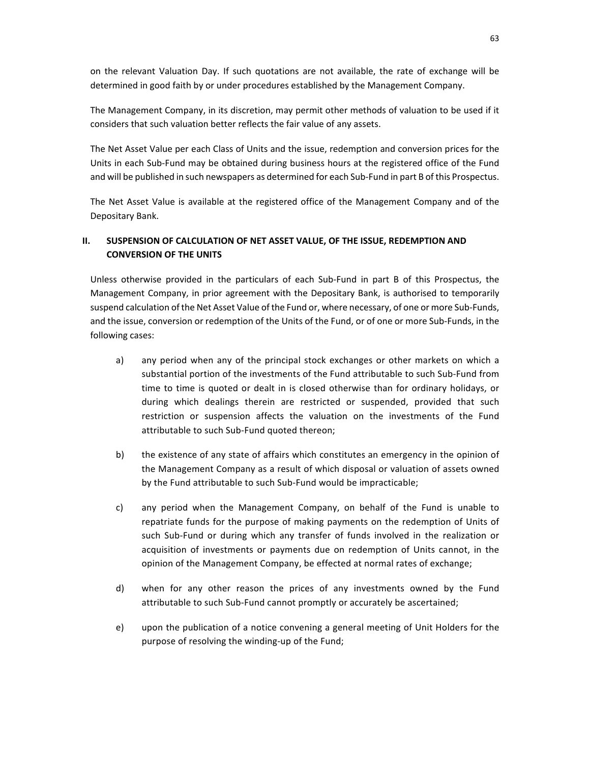on the relevant Valuation Day. If such quotations are not available, the rate of exchange will be determined in good faith by or under procedures established by the Management Company.

The Management Company, in its discretion, may permit other methods of valuation to be used if it considers that such valuation better reflects the fair value of any assets.

The Net Asset Value per each Class of Units and the issue, redemption and conversion prices for the Units in each Sub-Fund may be obtained during business hours at the registered office of the Fund and will be published in such newspapers as determined for each Sub-Fund in part B of this Prospectus.

The Net Asset Value is available at the registered office of the Management Company and of the Depositary Bank.

## **II. SUSPENSION OF CALCULATION OF NET ASSET VALUE, OF THE ISSUE, REDEMPTION AND CONVERSION OF THE UNITS**

Unless otherwise provided in the particulars of each Sub-Fund in part B of this Prospectus, the Management Company, in prior agreement with the Depositary Bank, is authorised to temporarily suspend calculation of the Net Asset Value of the Fund or, where necessary, of one or more Sub-Funds, and the issue, conversion or redemption of the Units of the Fund, or of one or more Sub-Funds, in the following cases:

- a) any period when any of the principal stock exchanges or other markets on which a substantial portion of the investments of the Fund attributable to such Sub-Fund from time to time is quoted or dealt in is closed otherwise than for ordinary holidays, or during which dealings therein are restricted or suspended, provided that such restriction or suspension affects the valuation on the investments of the Fund attributable to such Sub-Fund quoted thereon;
- b) the existence of any state of affairs which constitutes an emergency in the opinion of the Management Company as a result of which disposal or valuation of assets owned by the Fund attributable to such Sub-Fund would be impracticable;
- c) any period when the Management Company, on behalf of the Fund is unable to repatriate funds for the purpose of making payments on the redemption of Units of such Sub-Fund or during which any transfer of funds involved in the realization or acquisition of investments or payments due on redemption of Units cannot, in the opinion of the Management Company, be effected at normal rates of exchange;
- d) when for any other reason the prices of any investments owned by the Fund attributable to such Sub-Fund cannot promptly or accurately be ascertained;
- e) upon the publication of a notice convening a general meeting of Unit Holders for the purpose of resolving the winding-up of the Fund;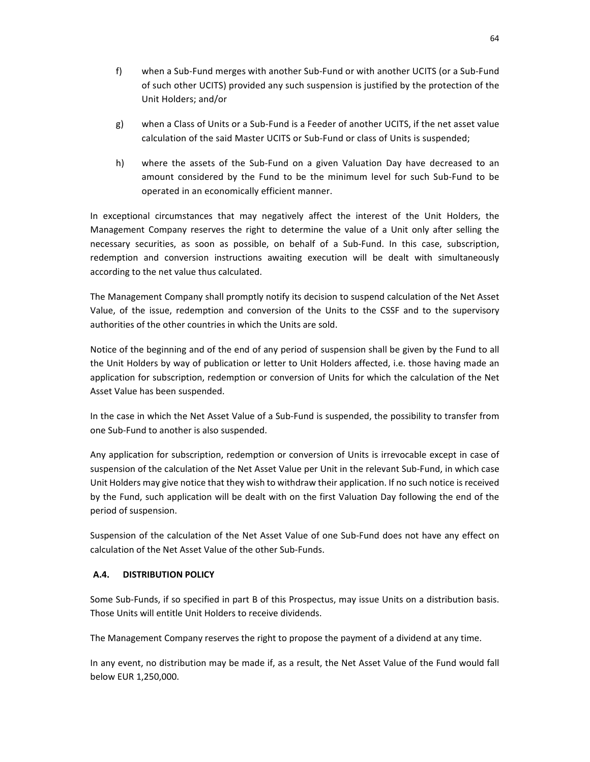- f) when a Sub-Fund merges with another Sub-Fund or with another UCITS (or a Sub-Fund of such other UCITS) provided any such suspension is justified by the protection of the Unit Holders; and/or
- g) when a Class of Units or a Sub-Fund is a Feeder of another UCITS, if the net asset value calculation of the said Master UCITS or Sub-Fund or class of Units is suspended;
- h) where the assets of the Sub-Fund on a given Valuation Day have decreased to an amount considered by the Fund to be the minimum level for such Sub-Fund to be operated in an economically efficient manner.

In exceptional circumstances that may negatively affect the interest of the Unit Holders, the Management Company reserves the right to determine the value of a Unit only after selling the necessary securities, as soon as possible, on behalf of a Sub-Fund. In this case, subscription, redemption and conversion instructions awaiting execution will be dealt with simultaneously according to the net value thus calculated.

The Management Company shall promptly notify its decision to suspend calculation of the Net Asset Value, of the issue, redemption and conversion of the Units to the CSSF and to the supervisory authorities of the other countries in which the Units are sold.

Notice of the beginning and of the end of any period of suspension shall be given by the Fund to all the Unit Holders by way of publication or letter to Unit Holders affected, i.e. those having made an application for subscription, redemption or conversion of Units for which the calculation of the Net Asset Value has been suspended.

In the case in which the Net Asset Value of a Sub-Fund is suspended, the possibility to transfer from one Sub-Fund to another is also suspended.

Any application for subscription, redemption or conversion of Units is irrevocable except in case of suspension of the calculation of the Net Asset Value per Unit in the relevant Sub-Fund, in which case Unit Holders may give notice that they wish to withdraw their application. If no such notice is received by the Fund, such application will be dealt with on the first Valuation Day following the end of the period of suspension.

Suspension of the calculation of the Net Asset Value of one Sub-Fund does not have any effect on calculation of the Net Asset Value of the other Sub-Funds.

## **A.4. DISTRIBUTION POLICY**

Some Sub-Funds, if so specified in part B of this Prospectus, may issue Units on a distribution basis. Those Units will entitle Unit Holders to receive dividends.

The Management Company reserves the right to propose the payment of a dividend at any time.

In any event, no distribution may be made if, as a result, the Net Asset Value of the Fund would fall below EUR 1,250,000.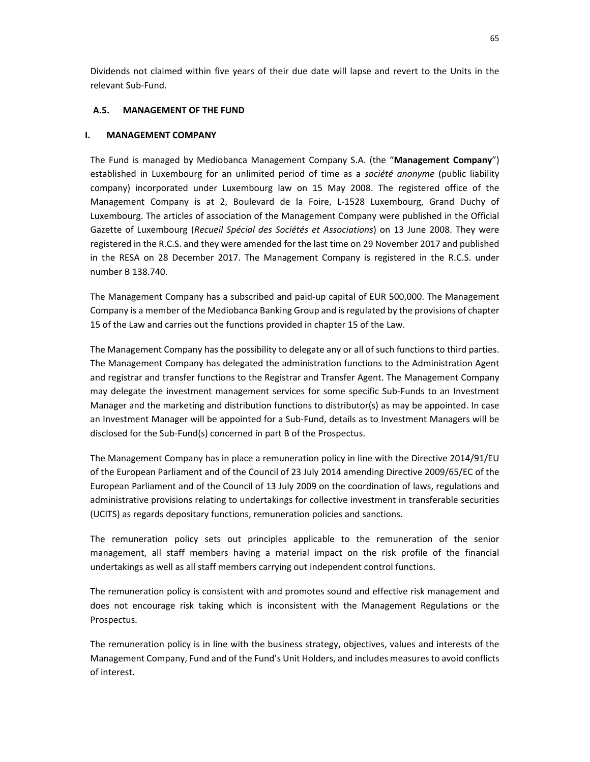Dividends not claimed within five years of their due date will lapse and revert to the Units in the relevant Sub-Fund.

### **A.5. MANAGEMENT OF THE FUND**

### **I. MANAGEMENT COMPANY**

The Fund is managed by Mediobanca Management Company S.A. (the "**Management Company**") established in Luxembourg for an unlimited period of time as a *société anonyme* (public liability company) incorporated under Luxembourg law on 15 May 2008. The registered office of the Management Company is at 2, Boulevard de la Foire, L-1528 Luxembourg, Grand Duchy of Luxembourg. The articles of association of the Management Company were published in the Official Gazette of Luxembourg (*Recueil Spécial des Sociétés et Associations*) on 13 June 2008. They were registered in the R.C.S. and they were amended for the last time on 29 November 2017 and published in the RESA on 28 December 2017. The Management Company is registered in the R.C.S. under number B 138.740.

The Management Company has a subscribed and paid-up capital of EUR 500,000. The Management Company is a member of the Mediobanca Banking Group and is regulated by the provisions of chapter 15 of the Law and carries out the functions provided in chapter 15 of the Law.

The Management Company has the possibility to delegate any or all of such functions to third parties. The Management Company has delegated the administration functions to the Administration Agent and registrar and transfer functions to the Registrar and Transfer Agent. The Management Company may delegate the investment management services for some specific Sub-Funds to an Investment Manager and the marketing and distribution functions to distributor(s) as may be appointed. In case an Investment Manager will be appointed for a Sub-Fund, details as to Investment Managers will be disclosed for the Sub-Fund(s) concerned in part B of the Prospectus.

The Management Company has in place a remuneration policy in line with the Directive 2014/91/EU of the European Parliament and of the Council of 23 July 2014 amending Directive 2009/65/EC of the European Parliament and of the Council of 13 July 2009 on the coordination of laws, regulations and administrative provisions relating to undertakings for collective investment in transferable securities (UCITS) as regards depositary functions, remuneration policies and sanctions.

The remuneration policy sets out principles applicable to the remuneration of the senior management, all staff members having a material impact on the risk profile of the financial undertakings as well as all staff members carrying out independent control functions.

The remuneration policy is consistent with and promotes sound and effective risk management and does not encourage risk taking which is inconsistent with the Management Regulations or the Prospectus.

The remuneration policy is in line with the business strategy, objectives, values and interests of the Management Company, Fund and of the Fund's Unit Holders, and includes measures to avoid conflicts of interest.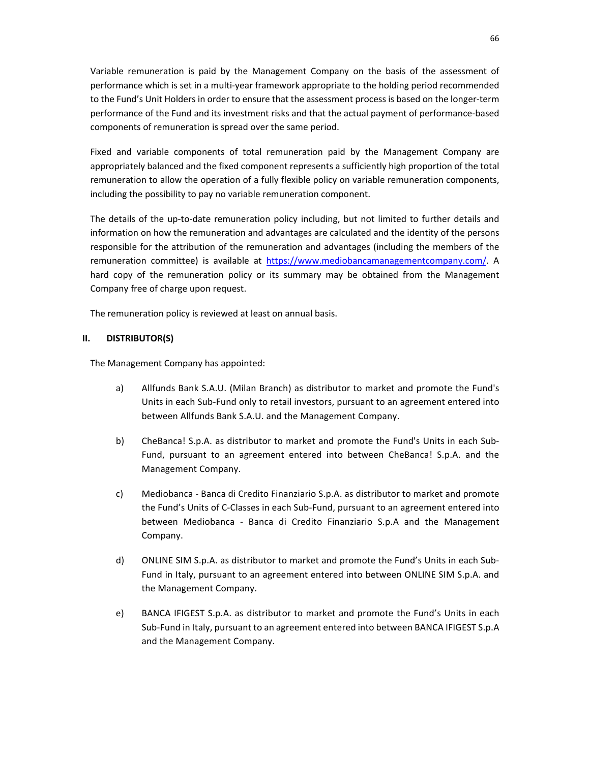Variable remuneration is paid by the Management Company on the basis of the assessment of performance which is set in a multi-year framework appropriate to the holding period recommended to the Fund's Unit Holders in order to ensure that the assessment process is based on the longer-term performance of the Fund and its investment risks and that the actual payment of performance-based components of remuneration is spread over the same period.

Fixed and variable components of total remuneration paid by the Management Company are appropriately balanced and the fixed component represents a sufficiently high proportion of the total remuneration to allow the operation of a fully flexible policy on variable remuneration components, including the possibility to pay no variable remuneration component.

The details of the up-to-date remuneration policy including, but not limited to further details and information on how the remuneration and advantages are calculated and the identity of the persons responsible for the attribution of the remuneration and advantages (including the members of the remuneration committee) is available at https://www.mediobancamanagementcompany.com/. A hard copy of the remuneration policy or its summary may be obtained from the Management Company free of charge upon request.

The remuneration policy is reviewed at least on annual basis.

### **II. DISTRIBUTOR(S)**

The Management Company has appointed:

- a) Allfunds Bank S.A.U. (Milan Branch) as distributor to market and promote the Fund's Units in each Sub-Fund only to retail investors, pursuant to an agreement entered into between Allfunds Bank S.A.U. and the Management Company.
- b) CheBanca! S.p.A. as distributor to market and promote the Fund's Units in each Sub-Fund, pursuant to an agreement entered into between CheBanca! S.p.A. and the Management Company.
- c) Mediobanca Banca di Credito Finanziario S.p.A. as distributor to market and promote the Fund's Units of C-Classes in each Sub-Fund, pursuant to an agreement entered into between Mediobanca - Banca di Credito Finanziario S.p.A and the Management Company.
- d) ONLINE SIM S.p.A. as distributor to market and promote the Fund's Units in each Sub-Fund in Italy, pursuant to an agreement entered into between ONLINE SIM S.p.A. and the Management Company.
- e) BANCA IFIGEST S.p.A. as distributor to market and promote the Fund's Units in each Sub-Fund in Italy, pursuant to an agreement entered into between BANCA IFIGEST S.p.A and the Management Company.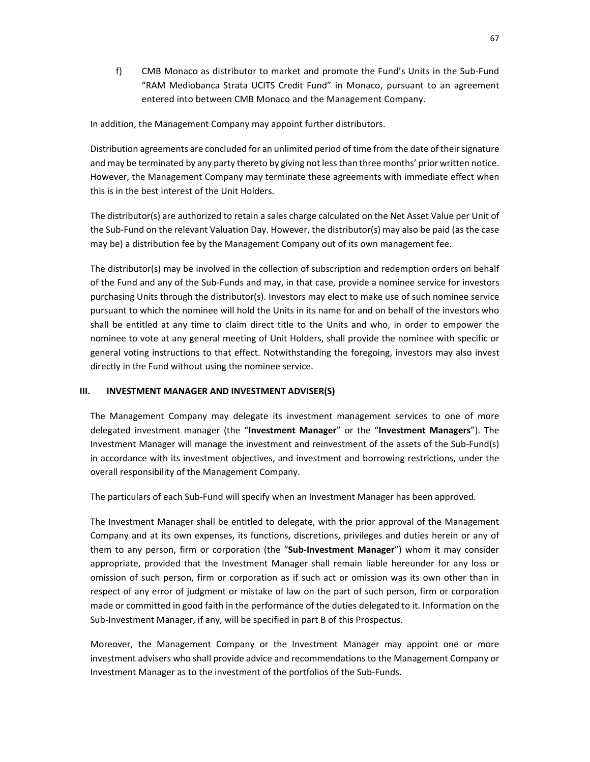f) CMB Monaco as distributor to market and promote the Fund's Units in the Sub-Fund "RAM Mediobanca Strata UCITS Credit Fund" in Monaco, pursuant to an agreement entered into between CMB Monaco and the Management Company.

In addition, the Management Company may appoint further distributors.

Distribution agreements are concluded for an unlimited period of time from the date of their signature and may be terminated by any party thereto by giving not less than three months' prior written notice. However, the Management Company may terminate these agreements with immediate effect when this is in the best interest of the Unit Holders.

The distributor(s) are authorized to retain a sales charge calculated on the Net Asset Value per Unit of the Sub-Fund on the relevant Valuation Day. However, the distributor(s) may also be paid (as the case may be) a distribution fee by the Management Company out of its own management fee.

The distributor(s) may be involved in the collection of subscription and redemption orders on behalf of the Fund and any of the Sub-Funds and may, in that case, provide a nominee service for investors purchasing Units through the distributor(s). Investors may elect to make use of such nominee service pursuant to which the nominee will hold the Units in its name for and on behalf of the investors who shall be entitled at any time to claim direct title to the Units and who, in order to empower the nominee to vote at any general meeting of Unit Holders, shall provide the nominee with specific or general voting instructions to that effect. Notwithstanding the foregoing, investors may also invest directly in the Fund without using the nominee service.

### **III. INVESTMENT MANAGER AND INVESTMENT ADVISER(S)**

The Management Company may delegate its investment management services to one of more delegated investment manager (the "**Investment Manager**" or the "**Investment Managers**"). The Investment Manager will manage the investment and reinvestment of the assets of the Sub-Fund(s) in accordance with its investment objectives, and investment and borrowing restrictions, under the overall responsibility of the Management Company.

The particulars of each Sub-Fund will specify when an Investment Manager has been approved.

The Investment Manager shall be entitled to delegate, with the prior approval of the Management Company and at its own expenses, its functions, discretions, privileges and duties herein or any of them to any person, firm or corporation (the "**Sub-Investment Manager**") whom it may consider appropriate, provided that the Investment Manager shall remain liable hereunder for any loss or omission of such person, firm or corporation as if such act or omission was its own other than in respect of any error of judgment or mistake of law on the part of such person, firm or corporation made or committed in good faith in the performance of the duties delegated to it. Information on the Sub-Investment Manager, if any, will be specified in part B of this Prospectus.

Moreover, the Management Company or the Investment Manager may appoint one or more investment advisers who shall provide advice and recommendations to the Management Company or Investment Manager as to the investment of the portfolios of the Sub-Funds.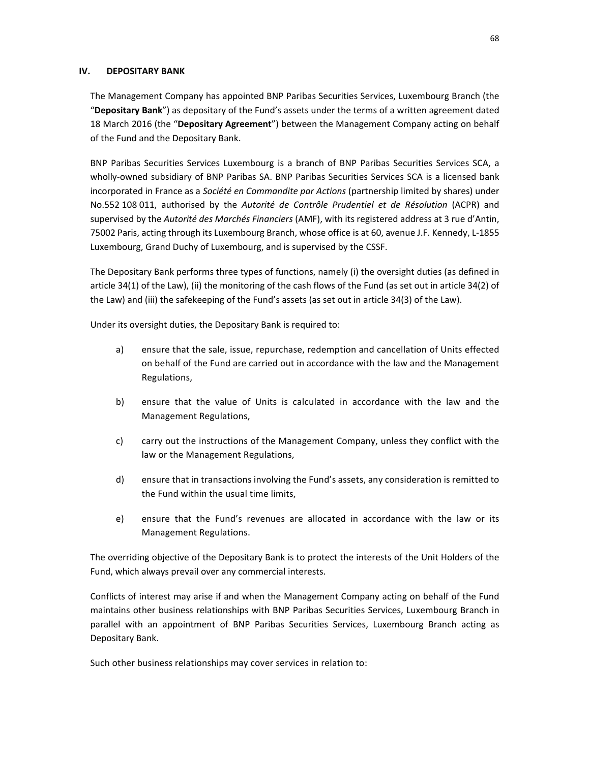#### **IV. DEPOSITARY BANK**

The Management Company has appointed BNP Paribas Securities Services, Luxembourg Branch (the "**Depositary Bank**") as depositary of the Fund's assets under the terms of a written agreement dated 18 March 2016 (the "**Depositary Agreement**") between the Management Company acting on behalf of the Fund and the Depositary Bank.

BNP Paribas Securities Services Luxembourg is a branch of BNP Paribas Securities Services SCA, a wholly-owned subsidiary of BNP Paribas SA. BNP Paribas Securities Services SCA is a licensed bank incorporated in France as a *Société en Commandite par Actions* (partnership limited by shares) under No.552 108 011, authorised by the *Autorité de Contrôle Prudentiel et de Résolution* (ACPR) and supervised by the *Autorité des Marchés Financiers* (AMF), with its registered address at 3 rue d'Antin, 75002 Paris, acting through its Luxembourg Branch, whose office is at 60, avenue J.F. Kennedy, L-1855 Luxembourg, Grand Duchy of Luxembourg, and is supervised by the CSSF.

The Depositary Bank performs three types of functions, namely (i) the oversight duties (as defined in article 34(1) of the Law), (ii) the monitoring of the cash flows of the Fund (as set out in article 34(2) of the Law) and (iii) the safekeeping of the Fund's assets (as set out in article 34(3) of the Law).

Under its oversight duties, the Depositary Bank is required to:

- a) ensure that the sale, issue, repurchase, redemption and cancellation of Units effected on behalf of the Fund are carried out in accordance with the law and the Management Regulations,
- b) ensure that the value of Units is calculated in accordance with the law and the Management Regulations,
- c) carry out the instructions of the Management Company, unless they conflict with the law or the Management Regulations,
- d) ensure that in transactions involving the Fund's assets, any consideration is remitted to the Fund within the usual time limits,
- e) ensure that the Fund's revenues are allocated in accordance with the law or its Management Regulations.

The overriding objective of the Depositary Bank is to protect the interests of the Unit Holders of the Fund, which always prevail over any commercial interests.

Conflicts of interest may arise if and when the Management Company acting on behalf of the Fund maintains other business relationships with BNP Paribas Securities Services, Luxembourg Branch in parallel with an appointment of BNP Paribas Securities Services, Luxembourg Branch acting as Depositary Bank.

Such other business relationships may cover services in relation to: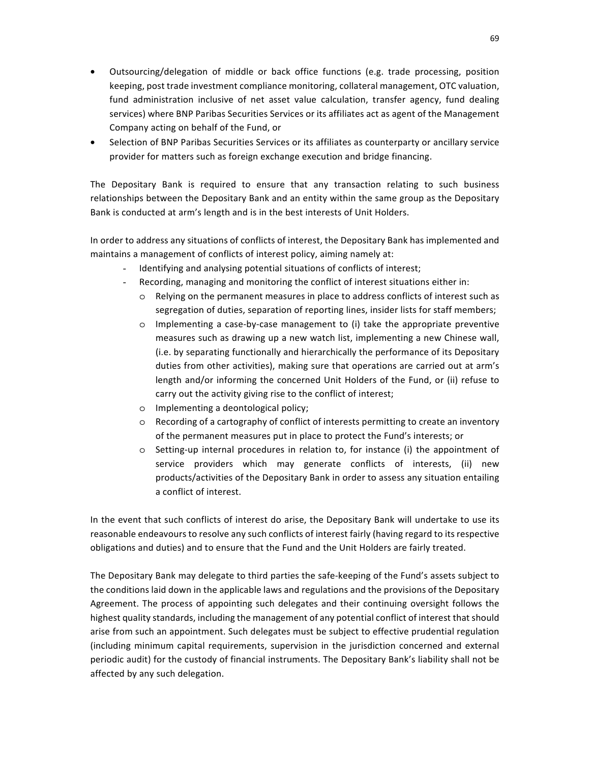- Outsourcing/delegation of middle or back office functions (e.g. trade processing, position keeping, post trade investment compliance monitoring, collateral management, OTC valuation, fund administration inclusive of net asset value calculation, transfer agency, fund dealing services) where BNP Paribas Securities Services or its affiliates act as agent of the Management Company acting on behalf of the Fund, or
- Selection of BNP Paribas Securities Services or its affiliates as counterparty or ancillary service provider for matters such as foreign exchange execution and bridge financing.

The Depositary Bank is required to ensure that any transaction relating to such business relationships between the Depositary Bank and an entity within the same group as the Depositary Bank is conducted at arm's length and is in the best interests of Unit Holders.

In order to address any situations of conflicts of interest, the Depositary Bank has implemented and maintains a management of conflicts of interest policy, aiming namely at:

- Identifying and analysing potential situations of conflicts of interest;
- Recording, managing and monitoring the conflict of interest situations either in:
	- o Relying on the permanent measures in place to address conflicts of interest such as segregation of duties, separation of reporting lines, insider lists for staff members;
	- o Implementing a case-by-case management to (i) take the appropriate preventive measures such as drawing up a new watch list, implementing a new Chinese wall, (i.e. by separating functionally and hierarchically the performance of its Depositary duties from other activities), making sure that operations are carried out at arm's length and/or informing the concerned Unit Holders of the Fund, or (ii) refuse to carry out the activity giving rise to the conflict of interest;
	- o Implementing a deontological policy;
	- o Recording of a cartography of conflict of interests permitting to create an inventory of the permanent measures put in place to protect the Fund's interests; or
	- o Setting-up internal procedures in relation to, for instance (i) the appointment of service providers which may generate conflicts of interests, (ii) new products/activities of the Depositary Bank in order to assess any situation entailing a conflict of interest.

In the event that such conflicts of interest do arise, the Depositary Bank will undertake to use its reasonable endeavours to resolve any such conflicts of interest fairly (having regard to its respective obligations and duties) and to ensure that the Fund and the Unit Holders are fairly treated.

The Depositary Bank may delegate to third parties the safe-keeping of the Fund's assets subject to the conditions laid down in the applicable laws and regulations and the provisions of the Depositary Agreement. The process of appointing such delegates and their continuing oversight follows the highest quality standards, including the management of any potential conflict of interest that should arise from such an appointment. Such delegates must be subject to effective prudential regulation (including minimum capital requirements, supervision in the jurisdiction concerned and external periodic audit) for the custody of financial instruments. The Depositary Bank's liability shall not be affected by any such delegation.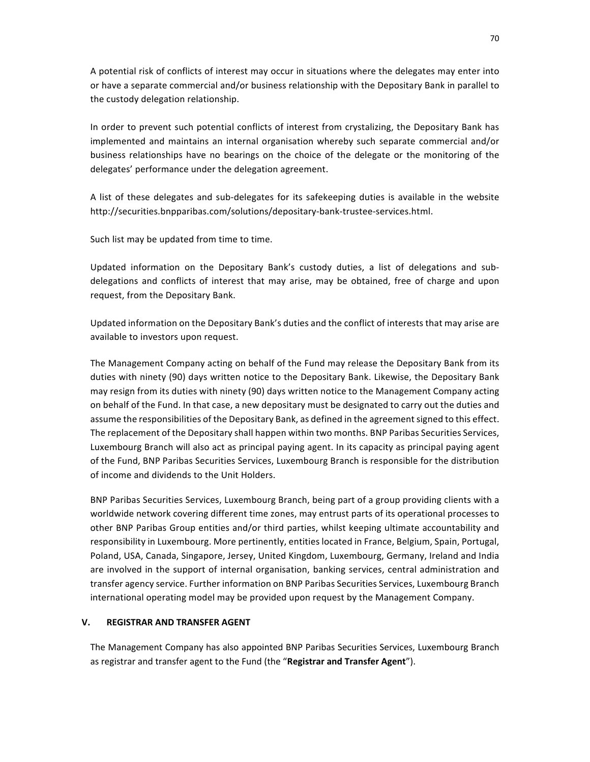A potential risk of conflicts of interest may occur in situations where the delegates may enter into or have a separate commercial and/or business relationship with the Depositary Bank in parallel to the custody delegation relationship.

In order to prevent such potential conflicts of interest from crystalizing, the Depositary Bank has implemented and maintains an internal organisation whereby such separate commercial and/or business relationships have no bearings on the choice of the delegate or the monitoring of the delegates' performance under the delegation agreement.

A list of these delegates and sub-delegates for its safekeeping duties is available in the website http://securities.bnpparibas.com/solutions/depositary-bank-trustee-services.html.

Such list may be updated from time to time.

Updated information on the Depositary Bank's custody duties, a list of delegations and subdelegations and conflicts of interest that may arise, may be obtained, free of charge and upon request, from the Depositary Bank.

Updated information on the Depositary Bank's duties and the conflict of interests that may arise are available to investors upon request.

The Management Company acting on behalf of the Fund may release the Depositary Bank from its duties with ninety (90) days written notice to the Depositary Bank. Likewise, the Depositary Bank may resign from its duties with ninety (90) days written notice to the Management Company acting on behalf of the Fund. In that case, a new depositary must be designated to carry out the duties and assume the responsibilities of the Depositary Bank, as defined in the agreement signed to this effect. The replacement of the Depositary shall happen within two months. BNP Paribas Securities Services, Luxembourg Branch will also act as principal paying agent. In its capacity as principal paying agent of the Fund, BNP Paribas Securities Services, Luxembourg Branch is responsible for the distribution of income and dividends to the Unit Holders.

BNP Paribas Securities Services, Luxembourg Branch, being part of a group providing clients with a worldwide network covering different time zones, may entrust parts of its operational processes to other BNP Paribas Group entities and/or third parties, whilst keeping ultimate accountability and responsibility in Luxembourg. More pertinently, entities located in France, Belgium, Spain, Portugal, Poland, USA, Canada, Singapore, Jersey, United Kingdom, Luxembourg, Germany, Ireland and India are involved in the support of internal organisation, banking services, central administration and transfer agency service. Further information on BNP Paribas Securities Services, Luxembourg Branch international operating model may be provided upon request by the Management Company.

#### **V. REGISTRAR AND TRANSFER AGENT**

The Management Company has also appointed BNP Paribas Securities Services, Luxembourg Branch as registrar and transfer agent to the Fund (the "**Registrar and Transfer Agent**").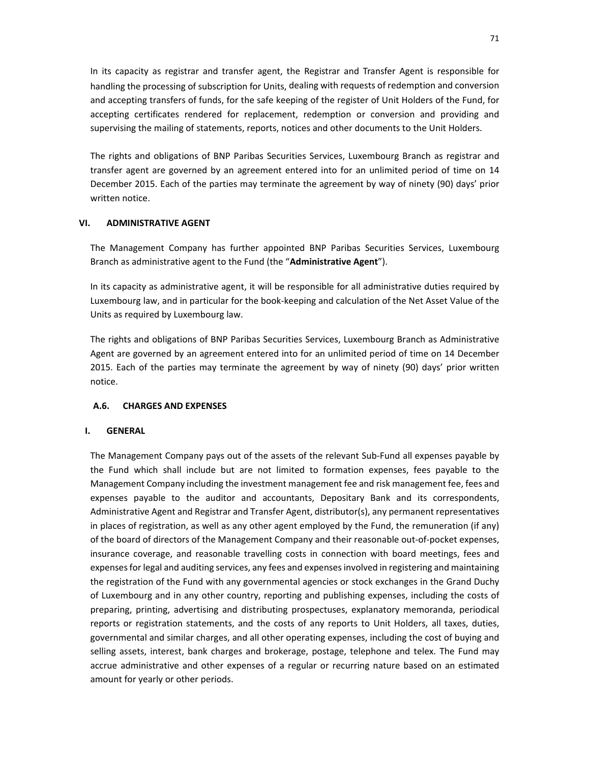In its capacity as registrar and transfer agent, the Registrar and Transfer Agent is responsible for handling the processing of subscription for Units, dealing with requests of redemption and conversion and accepting transfers of funds, for the safe keeping of the register of Unit Holders of the Fund, for accepting certificates rendered for replacement, redemption or conversion and providing and supervising the mailing of statements, reports, notices and other documents to the Unit Holders.

The rights and obligations of BNP Paribas Securities Services, Luxembourg Branch as registrar and transfer agent are governed by an agreement entered into for an unlimited period of time on 14 December 2015. Each of the parties may terminate the agreement by way of ninety (90) days' prior written notice.

#### **VI. ADMINISTRATIVE AGENT**

The Management Company has further appointed BNP Paribas Securities Services, Luxembourg Branch as administrative agent to the Fund (the "**Administrative Agent**").

In its capacity as administrative agent, it will be responsible for all administrative duties required by Luxembourg law, and in particular for the book-keeping and calculation of the Net Asset Value of the Units as required by Luxembourg law.

The rights and obligations of BNP Paribas Securities Services, Luxembourg Branch as Administrative Agent are governed by an agreement entered into for an unlimited period of time on 14 December 2015. Each of the parties may terminate the agreement by way of ninety (90) days' prior written notice.

### **A.6. CHARGES AND EXPENSES**

#### **I. GENERAL**

The Management Company pays out of the assets of the relevant Sub-Fund all expenses payable by the Fund which shall include but are not limited to formation expenses, fees payable to the Management Company including the investment management fee and risk management fee, fees and expenses payable to the auditor and accountants, Depositary Bank and its correspondents, Administrative Agent and Registrar and Transfer Agent, distributor(s), any permanent representatives in places of registration, as well as any other agent employed by the Fund, the remuneration (if any) of the board of directors of the Management Company and their reasonable out-of-pocket expenses, insurance coverage, and reasonable travelling costs in connection with board meetings, fees and expenses for legal and auditing services, any fees and expenses involved in registering and maintaining the registration of the Fund with any governmental agencies or stock exchanges in the Grand Duchy of Luxembourg and in any other country, reporting and publishing expenses, including the costs of preparing, printing, advertising and distributing prospectuses, explanatory memoranda, periodical reports or registration statements, and the costs of any reports to Unit Holders, all taxes, duties, governmental and similar charges, and all other operating expenses, including the cost of buying and selling assets, interest, bank charges and brokerage, postage, telephone and telex. The Fund may accrue administrative and other expenses of a regular or recurring nature based on an estimated amount for yearly or other periods.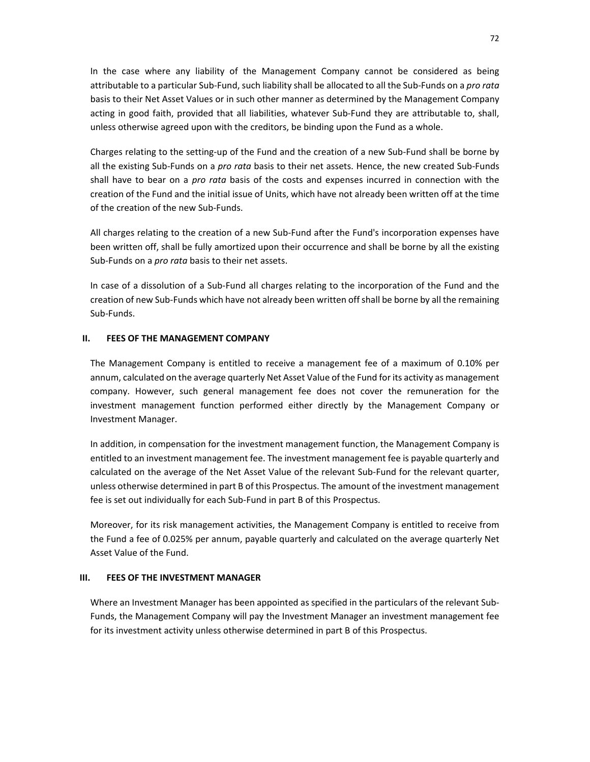In the case where any liability of the Management Company cannot be considered as being attributable to a particular Sub-Fund, such liability shall be allocated to all the Sub-Funds on a *pro rata* basis to their Net Asset Values or in such other manner as determined by the Management Company acting in good faith, provided that all liabilities, whatever Sub-Fund they are attributable to, shall, unless otherwise agreed upon with the creditors, be binding upon the Fund as a whole.

Charges relating to the setting-up of the Fund and the creation of a new Sub-Fund shall be borne by all the existing Sub-Funds on a *pro rata* basis to their net assets. Hence, the new created Sub-Funds shall have to bear on a *pro rata* basis of the costs and expenses incurred in connection with the creation of the Fund and the initial issue of Units, which have not already been written off at the time of the creation of the new Sub-Funds.

All charges relating to the creation of a new Sub-Fund after the Fund's incorporation expenses have been written off, shall be fully amortized upon their occurrence and shall be borne by all the existing Sub-Funds on a *pro rata* basis to their net assets.

In case of a dissolution of a Sub-Fund all charges relating to the incorporation of the Fund and the creation of new Sub-Funds which have not already been written off shall be borne by all the remaining Sub-Funds.

### **II. FEES OF THE MANAGEMENT COMPANY**

The Management Company is entitled to receive a management fee of a maximum of 0.10% per annum, calculated on the average quarterly Net Asset Value of the Fund for its activity as management company. However, such general management fee does not cover the remuneration for the investment management function performed either directly by the Management Company or Investment Manager.

In addition, in compensation for the investment management function, the Management Company is entitled to an investment management fee. The investment management fee is payable quarterly and calculated on the average of the Net Asset Value of the relevant Sub-Fund for the relevant quarter, unless otherwise determined in part B of this Prospectus. The amount of the investment management fee is set out individually for each Sub-Fund in part B of this Prospectus.

Moreover, for its risk management activities, the Management Company is entitled to receive from the Fund a fee of 0.025% per annum, payable quarterly and calculated on the average quarterly Net Asset Value of the Fund.

#### **III. FEES OF THE INVESTMENT MANAGER**

Where an Investment Manager has been appointed as specified in the particulars of the relevant Sub-Funds, the Management Company will pay the Investment Manager an investment management fee for its investment activity unless otherwise determined in part B of this Prospectus.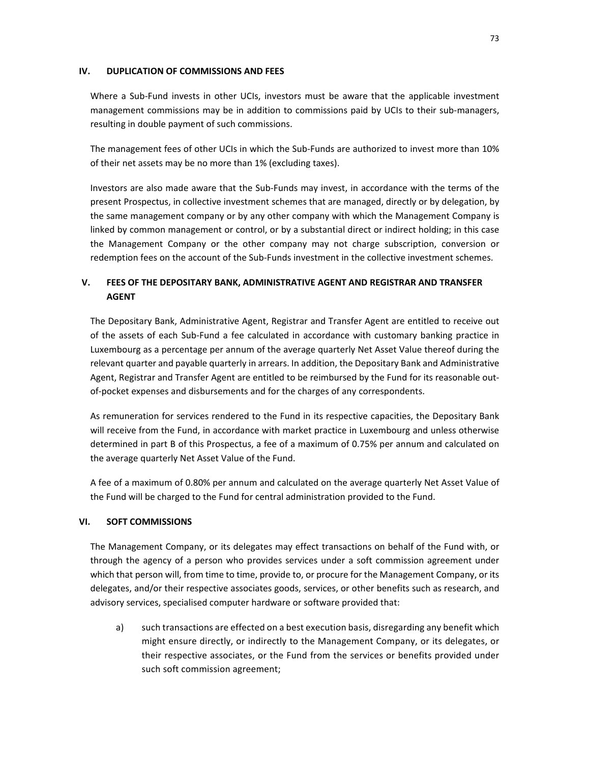### **IV. DUPLICATION OF COMMISSIONS AND FEES**

Where a Sub-Fund invests in other UCIs, investors must be aware that the applicable investment management commissions may be in addition to commissions paid by UCIs to their sub-managers, resulting in double payment of such commissions.

The management fees of other UCIs in which the Sub-Funds are authorized to invest more than 10% of their net assets may be no more than 1% (excluding taxes).

Investors are also made aware that the Sub-Funds may invest, in accordance with the terms of the present Prospectus, in collective investment schemes that are managed, directly or by delegation, by the same management company or by any other company with which the Management Company is linked by common management or control, or by a substantial direct or indirect holding; in this case the Management Company or the other company may not charge subscription, conversion or redemption fees on the account of the Sub-Funds investment in the collective investment schemes.

# **V. FEES OF THE DEPOSITARY BANK, ADMINISTRATIVE AGENT AND REGISTRAR AND TRANSFER AGENT**

The Depositary Bank, Administrative Agent, Registrar and Transfer Agent are entitled to receive out of the assets of each Sub-Fund a fee calculated in accordance with customary banking practice in Luxembourg as a percentage per annum of the average quarterly Net Asset Value thereof during the relevant quarter and payable quarterly in arrears. In addition, the Depositary Bank and Administrative Agent, Registrar and Transfer Agent are entitled to be reimbursed by the Fund for its reasonable outof-pocket expenses and disbursements and for the charges of any correspondents.

As remuneration for services rendered to the Fund in its respective capacities, the Depositary Bank will receive from the Fund, in accordance with market practice in Luxembourg and unless otherwise determined in part B of this Prospectus, a fee of a maximum of 0.75% per annum and calculated on the average quarterly Net Asset Value of the Fund.

A fee of a maximum of 0.80% per annum and calculated on the average quarterly Net Asset Value of the Fund will be charged to the Fund for central administration provided to the Fund.

## **VI. SOFT COMMISSIONS**

The Management Company, or its delegates may effect transactions on behalf of the Fund with, or through the agency of a person who provides services under a soft commission agreement under which that person will, from time to time, provide to, or procure for the Management Company, or its delegates, and/or their respective associates goods, services, or other benefits such as research, and advisory services, specialised computer hardware or software provided that:

a) such transactions are effected on a best execution basis, disregarding any benefit which might ensure directly, or indirectly to the Management Company, or its delegates, or their respective associates, or the Fund from the services or benefits provided under such soft commission agreement;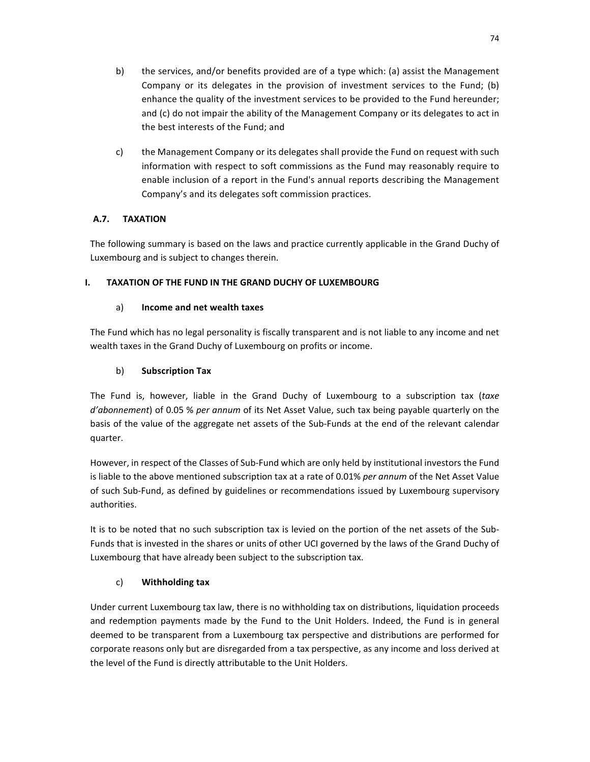- b) the services, and/or benefits provided are of a type which: (a) assist the Management Company or its delegates in the provision of investment services to the Fund; (b) enhance the quality of the investment services to be provided to the Fund hereunder; and (c) do not impair the ability of the Management Company or its delegates to act in the best interests of the Fund; and
- c) the Management Company or its delegates shall provide the Fund on request with such information with respect to soft commissions as the Fund may reasonably require to enable inclusion of a report in the Fund's annual reports describing the Management Company's and its delegates soft commission practices.

# **A.7. TAXATION**

The following summary is based on the laws and practice currently applicable in the Grand Duchy of Luxembourg and is subject to changes therein.

# **I. TAXATION OF THE FUND IN THE GRAND DUCHY OF LUXEMBOURG**

# a) **Income and net wealth taxes**

The Fund which has no legal personality is fiscally transparent and is not liable to any income and net wealth taxes in the Grand Duchy of Luxembourg on profits or income.

# b) **Subscription Tax**

The Fund is, however, liable in the Grand Duchy of Luxembourg to a subscription tax (*taxe d'abonnement*) of 0.05 % *per annum* of its Net Asset Value, such tax being payable quarterly on the basis of the value of the aggregate net assets of the Sub-Funds at the end of the relevant calendar quarter.

However, in respect of the Classes of Sub-Fund which are only held by institutional investors the Fund is liable to the above mentioned subscription tax at a rate of 0.01% *per annum* of the Net Asset Value of such Sub-Fund, as defined by guidelines or recommendations issued by Luxembourg supervisory authorities.

It is to be noted that no such subscription tax is levied on the portion of the net assets of the Sub-Funds that is invested in the shares or units of other UCI governed by the laws of the Grand Duchy of Luxembourg that have already been subject to the subscription tax.

# c) **Withholding tax**

Under current Luxembourg tax law, there is no withholding tax on distributions, liquidation proceeds and redemption payments made by the Fund to the Unit Holders. Indeed, the Fund is in general deemed to be transparent from a Luxembourg tax perspective and distributions are performed for corporate reasons only but are disregarded from a tax perspective, as any income and loss derived at the level of the Fund is directly attributable to the Unit Holders.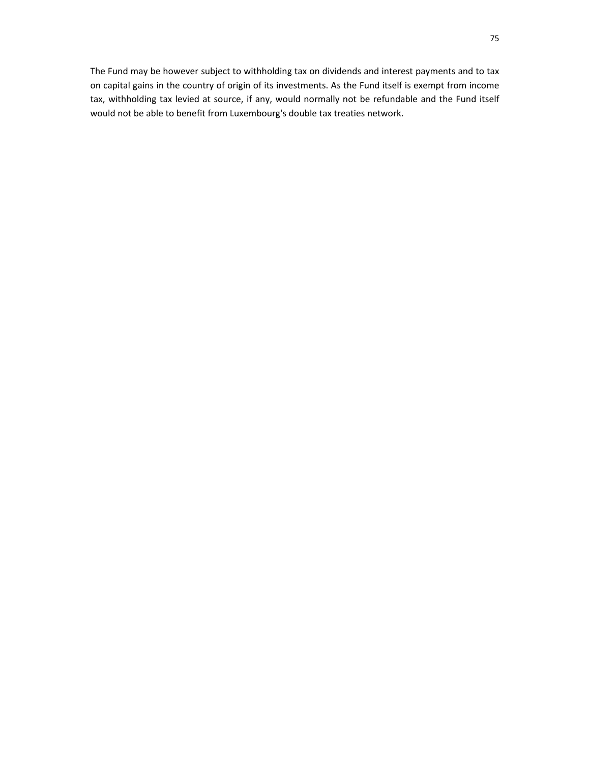The Fund may be however subject to withholding tax on dividends and interest payments and to tax on capital gains in the country of origin of its investments. As the Fund itself is exempt from income tax, withholding tax levied at source, if any, would normally not be refundable and the Fund itself would not be able to benefit from Luxembourg's double tax treaties network.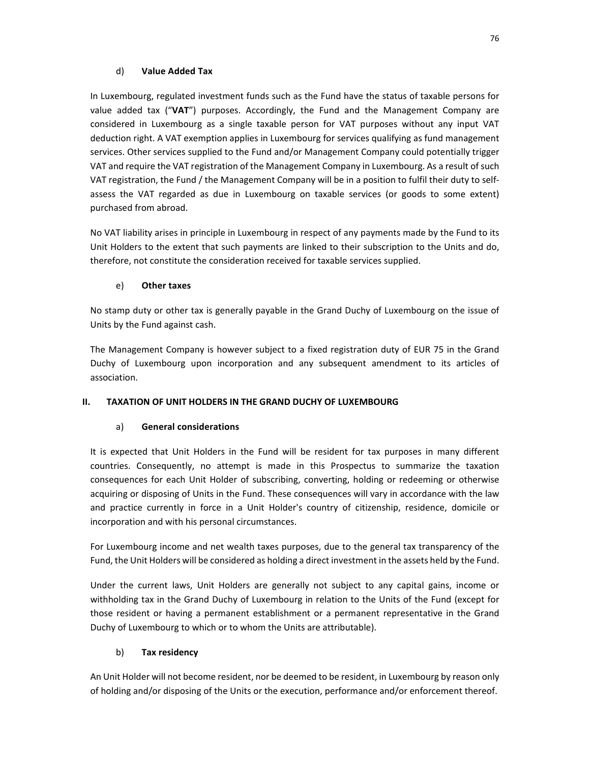## d) **Value Added Tax**

In Luxembourg, regulated investment funds such as the Fund have the status of taxable persons for value added tax ("**VAT**") purposes. Accordingly, the Fund and the Management Company are considered in Luxembourg as a single taxable person for VAT purposes without any input VAT deduction right. A VAT exemption applies in Luxembourg for services qualifying as fund management services. Other services supplied to the Fund and/or Management Company could potentially trigger VAT and require the VAT registration of the Management Company in Luxembourg. As a result of such VAT registration, the Fund / the Management Company will be in a position to fulfil their duty to selfassess the VAT regarded as due in Luxembourg on taxable services (or goods to some extent) purchased from abroad.

No VAT liability arises in principle in Luxembourg in respect of any payments made by the Fund to its Unit Holders to the extent that such payments are linked to their subscription to the Units and do, therefore, not constitute the consideration received for taxable services supplied.

# e) **Other taxes**

No stamp duty or other tax is generally payable in the Grand Duchy of Luxembourg on the issue of Units by the Fund against cash.

The Management Company is however subject to a fixed registration duty of EUR 75 in the Grand Duchy of Luxembourg upon incorporation and any subsequent amendment to its articles of association.

# **II. TAXATION OF UNIT HOLDERS IN THE GRAND DUCHY OF LUXEMBOURG**

# a) **General considerations**

It is expected that Unit Holders in the Fund will be resident for tax purposes in many different countries. Consequently, no attempt is made in this Prospectus to summarize the taxation consequences for each Unit Holder of subscribing, converting, holding or redeeming or otherwise acquiring or disposing of Units in the Fund. These consequences will vary in accordance with the law and practice currently in force in a Unit Holder's country of citizenship, residence, domicile or incorporation and with his personal circumstances.

For Luxembourg income and net wealth taxes purposes, due to the general tax transparency of the Fund, the Unit Holders will be considered as holding a direct investment in the assets held by the Fund.

Under the current laws, Unit Holders are generally not subject to any capital gains, income or withholding tax in the Grand Duchy of Luxembourg in relation to the Units of the Fund (except for those resident or having a permanent establishment or a permanent representative in the Grand Duchy of Luxembourg to which or to whom the Units are attributable).

# b) **Tax residency**

An Unit Holder will not become resident, nor be deemed to be resident, in Luxembourg by reason only of holding and/or disposing of the Units or the execution, performance and/or enforcement thereof.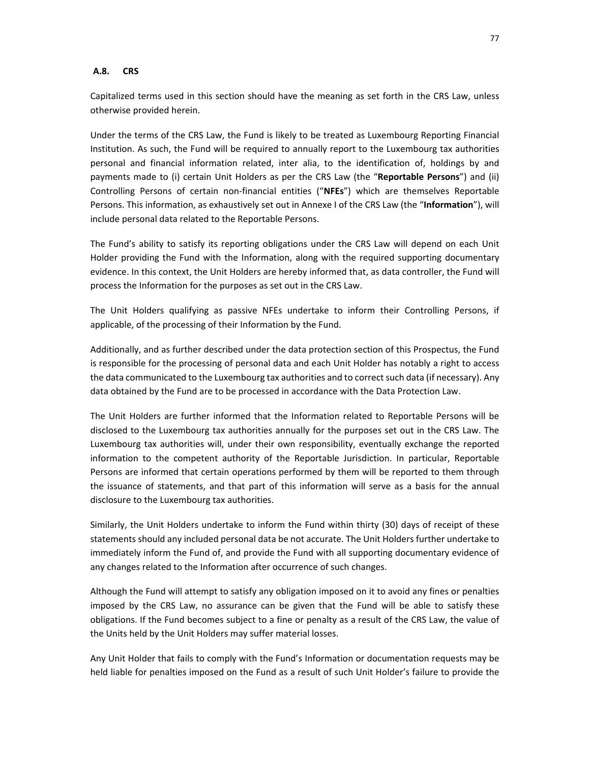#### **A.8. CRS**

Capitalized terms used in this section should have the meaning as set forth in the CRS Law, unless otherwise provided herein.

Under the terms of the CRS Law, the Fund is likely to be treated as Luxembourg Reporting Financial Institution. As such, the Fund will be required to annually report to the Luxembourg tax authorities personal and financial information related, inter alia, to the identification of, holdings by and payments made to (i) certain Unit Holders as per the CRS Law (the "**Reportable Persons**") and (ii) Controlling Persons of certain non-financial entities ("**NFEs**") which are themselves Reportable Persons. This information, as exhaustively set out in Annexe I of the CRS Law (the "**Information**"), will include personal data related to the Reportable Persons.

The Fund's ability to satisfy its reporting obligations under the CRS Law will depend on each Unit Holder providing the Fund with the Information, along with the required supporting documentary evidence. In this context, the Unit Holders are hereby informed that, as data controller, the Fund will process the Information for the purposes as set out in the CRS Law.

The Unit Holders qualifying as passive NFEs undertake to inform their Controlling Persons, if applicable, of the processing of their Information by the Fund.

Additionally, and as further described under the data protection section of this Prospectus, the Fund is responsible for the processing of personal data and each Unit Holder has notably a right to access the data communicated to the Luxembourg tax authorities and to correct such data (if necessary). Any data obtained by the Fund are to be processed in accordance with the Data Protection Law.

The Unit Holders are further informed that the Information related to Reportable Persons will be disclosed to the Luxembourg tax authorities annually for the purposes set out in the CRS Law. The Luxembourg tax authorities will, under their own responsibility, eventually exchange the reported information to the competent authority of the Reportable Jurisdiction. In particular, Reportable Persons are informed that certain operations performed by them will be reported to them through the issuance of statements, and that part of this information will serve as a basis for the annual disclosure to the Luxembourg tax authorities.

Similarly, the Unit Holders undertake to inform the Fund within thirty (30) days of receipt of these statements should any included personal data be not accurate. The Unit Holders further undertake to immediately inform the Fund of, and provide the Fund with all supporting documentary evidence of any changes related to the Information after occurrence of such changes.

Although the Fund will attempt to satisfy any obligation imposed on it to avoid any fines or penalties imposed by the CRS Law, no assurance can be given that the Fund will be able to satisfy these obligations. If the Fund becomes subject to a fine or penalty as a result of the CRS Law, the value of the Units held by the Unit Holders may suffer material losses.

Any Unit Holder that fails to comply with the Fund's Information or documentation requests may be held liable for penalties imposed on the Fund as a result of such Unit Holder's failure to provide the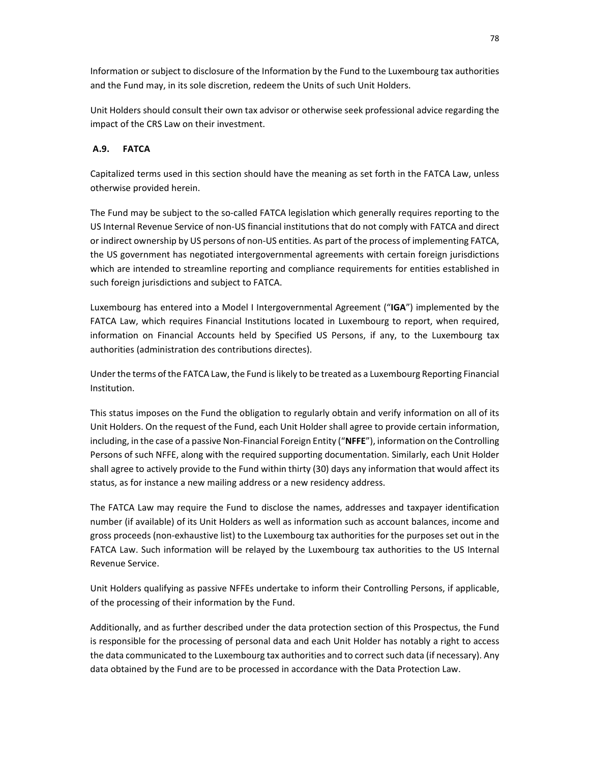Information or subject to disclosure of the Information by the Fund to the Luxembourg tax authorities and the Fund may, in its sole discretion, redeem the Units of such Unit Holders.

Unit Holders should consult their own tax advisor or otherwise seek professional advice regarding the impact of the CRS Law on their investment.

# **A.9. FATCA**

Capitalized terms used in this section should have the meaning as set forth in the FATCA Law, unless otherwise provided herein.

The Fund may be subject to the so-called FATCA legislation which generally requires reporting to the US Internal Revenue Service of non-US financial institutions that do not comply with FATCA and direct or indirect ownership by US persons of non-US entities. As part of the process of implementing FATCA, the US government has negotiated intergovernmental agreements with certain foreign jurisdictions which are intended to streamline reporting and compliance requirements for entities established in such foreign jurisdictions and subject to FATCA.

Luxembourg has entered into a Model I Intergovernmental Agreement ("**IGA**") implemented by the FATCA Law, which requires Financial Institutions located in Luxembourg to report, when required, information on Financial Accounts held by Specified US Persons, if any, to the Luxembourg tax authorities (administration des contributions directes).

Under the terms of the FATCA Law, the Fund is likely to be treated as a Luxembourg Reporting Financial Institution.

This status imposes on the Fund the obligation to regularly obtain and verify information on all of its Unit Holders. On the request of the Fund, each Unit Holder shall agree to provide certain information, including, in the case of a passive Non-Financial Foreign Entity ("**NFFE**"), information on the Controlling Persons of such NFFE, along with the required supporting documentation. Similarly, each Unit Holder shall agree to actively provide to the Fund within thirty (30) days any information that would affect its status, as for instance a new mailing address or a new residency address.

The FATCA Law may require the Fund to disclose the names, addresses and taxpayer identification number (if available) of its Unit Holders as well as information such as account balances, income and gross proceeds (non-exhaustive list) to the Luxembourg tax authorities for the purposes set out in the FATCA Law. Such information will be relayed by the Luxembourg tax authorities to the US Internal Revenue Service.

Unit Holders qualifying as passive NFFEs undertake to inform their Controlling Persons, if applicable, of the processing of their information by the Fund.

Additionally, and as further described under the data protection section of this Prospectus, the Fund is responsible for the processing of personal data and each Unit Holder has notably a right to access the data communicated to the Luxembourg tax authorities and to correct such data (if necessary). Any data obtained by the Fund are to be processed in accordance with the Data Protection Law.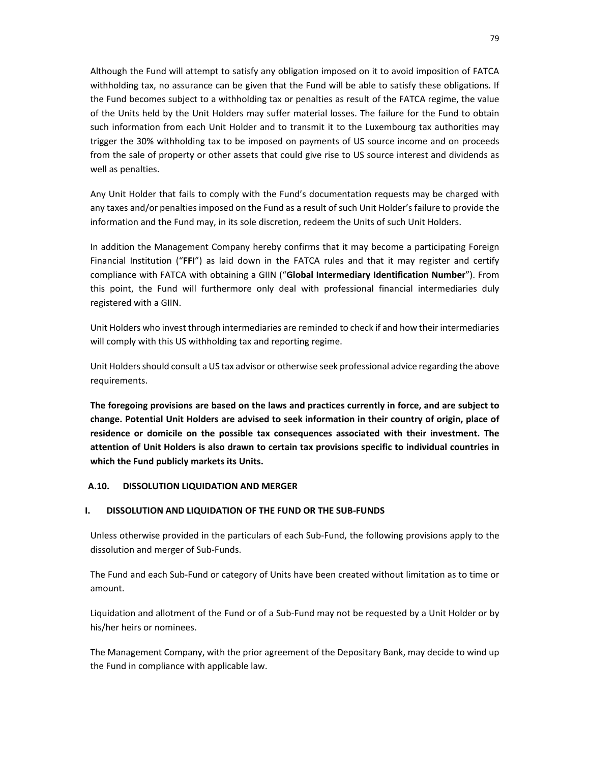Although the Fund will attempt to satisfy any obligation imposed on it to avoid imposition of FATCA withholding tax, no assurance can be given that the Fund will be able to satisfy these obligations. If the Fund becomes subject to a withholding tax or penalties as result of the FATCA regime, the value of the Units held by the Unit Holders may suffer material losses. The failure for the Fund to obtain such information from each Unit Holder and to transmit it to the Luxembourg tax authorities may trigger the 30% withholding tax to be imposed on payments of US source income and on proceeds from the sale of property or other assets that could give rise to US source interest and dividends as well as penalties.

Any Unit Holder that fails to comply with the Fund's documentation requests may be charged with any taxes and/or penalties imposed on the Fund as a result of such Unit Holder's failure to provide the information and the Fund may, in its sole discretion, redeem the Units of such Unit Holders.

In addition the Management Company hereby confirms that it may become a participating Foreign Financial Institution ("**FFI**") as laid down in the FATCA rules and that it may register and certify compliance with FATCA with obtaining a GIIN ("**Global Intermediary Identification Number**"). From this point, the Fund will furthermore only deal with professional financial intermediaries duly registered with a GIIN.

Unit Holders who invest through intermediaries are reminded to check if and how their intermediaries will comply with this US withholding tax and reporting regime.

Unit Holders should consult a US tax advisor or otherwise seek professional advice regarding the above requirements.

**The foregoing provisions are based on the laws and practices currently in force, and are subject to change. Potential Unit Holders are advised to seek information in their country of origin, place of residence or domicile on the possible tax consequences associated with their investment. The attention of Unit Holders is also drawn to certain tax provisions specific to individual countries in which the Fund publicly markets its Units.** 

## **A.10. DISSOLUTION LIQUIDATION AND MERGER**

#### **I. DISSOLUTION AND LIQUIDATION OF THE FUND OR THE SUB-FUNDS**

Unless otherwise provided in the particulars of each Sub-Fund, the following provisions apply to the dissolution and merger of Sub-Funds.

The Fund and each Sub-Fund or category of Units have been created without limitation as to time or amount.

Liquidation and allotment of the Fund or of a Sub-Fund may not be requested by a Unit Holder or by his/her heirs or nominees.

The Management Company, with the prior agreement of the Depositary Bank, may decide to wind up the Fund in compliance with applicable law.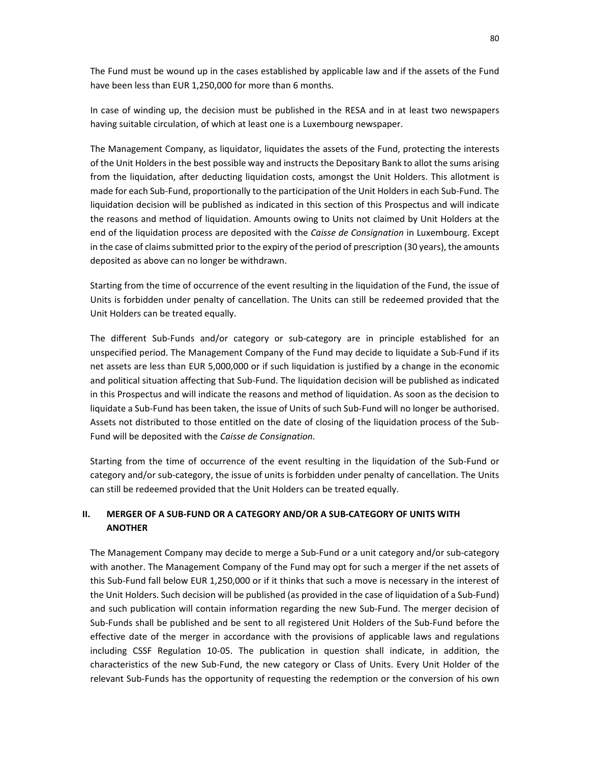The Fund must be wound up in the cases established by applicable law and if the assets of the Fund have been less than EUR 1,250,000 for more than 6 months.

In case of winding up, the decision must be published in the RESA and in at least two newspapers having suitable circulation, of which at least one is a Luxembourg newspaper.

The Management Company, as liquidator, liquidates the assets of the Fund, protecting the interests of the Unit Holders in the best possible way and instructs the Depositary Bank to allot the sums arising from the liquidation, after deducting liquidation costs, amongst the Unit Holders. This allotment is made for each Sub-Fund, proportionally to the participation of the Unit Holders in each Sub-Fund. The liquidation decision will be published as indicated in this section of this Prospectus and will indicate the reasons and method of liquidation. Amounts owing to Units not claimed by Unit Holders at the end of the liquidation process are deposited with the *Caisse de Consignation* in Luxembourg. Except in the case of claims submitted prior to the expiry of the period of prescription (30 years), the amounts deposited as above can no longer be withdrawn.

Starting from the time of occurrence of the event resulting in the liquidation of the Fund, the issue of Units is forbidden under penalty of cancellation. The Units can still be redeemed provided that the Unit Holders can be treated equally.

The different Sub-Funds and/or category or sub-category are in principle established for an unspecified period. The Management Company of the Fund may decide to liquidate a Sub-Fund if its net assets are less than EUR 5,000,000 or if such liquidation is justified by a change in the economic and political situation affecting that Sub-Fund. The liquidation decision will be published as indicated in this Prospectus and will indicate the reasons and method of liquidation. As soon as the decision to liquidate a Sub-Fund has been taken, the issue of Units of such Sub-Fund will no longer be authorised. Assets not distributed to those entitled on the date of closing of the liquidation process of the Sub-Fund will be deposited with the *Caisse de Consignation*.

Starting from the time of occurrence of the event resulting in the liquidation of the Sub-Fund or category and/or sub-category, the issue of units is forbidden under penalty of cancellation. The Units can still be redeemed provided that the Unit Holders can be treated equally.

## **II. MERGER OF A SUB-FUND OR A CATEGORY AND/OR A SUB-CATEGORY OF UNITS WITH ANOTHER**

The Management Company may decide to merge a Sub-Fund or a unit category and/or sub-category with another. The Management Company of the Fund may opt for such a merger if the net assets of this Sub-Fund fall below EUR 1,250,000 or if it thinks that such a move is necessary in the interest of the Unit Holders. Such decision will be published (as provided in the case of liquidation of a Sub-Fund) and such publication will contain information regarding the new Sub-Fund. The merger decision of Sub-Funds shall be published and be sent to all registered Unit Holders of the Sub-Fund before the effective date of the merger in accordance with the provisions of applicable laws and regulations including CSSF Regulation 10-05. The publication in question shall indicate, in addition, the characteristics of the new Sub-Fund, the new category or Class of Units. Every Unit Holder of the relevant Sub-Funds has the opportunity of requesting the redemption or the conversion of his own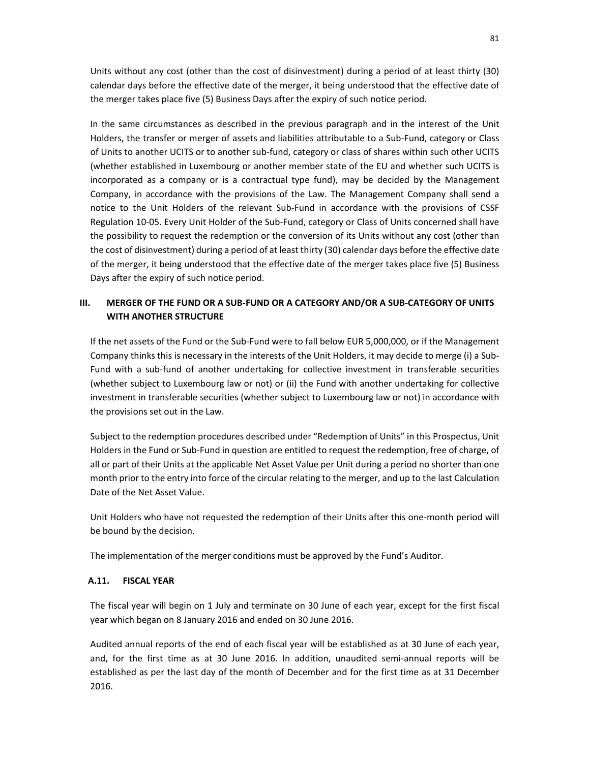Units without any cost (other than the cost of disinvestment) during a period of at least thirty (30) calendar days before the effective date of the merger, it being understood that the effective date of the merger takes place five (5) Business Days after the expiry of such notice period.

In the same circumstances as described in the previous paragraph and in the interest of the Unit Holders, the transfer or merger of assets and liabilities attributable to a Sub-Fund, category or Class of Units to another UCITS or to another sub-fund, category or class of shares within such other UCITS (whether established in Luxembourg or another member state of the EU and whether such UCITS is incorporated as a company or is a contractual type fund), may be decided by the Management Company, in accordance with the provisions of the Law. The Management Company shall send a notice to the Unit Holders of the relevant Sub-Fund in accordance with the provisions of CSSF Regulation 10-05. Every Unit Holder of the Sub-Fund, category or Class of Units concerned shall have the possibility to request the redemption or the conversion of its Units without any cost (other than the cost of disinvestment) during a period of at least thirty (30) calendar days before the effective date of the merger, it being understood that the effective date of the merger takes place five (5) Business Days after the expiry of such notice period.

# **III. MERGER OF THE FUND OR A SUB-FUND OR A CATEGORY AND/OR A SUB-CATEGORY OF UNITS WITH ANOTHER STRUCTURE**

If the net assets of the Fund or the Sub-Fund were to fall below EUR 5,000,000, or if the Management Company thinks this is necessary in the interests of the Unit Holders, it may decide to merge (i) a Sub-Fund with a sub-fund of another undertaking for collective investment in transferable securities (whether subject to Luxembourg law or not) or (ii) the Fund with another undertaking for collective investment in transferable securities (whether subject to Luxembourg law or not) in accordance with the provisions set out in the Law.

Subject to the redemption procedures described under "Redemption of Units" in this Prospectus, Unit Holders in the Fund or Sub-Fund in question are entitled to request the redemption, free of charge, of all or part of their Units at the applicable Net Asset Value per Unit during a period no shorter than one month prior to the entry into force of the circular relating to the merger, and up to the last Calculation Date of the Net Asset Value.

Unit Holders who have not requested the redemption of their Units after this one-month period will be bound by the decision.

The implementation of the merger conditions must be approved by the Fund's Auditor.

## **A.11. FISCAL YEAR**

The fiscal year will begin on 1 July and terminate on 30 June of each year, except for the first fiscal year which began on 8 January 2016 and ended on 30 June 2016.

Audited annual reports of the end of each fiscal year will be established as at 30 June of each year, and, for the first time as at 30 June 2016. In addition, unaudited semi-annual reports will be established as per the last day of the month of December and for the first time as at 31 December 2016.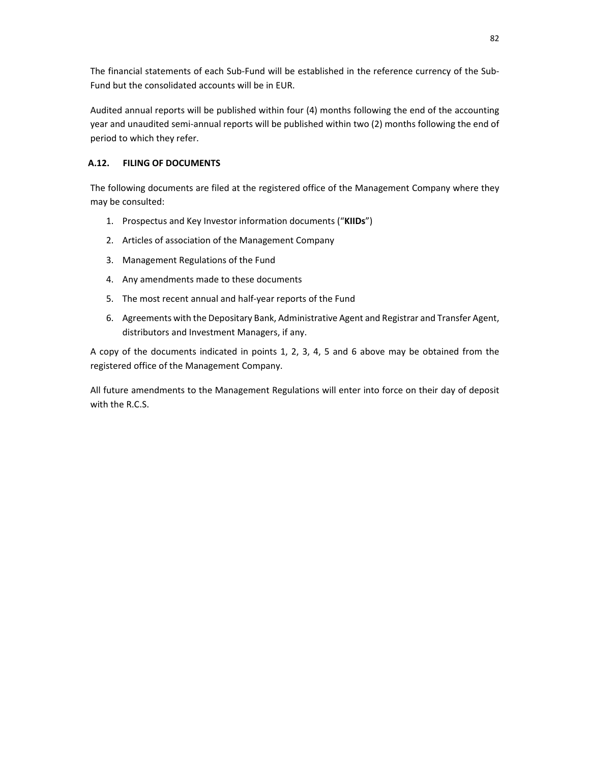The financial statements of each Sub-Fund will be established in the reference currency of the Sub-Fund but the consolidated accounts will be in EUR.

Audited annual reports will be published within four (4) months following the end of the accounting year and unaudited semi-annual reports will be published within two (2) months following the end of period to which they refer.

## **A.12. FILING OF DOCUMENTS**

The following documents are filed at the registered office of the Management Company where they may be consulted:

- 1. Prospectus and Key Investor information documents ("**KIIDs**")
- 2. Articles of association of the Management Company
- 3. Management Regulations of the Fund
- 4. Any amendments made to these documents
- 5. The most recent annual and half-year reports of the Fund
- 6. Agreements with the Depositary Bank, Administrative Agent and Registrar and Transfer Agent, distributors and Investment Managers, if any.

A copy of the documents indicated in points 1, 2, 3, 4, 5 and 6 above may be obtained from the registered office of the Management Company.

All future amendments to the Management Regulations will enter into force on their day of deposit with the R.C.S.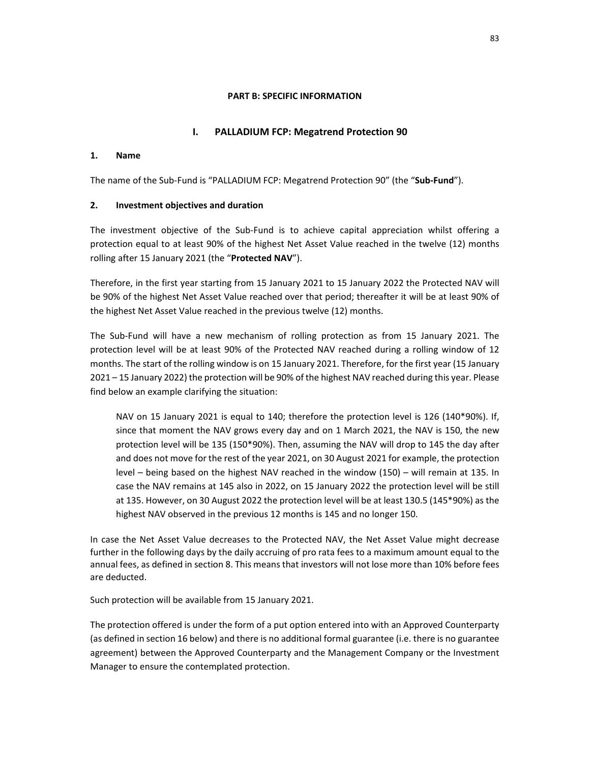### **PART B: SPECIFIC INFORMATION**

## **I. PALLADIUM FCP: Megatrend Protection 90**

## **1. Name**

The name of the Sub-Fund is "PALLADIUM FCP: Megatrend Protection 90" (the "**Sub-Fund**").

## **2. Investment objectives and duration**

The investment objective of the Sub-Fund is to achieve capital appreciation whilst offering a protection equal to at least 90% of the highest Net Asset Value reached in the twelve (12) months rolling after 15 January 2021 (the "**Protected NAV**").

Therefore, in the first year starting from 15 January 2021 to 15 January 2022 the Protected NAV will be 90% of the highest Net Asset Value reached over that period; thereafter it will be at least 90% of the highest Net Asset Value reached in the previous twelve (12) months.

The Sub-Fund will have a new mechanism of rolling protection as from 15 January 2021. The protection level will be at least 90% of the Protected NAV reached during a rolling window of 12 months. The start of the rolling window is on 15 January 2021. Therefore, for the first year (15 January 2021 – 15 January 2022) the protection will be 90% of the highest NAV reached during this year. Please find below an example clarifying the situation:

NAV on 15 January 2021 is equal to 140; therefore the protection level is 126 (140\*90%). If, since that moment the NAV grows every day and on 1 March 2021, the NAV is 150, the new protection level will be 135 (150\*90%). Then, assuming the NAV will drop to 145 the day after and does not move for the rest of the year 2021, on 30 August 2021 for example, the protection level – being based on the highest NAV reached in the window (150) – will remain at 135. In case the NAV remains at 145 also in 2022, on 15 January 2022 the protection level will be still at 135. However, on 30 August 2022 the protection level will be at least 130.5 (145\*90%) as the highest NAV observed in the previous 12 months is 145 and no longer 150.

In case the Net Asset Value decreases to the Protected NAV, the Net Asset Value might decrease further in the following days by the daily accruing of pro rata fees to a maximum amount equal to the annual fees, as defined in section 8. This means that investors will not lose more than 10% before fees are deducted.

Such protection will be available from 15 January 2021.

The protection offered is under the form of a put option entered into with an Approved Counterparty (as defined in section 16 below) and there is no additional formal guarantee (i.e. there is no guarantee agreement) between the Approved Counterparty and the Management Company or the Investment Manager to ensure the contemplated protection.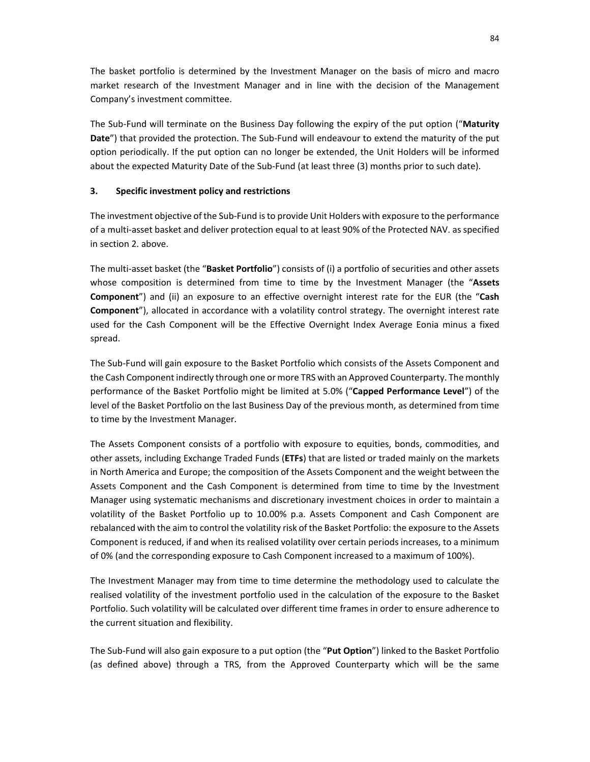The basket portfolio is determined by the Investment Manager on the basis of micro and macro market research of the Investment Manager and in line with the decision of the Management Company's investment committee.

The Sub-Fund will terminate on the Business Day following the expiry of the put option ("**Maturity Date**") that provided the protection. The Sub-Fund will endeavour to extend the maturity of the put option periodically. If the put option can no longer be extended, the Unit Holders will be informed about the expected Maturity Date of the Sub-Fund (at least three (3) months prior to such date).

## **3. Specific investment policy and restrictions**

The investment objective of the Sub-Fund is to provide Unit Holders with exposure to the performance of a multi-asset basket and deliver protection equal to at least 90% of the Protected NAV. as specified in section 2. above.

The multi-asset basket (the "**Basket Portfolio**") consists of (i) a portfolio of securities and other assets whose composition is determined from time to time by the Investment Manager (the "**Assets Component**") and (ii) an exposure to an effective overnight interest rate for the EUR (the "**Cash Component**"), allocated in accordance with a volatility control strategy. The overnight interest rate used for the Cash Component will be the Effective Overnight Index Average Eonia minus a fixed spread.

The Sub-Fund will gain exposure to the Basket Portfolio which consists of the Assets Component and the Cash Component indirectly through one or more TRS with an Approved Counterparty. The monthly performance of the Basket Portfolio might be limited at 5.0% ("**Capped Performance Level**") of the level of the Basket Portfolio on the last Business Day of the previous month, as determined from time to time by the Investment Manager.

The Assets Component consists of a portfolio with exposure to equities, bonds, commodities, and other assets, including Exchange Traded Funds (**ETFs**) that are listed or traded mainly on the markets in North America and Europe; the composition of the Assets Component and the weight between the Assets Component and the Cash Component is determined from time to time by the Investment Manager using systematic mechanisms and discretionary investment choices in order to maintain a volatility of the Basket Portfolio up to 10.00% p.a. Assets Component and Cash Component are rebalanced with the aim to control the volatility risk of the Basket Portfolio: the exposure to the Assets Component is reduced, if and when its realised volatility over certain periods increases, to a minimum of 0% (and the corresponding exposure to Cash Component increased to a maximum of 100%).

The Investment Manager may from time to time determine the methodology used to calculate the realised volatility of the investment portfolio used in the calculation of the exposure to the Basket Portfolio. Such volatility will be calculated over different time frames in order to ensure adherence to the current situation and flexibility.

The Sub-Fund will also gain exposure to a put option (the "**Put Option**") linked to the Basket Portfolio (as defined above) through a TRS, from the Approved Counterparty which will be the same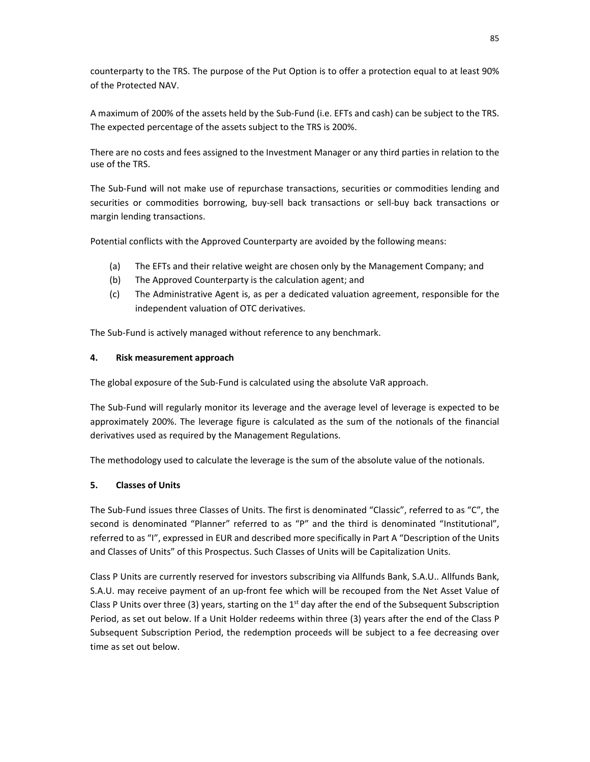counterparty to the TRS. The purpose of the Put Option is to offer a protection equal to at least 90% of the Protected NAV.

A maximum of 200% of the assets held by the Sub-Fund (i.e. EFTs and cash) can be subject to the TRS. The expected percentage of the assets subject to the TRS is 200%.

There are no costs and fees assigned to the Investment Manager or any third parties in relation to the use of the TRS.

The Sub-Fund will not make use of repurchase transactions, securities or commodities lending and securities or commodities borrowing, buy-sell back transactions or sell-buy back transactions or margin lending transactions.

Potential conflicts with the Approved Counterparty are avoided by the following means:

- (a) The EFTs and their relative weight are chosen only by the Management Company; and
- (b) The Approved Counterparty is the calculation agent; and
- (c) The Administrative Agent is, as per a dedicated valuation agreement, responsible for the independent valuation of OTC derivatives.

The Sub-Fund is actively managed without reference to any benchmark.

# **4. Risk measurement approach**

The global exposure of the Sub-Fund is calculated using the absolute VaR approach.

The Sub-Fund will regularly monitor its leverage and the average level of leverage is expected to be approximately 200%. The leverage figure is calculated as the sum of the notionals of the financial derivatives used as required by the Management Regulations.

The methodology used to calculate the leverage is the sum of the absolute value of the notionals.

# **5. Classes of Units**

The Sub-Fund issues three Classes of Units. The first is denominated "Classic", referred to as "C", the second is denominated "Planner" referred to as "P" and the third is denominated "Institutional", referred to as "I", expressed in EUR and described more specifically in Part A "Description of the Units and Classes of Units" of this Prospectus. Such Classes of Units will be Capitalization Units.

Class P Units are currently reserved for investors subscribing via Allfunds Bank, S.A.U.. Allfunds Bank, S.A.U. may receive payment of an up-front fee which will be recouped from the Net Asset Value of Class P Units over three (3) years, starting on the  $1<sup>st</sup>$  day after the end of the Subsequent Subscription Period, as set out below. If a Unit Holder redeems within three (3) years after the end of the Class P Subsequent Subscription Period, the redemption proceeds will be subject to a fee decreasing over time as set out below.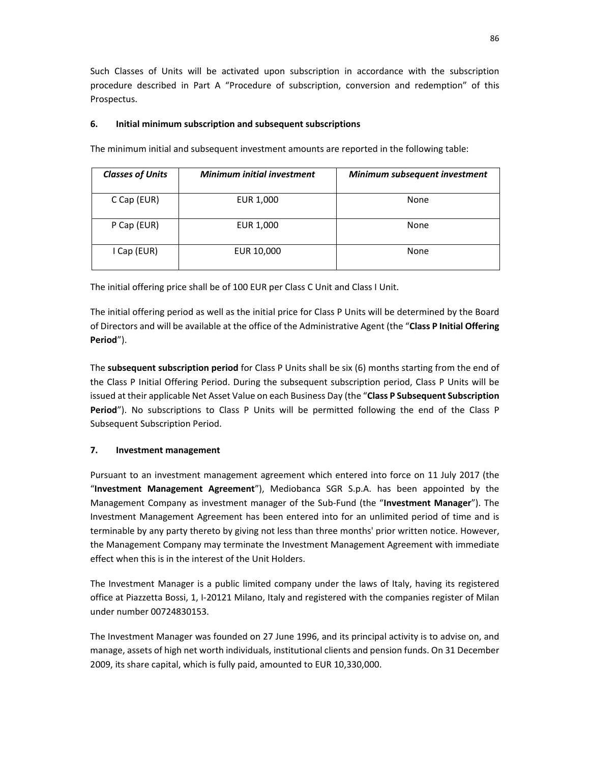Such Classes of Units will be activated upon subscription in accordance with the subscription procedure described in Part A "Procedure of subscription, conversion and redemption" of this Prospectus.

## **6. Initial minimum subscription and subsequent subscriptions**

The minimum initial and subsequent investment amounts are reported in the following table:

| <b>Classes of Units</b> | <b>Minimum initial investment</b> | Minimum subsequent investment |
|-------------------------|-----------------------------------|-------------------------------|
| C Cap (EUR)             | EUR 1,000                         | None                          |
| P Cap (EUR)             | EUR 1,000                         | None                          |
| I Cap (EUR)             | EUR 10,000                        | None                          |

The initial offering price shall be of 100 EUR per Class C Unit and Class I Unit.

The initial offering period as well as the initial price for Class P Units will be determined by the Board of Directors and will be available at the office of the Administrative Agent (the "**Class P Initial Offering Period**").

The **subsequent subscription period** for Class P Units shall be six (6) months starting from the end of the Class P Initial Offering Period. During the subsequent subscription period, Class P Units will be issued at their applicable Net Asset Value on each Business Day (the "**Class P Subsequent Subscription Period**"). No subscriptions to Class P Units will be permitted following the end of the Class P Subsequent Subscription Period.

# **7. Investment management**

Pursuant to an investment management agreement which entered into force on 11 July 2017 (the "**Investment Management Agreement**"), Mediobanca SGR S.p.A. has been appointed by the Management Company as investment manager of the Sub-Fund (the "**Investment Manager**"). The Investment Management Agreement has been entered into for an unlimited period of time and is terminable by any party thereto by giving not less than three months' prior written notice. However, the Management Company may terminate the Investment Management Agreement with immediate effect when this is in the interest of the Unit Holders.

The Investment Manager is a public limited company under the laws of Italy, having its registered office at Piazzetta Bossi, 1, I-20121 Milano, Italy and registered with the companies register of Milan under number 00724830153.

The Investment Manager was founded on 27 June 1996, and its principal activity is to advise on, and manage, assets of high net worth individuals, institutional clients and pension funds. On 31 December 2009, its share capital, which is fully paid, amounted to EUR 10,330,000.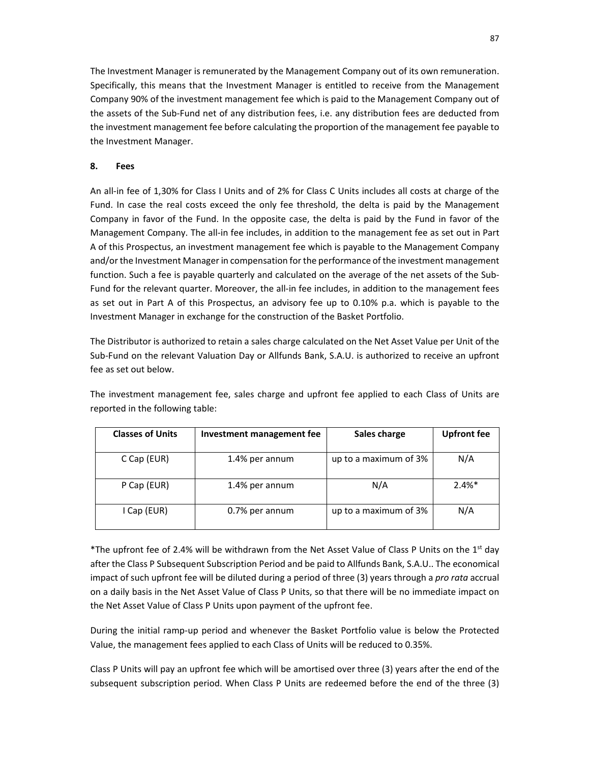The Investment Manager is remunerated by the Management Company out of its own remuneration. Specifically, this means that the Investment Manager is entitled to receive from the Management Company 90% of the investment management fee which is paid to the Management Company out of the assets of the Sub-Fund net of any distribution fees, i.e. any distribution fees are deducted from the investment management fee before calculating the proportion of the management fee payable to the Investment Manager.

## **8. Fees**

An all-in fee of 1,30% for Class I Units and of 2% for Class C Units includes all costs at charge of the Fund. In case the real costs exceed the only fee threshold, the delta is paid by the Management Company in favor of the Fund. In the opposite case, the delta is paid by the Fund in favor of the Management Company. The all-in fee includes, in addition to the management fee as set out in Part A of this Prospectus, an investment management fee which is payable to the Management Company and/or the Investment Manager in compensation for the performance of the investment management function. Such a fee is payable quarterly and calculated on the average of the net assets of the Sub-Fund for the relevant quarter. Moreover, the all-in fee includes, in addition to the management fees as set out in Part A of this Prospectus, an advisory fee up to 0.10% p.a. which is payable to the Investment Manager in exchange for the construction of the Basket Portfolio.

The Distributor is authorized to retain a sales charge calculated on the Net Asset Value per Unit of the Sub-Fund on the relevant Valuation Day or Allfunds Bank, S.A.U. is authorized to receive an upfront fee as set out below.

The investment management fee, sales charge and upfront fee applied to each Class of Units are reported in the following table:

| <b>Classes of Units</b> | Investment management fee | Sales charge          | <b>Upfront fee</b> |
|-------------------------|---------------------------|-----------------------|--------------------|
| C Cap (EUR)             | 1.4% per annum            | up to a maximum of 3% | N/A                |
| P Cap (EUR)             | 1.4% per annum            | N/A                   | $2.4%$ *           |
| I Cap (EUR)             | 0.7% per annum            | up to a maximum of 3% | N/A                |

\*The upfront fee of 2.4% will be withdrawn from the Net Asset Value of Class P Units on the 1<sup>st</sup> day after the Class P Subsequent Subscription Period and be paid to Allfunds Bank, S.A.U.. The economical impact of such upfront fee will be diluted during a period of three (3) years through a *pro rata* accrual on a daily basis in the Net Asset Value of Class P Units, so that there will be no immediate impact on the Net Asset Value of Class P Units upon payment of the upfront fee.

During the initial ramp-up period and whenever the Basket Portfolio value is below the Protected Value, the management fees applied to each Class of Units will be reduced to 0.35%.

Class P Units will pay an upfront fee which will be amortised over three (3) years after the end of the subsequent subscription period. When Class P Units are redeemed before the end of the three (3)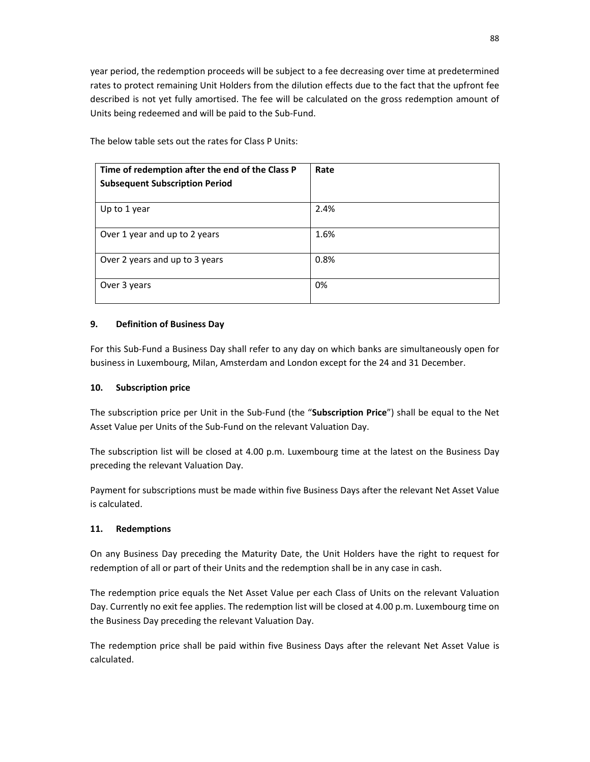year period, the redemption proceeds will be subject to a fee decreasing over time at predetermined rates to protect remaining Unit Holders from the dilution effects due to the fact that the upfront fee described is not yet fully amortised. The fee will be calculated on the gross redemption amount of Units being redeemed and will be paid to the Sub-Fund.

**Time of redemption after the end of the Class P Subsequent Subscription Period Rate**  Up to 1 year  $\vert$  2.4% Over 1 year and up to 2 years  $1.6\%$ Over 2 years and up to 3 years 0.8% Over 3 years and the contract of the contract of the contract of the contract of the contract of the contract of the contract of the contract of the contract of the contract of the contract of the contract of the contract

The below table sets out the rates for Class P Units:

## **9. Definition of Business Day**

For this Sub-Fund a Business Day shall refer to any day on which banks are simultaneously open for business in Luxembourg, Milan, Amsterdam and London except for the 24 and 31 December.

#### **10. Subscription price**

The subscription price per Unit in the Sub-Fund (the "**Subscription Price**") shall be equal to the Net Asset Value per Units of the Sub-Fund on the relevant Valuation Day.

The subscription list will be closed at 4.00 p.m. Luxembourg time at the latest on the Business Day preceding the relevant Valuation Day.

Payment for subscriptions must be made within five Business Days after the relevant Net Asset Value is calculated.

## **11. Redemptions**

On any Business Day preceding the Maturity Date, the Unit Holders have the right to request for redemption of all or part of their Units and the redemption shall be in any case in cash.

The redemption price equals the Net Asset Value per each Class of Units on the relevant Valuation Day. Currently no exit fee applies. The redemption list will be closed at 4.00 p.m. Luxembourg time on the Business Day preceding the relevant Valuation Day.

The redemption price shall be paid within five Business Days after the relevant Net Asset Value is calculated.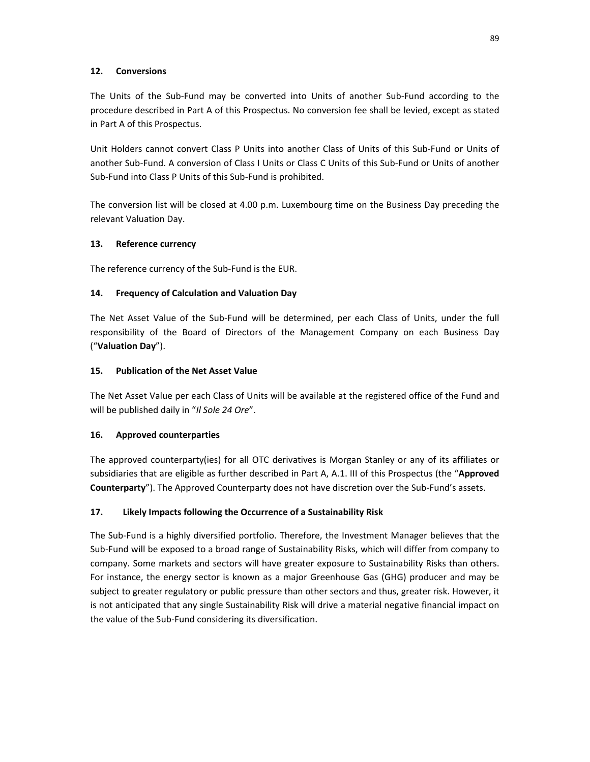## **12. Conversions**

The Units of the Sub-Fund may be converted into Units of another Sub-Fund according to the procedure described in Part A of this Prospectus. No conversion fee shall be levied, except as stated in Part A of this Prospectus.

Unit Holders cannot convert Class P Units into another Class of Units of this Sub-Fund or Units of another Sub-Fund. A conversion of Class I Units or Class C Units of this Sub-Fund or Units of another Sub-Fund into Class P Units of this Sub-Fund is prohibited.

The conversion list will be closed at 4.00 p.m. Luxembourg time on the Business Day preceding the relevant Valuation Day.

## **13. Reference currency**

The reference currency of the Sub-Fund is the EUR.

## **14. Frequency of Calculation and Valuation Day**

The Net Asset Value of the Sub-Fund will be determined, per each Class of Units, under the full responsibility of the Board of Directors of the Management Company on each Business Day ("**Valuation Day**").

## **15. Publication of the Net Asset Value**

The Net Asset Value per each Class of Units will be available at the registered office of the Fund and will be published daily in "*Il Sole 24 Ore*".

# **16. Approved counterparties**

The approved counterparty(ies) for all OTC derivatives is Morgan Stanley or any of its affiliates or subsidiaries that are eligible as further described in Part A, A.1. III of this Prospectus (the "**Approved Counterparty**"). The Approved Counterparty does not have discretion over the Sub-Fund's assets.

# **17. Likely Impacts following the Occurrence of a Sustainability Risk**

The Sub-Fund is a highly diversified portfolio. Therefore, the Investment Manager believes that the Sub-Fund will be exposed to a broad range of Sustainability Risks, which will differ from company to company. Some markets and sectors will have greater exposure to Sustainability Risks than others. For instance, the energy sector is known as a major Greenhouse Gas (GHG) producer and may be subject to greater regulatory or public pressure than other sectors and thus, greater risk. However, it is not anticipated that any single Sustainability Risk will drive a material negative financial impact on the value of the Sub-Fund considering its diversification.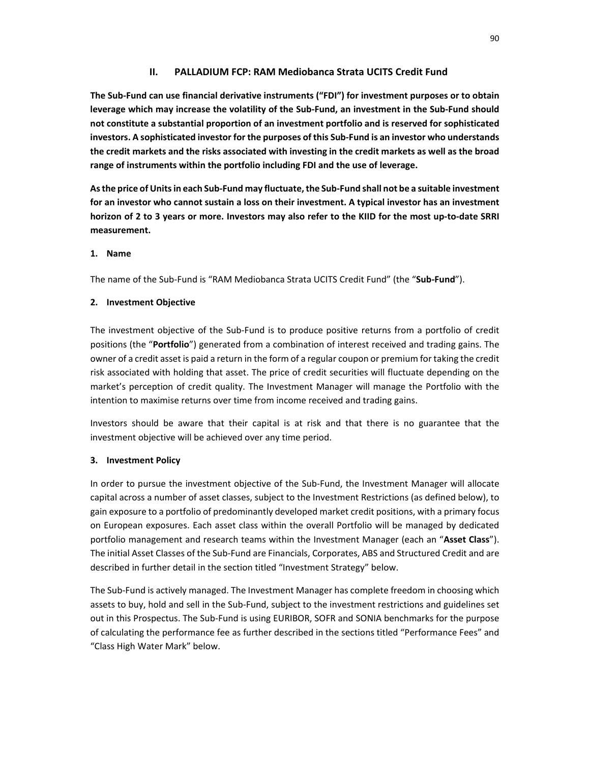## **II. PALLADIUM FCP: RAM Mediobanca Strata UCITS Credit Fund**

**The Sub-Fund can use financial derivative instruments ("FDI") for investment purposes or to obtain leverage which may increase the volatility of the Sub-Fund, an investment in the Sub-Fund should not constitute a substantial proportion of an investment portfolio and is reserved for sophisticated investors. A sophisticated investor for the purposes of this Sub-Fund is an investor who understands the credit markets and the risks associated with investing in the credit markets as well as the broad range of instruments within the portfolio including FDI and the use of leverage.** 

**As the price of Units in each Sub-Fund may fluctuate, the Sub-Fund shall not be a suitable investment for an investor who cannot sustain a loss on their investment. A typical investor has an investment horizon of 2 to 3 years or more. Investors may also refer to the KIID for the most up-to-date SRRI measurement.** 

## **1. Name**

The name of the Sub-Fund is "RAM Mediobanca Strata UCITS Credit Fund" (the "**Sub-Fund**").

## **2. Investment Objective**

The investment objective of the Sub-Fund is to produce positive returns from a portfolio of credit positions (the "**Portfolio**") generated from a combination of interest received and trading gains. The owner of a credit asset is paid a return in the form of a regular coupon or premium for taking the credit risk associated with holding that asset. The price of credit securities will fluctuate depending on the market's perception of credit quality. The Investment Manager will manage the Portfolio with the intention to maximise returns over time from income received and trading gains.

Investors should be aware that their capital is at risk and that there is no guarantee that the investment objective will be achieved over any time period.

# **3. Investment Policy**

In order to pursue the investment objective of the Sub-Fund, the Investment Manager will allocate capital across a number of asset classes, subject to the Investment Restrictions (as defined below), to gain exposure to a portfolio of predominantly developed market credit positions, with a primary focus on European exposures. Each asset class within the overall Portfolio will be managed by dedicated portfolio management and research teams within the Investment Manager (each an "**Asset Class**"). The initial Asset Classes of the Sub-Fund are Financials, Corporates, ABS and Structured Credit and are described in further detail in the section titled "Investment Strategy" below.

The Sub-Fund is actively managed. The Investment Manager has complete freedom in choosing which assets to buy, hold and sell in the Sub-Fund, subject to the investment restrictions and guidelines set out in this Prospectus. The Sub-Fund is using EURIBOR, SOFR and SONIA benchmarks for the purpose of calculating the performance fee as further described in the sections titled "Performance Fees" and "Class High Water Mark" below.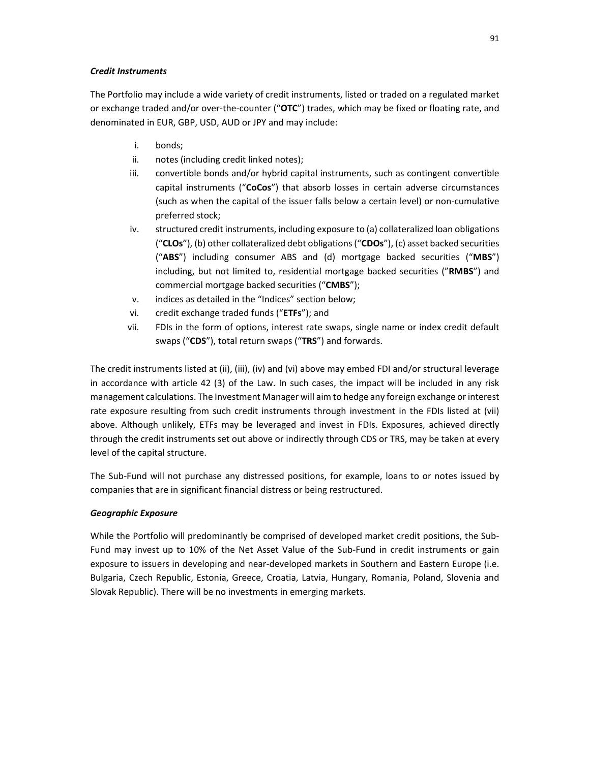### *Credit Instruments*

The Portfolio may include a wide variety of credit instruments, listed or traded on a regulated market or exchange traded and/or over-the-counter ("**OTC**") trades, which may be fixed or floating rate, and denominated in EUR, GBP, USD, AUD or JPY and may include:

- i. bonds;
- ii. notes (including credit linked notes);
- iii. convertible bonds and/or hybrid capital instruments, such as contingent convertible capital instruments ("**CoCos**") that absorb losses in certain adverse circumstances (such as when the capital of the issuer falls below a certain level) or non-cumulative preferred stock;
- iv. structured credit instruments, including exposure to (a) collateralized loan obligations ("**CLOs**"), (b) other collateralized debt obligations ("**CDOs**"), (c) asset backed securities ("**ABS**") including consumer ABS and (d) mortgage backed securities ("**MBS**") including, but not limited to, residential mortgage backed securities ("**RMBS**") and commercial mortgage backed securities ("**CMBS**");
- v. indices as detailed in the "Indices" section below;
- vi. credit exchange traded funds ("**ETFs**"); and
- vii. FDIs in the form of options, interest rate swaps, single name or index credit default swaps ("**CDS**"), total return swaps ("**TRS**") and forwards.

The credit instruments listed at (ii), (iii), (iv) and (vi) above may embed FDI and/or structural leverage in accordance with article 42 (3) of the Law. In such cases, the impact will be included in any risk management calculations. The Investment Manager will aim to hedge any foreign exchange or interest rate exposure resulting from such credit instruments through investment in the FDIs listed at (vii) above. Although unlikely, ETFs may be leveraged and invest in FDIs. Exposures, achieved directly through the credit instruments set out above or indirectly through CDS or TRS, may be taken at every level of the capital structure.

The Sub-Fund will not purchase any distressed positions, for example, loans to or notes issued by companies that are in significant financial distress or being restructured.

## *Geographic Exposure*

While the Portfolio will predominantly be comprised of developed market credit positions, the Sub-Fund may invest up to 10% of the Net Asset Value of the Sub-Fund in credit instruments or gain exposure to issuers in developing and near-developed markets in Southern and Eastern Europe (i.e. Bulgaria, Czech Republic, Estonia, Greece, Croatia, Latvia, Hungary, Romania, Poland, Slovenia and Slovak Republic). There will be no investments in emerging markets.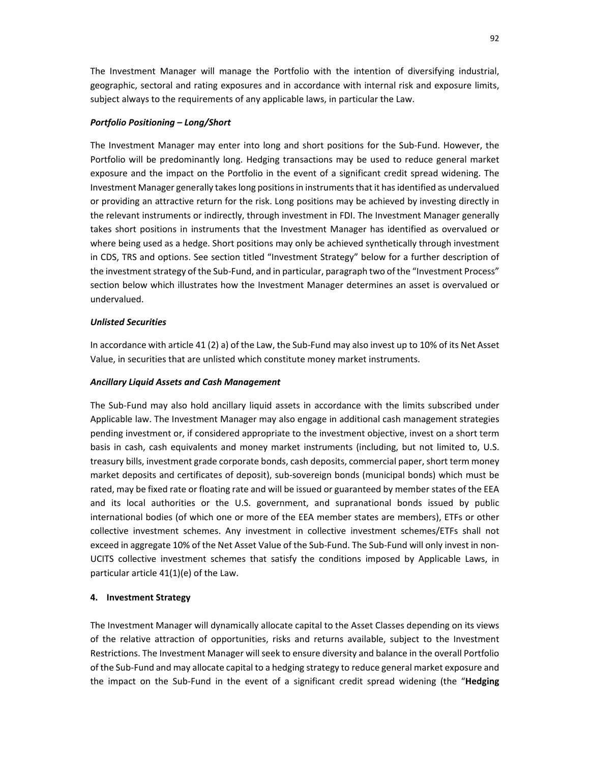The Investment Manager will manage the Portfolio with the intention of diversifying industrial, geographic, sectoral and rating exposures and in accordance with internal risk and exposure limits, subject always to the requirements of any applicable laws, in particular the Law.

#### *Portfolio Positioning – Long/Short*

The Investment Manager may enter into long and short positions for the Sub-Fund. However, the Portfolio will be predominantly long. Hedging transactions may be used to reduce general market exposure and the impact on the Portfolio in the event of a significant credit spread widening. The Investment Manager generally takes long positions in instruments that it has identified as undervalued or providing an attractive return for the risk. Long positions may be achieved by investing directly in the relevant instruments or indirectly, through investment in FDI. The Investment Manager generally takes short positions in instruments that the Investment Manager has identified as overvalued or where being used as a hedge. Short positions may only be achieved synthetically through investment in CDS, TRS and options. See section titled "Investment Strategy" below for a further description of the investment strategy of the Sub-Fund, and in particular, paragraph two of the "Investment Process" section below which illustrates how the Investment Manager determines an asset is overvalued or undervalued.

#### *Unlisted Securities*

In accordance with article 41 (2) a) of the Law, the Sub-Fund may also invest up to 10% of its Net Asset Value, in securities that are unlisted which constitute money market instruments.

#### *Ancillary Liquid Assets and Cash Management*

The Sub-Fund may also hold ancillary liquid assets in accordance with the limits subscribed under Applicable law. The Investment Manager may also engage in additional cash management strategies pending investment or, if considered appropriate to the investment objective, invest on a short term basis in cash, cash equivalents and money market instruments (including, but not limited to, U.S. treasury bills, investment grade corporate bonds, cash deposits, commercial paper, short term money market deposits and certificates of deposit), sub-sovereign bonds (municipal bonds) which must be rated, may be fixed rate or floating rate and will be issued or guaranteed by member states of the EEA and its local authorities or the U.S. government, and supranational bonds issued by public international bodies (of which one or more of the EEA member states are members), ETFs or other collective investment schemes. Any investment in collective investment schemes/ETFs shall not exceed in aggregate 10% of the Net Asset Value of the Sub-Fund. The Sub-Fund will only invest in non-UCITS collective investment schemes that satisfy the conditions imposed by Applicable Laws, in particular article 41(1)(e) of the Law.

#### **4. Investment Strategy**

The Investment Manager will dynamically allocate capital to the Asset Classes depending on its views of the relative attraction of opportunities, risks and returns available, subject to the Investment Restrictions. The Investment Manager will seek to ensure diversity and balance in the overall Portfolio of the Sub-Fund and may allocate capital to a hedging strategy to reduce general market exposure and the impact on the Sub-Fund in the event of a significant credit spread widening (the "**Hedging**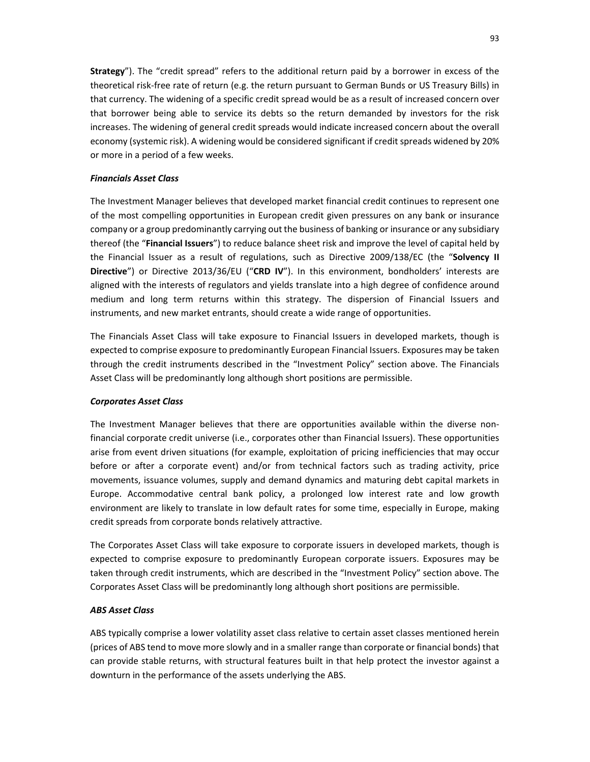**Strategy**"). The "credit spread" refers to the additional return paid by a borrower in excess of the theoretical risk-free rate of return (e.g. the return pursuant to German Bunds or US Treasury Bills) in that currency. The widening of a specific credit spread would be as a result of increased concern over that borrower being able to service its debts so the return demanded by investors for the risk increases. The widening of general credit spreads would indicate increased concern about the overall economy (systemic risk). A widening would be considered significant if credit spreads widened by 20% or more in a period of a few weeks.

### *Financials Asset Class*

The Investment Manager believes that developed market financial credit continues to represent one of the most compelling opportunities in European credit given pressures on any bank or insurance company or a group predominantly carrying out the business of banking or insurance or any subsidiary thereof (the "**Financial Issuers**") to reduce balance sheet risk and improve the level of capital held by the Financial Issuer as a result of regulations, such as Directive 2009/138/EC (the "**Solvency II Directive**") or Directive 2013/36/EU ("**CRD IV**"). In this environment, bondholders' interests are aligned with the interests of regulators and yields translate into a high degree of confidence around medium and long term returns within this strategy. The dispersion of Financial Issuers and instruments, and new market entrants, should create a wide range of opportunities.

The Financials Asset Class will take exposure to Financial Issuers in developed markets, though is expected to comprise exposure to predominantly European Financial Issuers. Exposures may be taken through the credit instruments described in the "Investment Policy" section above. The Financials Asset Class will be predominantly long although short positions are permissible.

#### *Corporates Asset Class*

The Investment Manager believes that there are opportunities available within the diverse nonfinancial corporate credit universe (i.e., corporates other than Financial Issuers). These opportunities arise from event driven situations (for example, exploitation of pricing inefficiencies that may occur before or after a corporate event) and/or from technical factors such as trading activity, price movements, issuance volumes, supply and demand dynamics and maturing debt capital markets in Europe. Accommodative central bank policy, a prolonged low interest rate and low growth environment are likely to translate in low default rates for some time, especially in Europe, making credit spreads from corporate bonds relatively attractive.

The Corporates Asset Class will take exposure to corporate issuers in developed markets, though is expected to comprise exposure to predominantly European corporate issuers. Exposures may be taken through credit instruments, which are described in the "Investment Policy" section above. The Corporates Asset Class will be predominantly long although short positions are permissible.

#### *ABS Asset Class*

ABS typically comprise a lower volatility asset class relative to certain asset classes mentioned herein (prices of ABS tend to move more slowly and in a smaller range than corporate or financial bonds) that can provide stable returns, with structural features built in that help protect the investor against a downturn in the performance of the assets underlying the ABS.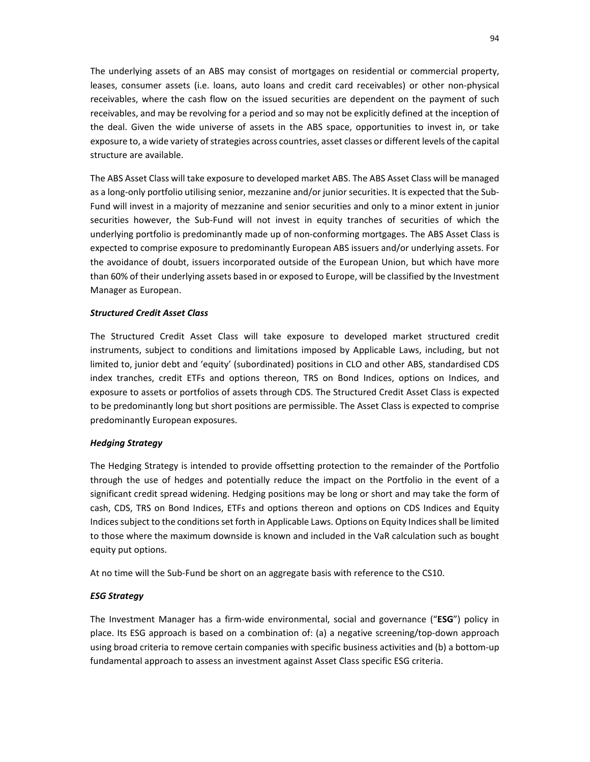The underlying assets of an ABS may consist of mortgages on residential or commercial property, leases, consumer assets (i.e. loans, auto loans and credit card receivables) or other non-physical receivables, where the cash flow on the issued securities are dependent on the payment of such receivables, and may be revolving for a period and so may not be explicitly defined at the inception of the deal. Given the wide universe of assets in the ABS space, opportunities to invest in, or take exposure to, a wide variety of strategies across countries, asset classes or different levels of the capital structure are available.

The ABS Asset Class will take exposure to developed market ABS. The ABS Asset Class will be managed as a long-only portfolio utilising senior, mezzanine and/or junior securities. It is expected that the Sub-Fund will invest in a majority of mezzanine and senior securities and only to a minor extent in junior securities however, the Sub-Fund will not invest in equity tranches of securities of which the underlying portfolio is predominantly made up of non-conforming mortgages. The ABS Asset Class is expected to comprise exposure to predominantly European ABS issuers and/or underlying assets. For the avoidance of doubt, issuers incorporated outside of the European Union, but which have more than 60% of their underlying assets based in or exposed to Europe, will be classified by the Investment Manager as European.

## *Structured Credit Asset Class*

The Structured Credit Asset Class will take exposure to developed market structured credit instruments, subject to conditions and limitations imposed by Applicable Laws, including, but not limited to, junior debt and 'equity' (subordinated) positions in CLO and other ABS, standardised CDS index tranches, credit ETFs and options thereon, TRS on Bond Indices, options on Indices, and exposure to assets or portfolios of assets through CDS. The Structured Credit Asset Class is expected to be predominantly long but short positions are permissible. The Asset Class is expected to comprise predominantly European exposures.

#### *Hedging Strategy*

The Hedging Strategy is intended to provide offsetting protection to the remainder of the Portfolio through the use of hedges and potentially reduce the impact on the Portfolio in the event of a significant credit spread widening. Hedging positions may be long or short and may take the form of cash, CDS, TRS on Bond Indices, ETFs and options thereon and options on CDS Indices and Equity Indices subject to the conditions set forth in Applicable Laws. Options on Equity Indices shall be limited to those where the maximum downside is known and included in the VaR calculation such as bought equity put options.

At no time will the Sub-Fund be short on an aggregate basis with reference to the CS10.

#### *ESG Strategy*

The Investment Manager has a firm-wide environmental, social and governance ("**ESG**") policy in place. Its ESG approach is based on a combination of: (a) a negative screening/top-down approach using broad criteria to remove certain companies with specific business activities and (b) a bottom-up fundamental approach to assess an investment against Asset Class specific ESG criteria.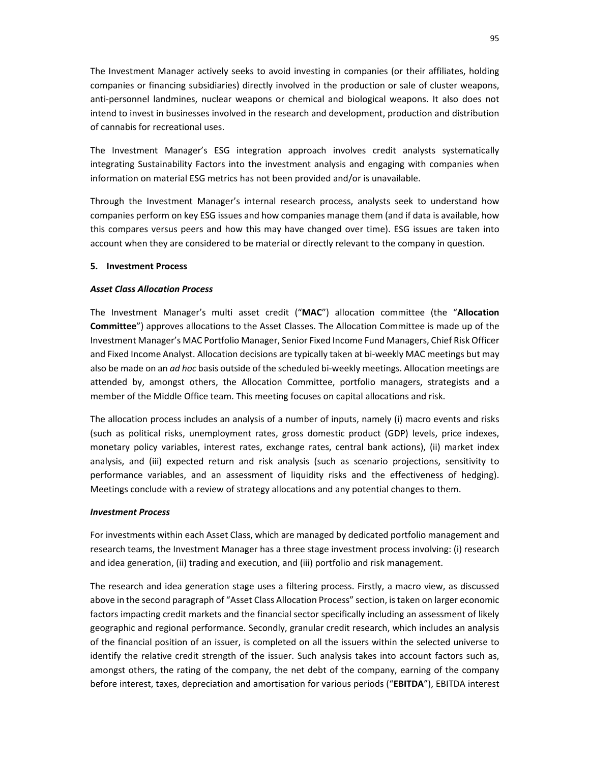The Investment Manager actively seeks to avoid investing in companies (or their affiliates, holding companies or financing subsidiaries) directly involved in the production or sale of cluster weapons, anti-personnel landmines, nuclear weapons or chemical and biological weapons. It also does not intend to invest in businesses involved in the research and development, production and distribution of cannabis for recreational uses.

The Investment Manager's ESG integration approach involves credit analysts systematically integrating Sustainability Factors into the investment analysis and engaging with companies when information on material ESG metrics has not been provided and/or is unavailable.

Through the Investment Manager's internal research process, analysts seek to understand how companies perform on key ESG issues and how companies manage them (and if data is available, how this compares versus peers and how this may have changed over time). ESG issues are taken into account when they are considered to be material or directly relevant to the company in question.

#### **5. Investment Process**

#### *Asset Class Allocation Process*

The Investment Manager's multi asset credit ("**MAC**") allocation committee (the "**Allocation Committee**") approves allocations to the Asset Classes. The Allocation Committee is made up of the Investment Manager's MAC Portfolio Manager, Senior Fixed Income Fund Managers, Chief Risk Officer and Fixed Income Analyst. Allocation decisions are typically taken at bi-weekly MAC meetings but may also be made on an *ad hoc* basis outside of the scheduled bi-weekly meetings. Allocation meetings are attended by, amongst others, the Allocation Committee, portfolio managers, strategists and a member of the Middle Office team. This meeting focuses on capital allocations and risk.

The allocation process includes an analysis of a number of inputs, namely (i) macro events and risks (such as political risks, unemployment rates, gross domestic product (GDP) levels, price indexes, monetary policy variables, interest rates, exchange rates, central bank actions), (ii) market index analysis, and (iii) expected return and risk analysis (such as scenario projections, sensitivity to performance variables, and an assessment of liquidity risks and the effectiveness of hedging). Meetings conclude with a review of strategy allocations and any potential changes to them.

#### *Investment Process*

For investments within each Asset Class, which are managed by dedicated portfolio management and research teams, the Investment Manager has a three stage investment process involving: (i) research and idea generation, (ii) trading and execution, and (iii) portfolio and risk management.

The research and idea generation stage uses a filtering process. Firstly, a macro view, as discussed above in the second paragraph of "Asset Class Allocation Process" section, is taken on larger economic factors impacting credit markets and the financial sector specifically including an assessment of likely geographic and regional performance. Secondly, granular credit research, which includes an analysis of the financial position of an issuer, is completed on all the issuers within the selected universe to identify the relative credit strength of the issuer. Such analysis takes into account factors such as, amongst others, the rating of the company, the net debt of the company, earning of the company before interest, taxes, depreciation and amortisation for various periods ("**EBITDA**"), EBITDA interest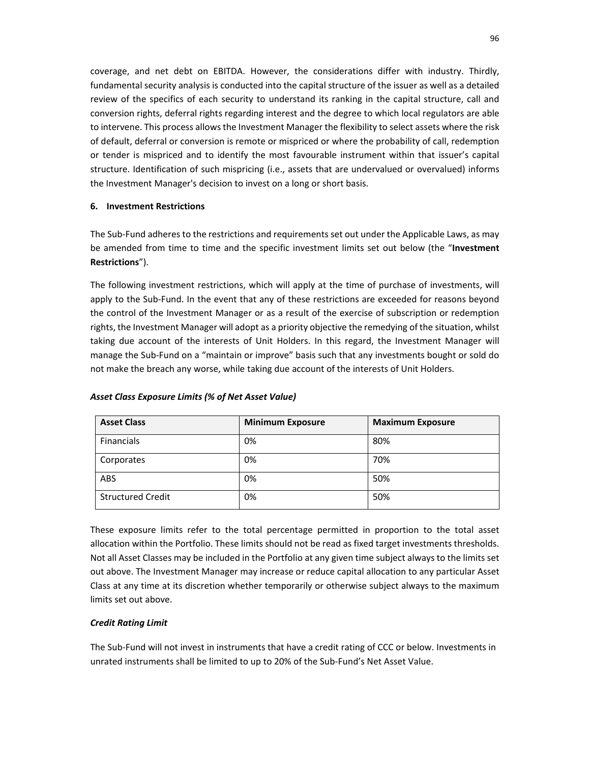coverage, and net debt on EBITDA. However, the considerations differ with industry. Thirdly, fundamental security analysis is conducted into the capital structure of the issuer as well as a detailed review of the specifics of each security to understand its ranking in the capital structure, call and conversion rights, deferral rights regarding interest and the degree to which local regulators are able to intervene. This process allows the Investment Manager the flexibility to select assets where the risk of default, deferral or conversion is remote or mispriced or where the probability of call, redemption or tender is mispriced and to identify the most favourable instrument within that issuer's capital structure. Identification of such mispricing (i.e., assets that are undervalued or overvalued) informs the Investment Manager's decision to invest on a long or short basis.

## **6. Investment Restrictions**

The Sub-Fund adheres to the restrictions and requirements set out under the Applicable Laws, as may be amended from time to time and the specific investment limits set out below (the "**Investment Restrictions**").

The following investment restrictions, which will apply at the time of purchase of investments, will apply to the Sub-Fund. In the event that any of these restrictions are exceeded for reasons beyond the control of the Investment Manager or as a result of the exercise of subscription or redemption rights, the Investment Manager will adopt as a priority objective the remedying of the situation, whilst taking due account of the interests of Unit Holders. In this regard, the Investment Manager will manage the Sub-Fund on a "maintain or improve" basis such that any investments bought or sold do not make the breach any worse, while taking due account of the interests of Unit Holders.

| <b>Asset Class</b>       | <b>Minimum Exposure</b> | <b>Maximum Exposure</b> |
|--------------------------|-------------------------|-------------------------|
| Financials               | 0%                      | 80%                     |
| Corporates               | 0%                      | 70%                     |
| <b>ABS</b>               | 0%                      | 50%                     |
| <b>Structured Credit</b> | 0%                      | 50%                     |

#### *Asset Class Exposure Limits (% of Net Asset Value)*

These exposure limits refer to the total percentage permitted in proportion to the total asset allocation within the Portfolio. These limits should not be read as fixed target investments thresholds. Not all Asset Classes may be included in the Portfolio at any given time subject always to the limits set out above. The Investment Manager may increase or reduce capital allocation to any particular Asset Class at any time at its discretion whether temporarily or otherwise subject always to the maximum limits set out above.

## *Credit Rating Limit*

The Sub-Fund will not invest in instruments that have a credit rating of CCC or below. Investments in unrated instruments shall be limited to up to 20% of the Sub-Fund's Net Asset Value.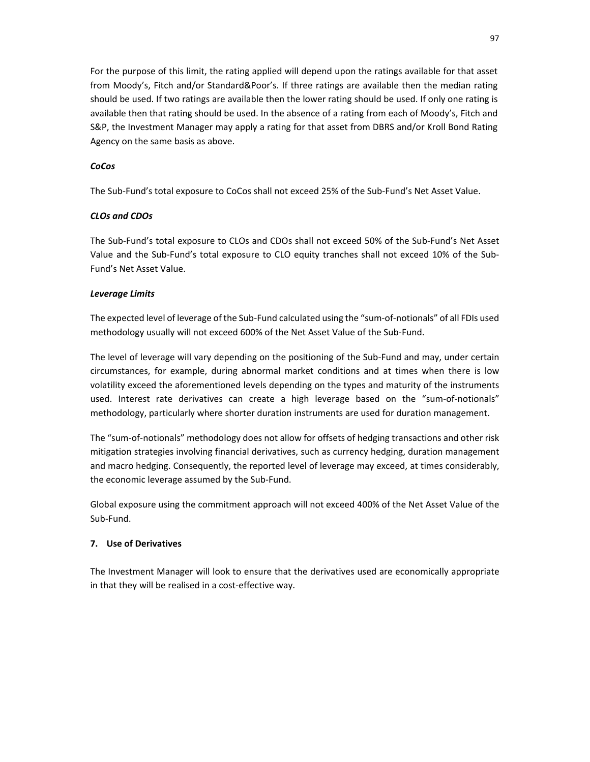For the purpose of this limit, the rating applied will depend upon the ratings available for that asset from Moody's, Fitch and/or Standard&Poor's. If three ratings are available then the median rating should be used. If two ratings are available then the lower rating should be used. If only one rating is available then that rating should be used. In the absence of a rating from each of Moody's, Fitch and S&P, the Investment Manager may apply a rating for that asset from DBRS and/or Kroll Bond Rating Agency on the same basis as above.

### *CoCos*

The Sub-Fund's total exposure to CoCos shall not exceed 25% of the Sub-Fund's Net Asset Value.

### *CLOs and CDOs*

The Sub-Fund's total exposure to CLOs and CDOs shall not exceed 50% of the Sub-Fund's Net Asset Value and the Sub-Fund's total exposure to CLO equity tranches shall not exceed 10% of the Sub-Fund's Net Asset Value.

#### *Leverage Limits*

The expected level of leverage of the Sub-Fund calculated using the "sum-of-notionals" of all FDIs used methodology usually will not exceed 600% of the Net Asset Value of the Sub-Fund.

The level of leverage will vary depending on the positioning of the Sub-Fund and may, under certain circumstances, for example, during abnormal market conditions and at times when there is low volatility exceed the aforementioned levels depending on the types and maturity of the instruments used. Interest rate derivatives can create a high leverage based on the "sum-of-notionals" methodology, particularly where shorter duration instruments are used for duration management.

The "sum-of-notionals" methodology does not allow for offsets of hedging transactions and other risk mitigation strategies involving financial derivatives, such as currency hedging, duration management and macro hedging. Consequently, the reported level of leverage may exceed, at times considerably, the economic leverage assumed by the Sub-Fund.

Global exposure using the commitment approach will not exceed 400% of the Net Asset Value of the Sub-Fund.

#### **7. Use of Derivatives**

The Investment Manager will look to ensure that the derivatives used are economically appropriate in that they will be realised in a cost-effective way.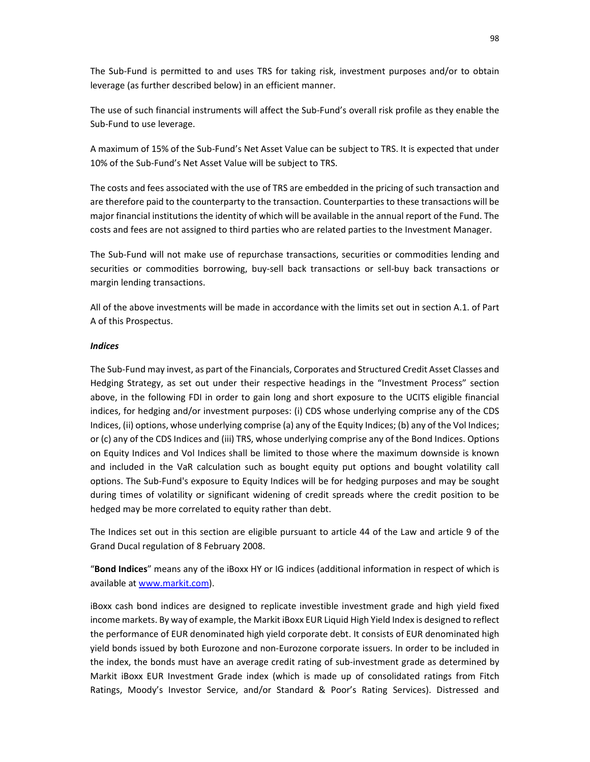The Sub-Fund is permitted to and uses TRS for taking risk, investment purposes and/or to obtain leverage (as further described below) in an efficient manner.

The use of such financial instruments will affect the Sub-Fund's overall risk profile as they enable the Sub-Fund to use leverage.

A maximum of 15% of the Sub-Fund's Net Asset Value can be subject to TRS. It is expected that under 10% of the Sub-Fund's Net Asset Value will be subject to TRS.

The costs and fees associated with the use of TRS are embedded in the pricing of such transaction and are therefore paid to the counterparty to the transaction. Counterparties to these transactions will be major financial institutions the identity of which will be available in the annual report of the Fund. The costs and fees are not assigned to third parties who are related parties to the Investment Manager.

The Sub-Fund will not make use of repurchase transactions, securities or commodities lending and securities or commodities borrowing, buy-sell back transactions or sell-buy back transactions or margin lending transactions.

All of the above investments will be made in accordance with the limits set out in section A.1. of Part A of this Prospectus.

#### *Indices*

The Sub-Fund may invest, as part of the Financials, Corporates and Structured Credit Asset Classes and Hedging Strategy, as set out under their respective headings in the "Investment Process" section above, in the following FDI in order to gain long and short exposure to the UCITS eligible financial indices, for hedging and/or investment purposes: (i) CDS whose underlying comprise any of the CDS Indices, (ii) options, whose underlying comprise (a) any of the Equity Indices; (b) any of the Vol Indices; or (c) any of the CDS Indices and (iii) TRS, whose underlying comprise any of the Bond Indices. Options on Equity Indices and Vol Indices shall be limited to those where the maximum downside is known and included in the VaR calculation such as bought equity put options and bought volatility call options. The Sub-Fund's exposure to Equity Indices will be for hedging purposes and may be sought during times of volatility or significant widening of credit spreads where the credit position to be hedged may be more correlated to equity rather than debt.

The Indices set out in this section are eligible pursuant to article 44 of the Law and article 9 of the Grand Ducal regulation of 8 February 2008.

"**Bond Indices**" means any of the iBoxx HY or IG indices (additional information in respect of which is available at www.markit.com).

iBoxx cash bond indices are designed to replicate investible investment grade and high yield fixed income markets. By way of example, the Markit iBoxx EUR Liquid High Yield Index is designed to reflect the performance of EUR denominated high yield corporate debt. It consists of EUR denominated high yield bonds issued by both Eurozone and non-Eurozone corporate issuers. In order to be included in the index, the bonds must have an average credit rating of sub-investment grade as determined by Markit iBoxx EUR Investment Grade index (which is made up of consolidated ratings from Fitch Ratings, Moody's Investor Service, and/or Standard & Poor's Rating Services). Distressed and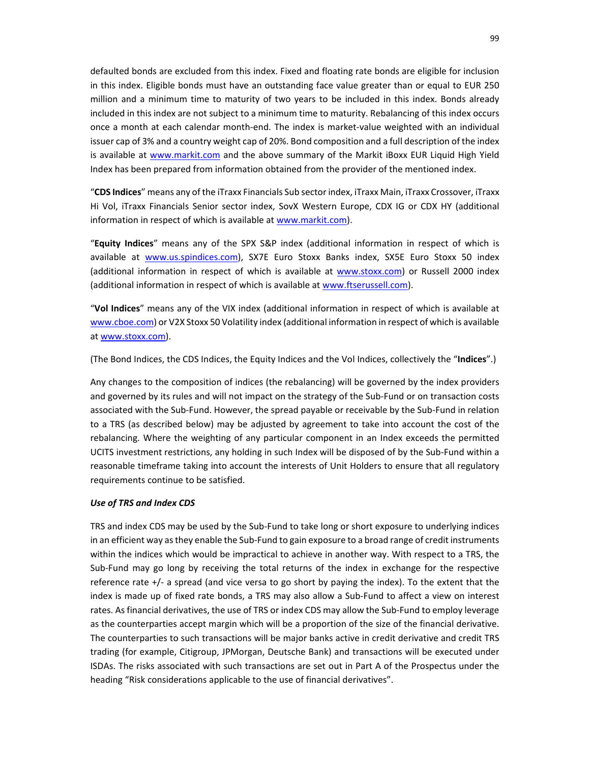defaulted bonds are excluded from this index. Fixed and floating rate bonds are eligible for inclusion in this index. Eligible bonds must have an outstanding face value greater than or equal to EUR 250 million and a minimum time to maturity of two years to be included in this index. Bonds already included in this index are not subject to a minimum time to maturity. Rebalancing of this index occurs once a month at each calendar month-end. The index is market-value weighted with an individual issuer cap of 3% and a country weight cap of 20%. Bond composition and a full description of the index is available at www.markit.com and the above summary of the Markit iBoxx EUR Liquid High Yield Index has been prepared from information obtained from the provider of the mentioned index.

"**CDS Indices**" means any of the iTraxx Financials Sub sector index, iTraxx Main, iTraxx Crossover, iTraxx Hi Vol, iTraxx Financials Senior sector index, SovX Western Europe, CDX IG or CDX HY (additional information in respect of which is available at www.markit.com).

"**Equity Indices**" means any of the SPX S&P index (additional information in respect of which is available at www.us.spindices.com), SX7E Euro Stoxx Banks index, SX5E Euro Stoxx 50 index (additional information in respect of which is available at www.stoxx.com) or Russell 2000 index (additional information in respect of which is available at www.ftserussell.com).

"**Vol Indices**" means any of the VIX index (additional information in respect of which is available at www.cboe.com) or V2X Stoxx 50 Volatility index (additional information in respect of which is available at www.stoxx.com).

(The Bond Indices, the CDS Indices, the Equity Indices and the Vol Indices, collectively the "**Indices**".)

Any changes to the composition of indices (the rebalancing) will be governed by the index providers and governed by its rules and will not impact on the strategy of the Sub-Fund or on transaction costs associated with the Sub-Fund. However, the spread payable or receivable by the Sub-Fund in relation to a TRS (as described below) may be adjusted by agreement to take into account the cost of the rebalancing. Where the weighting of any particular component in an Index exceeds the permitted UCITS investment restrictions, any holding in such Index will be disposed of by the Sub-Fund within a reasonable timeframe taking into account the interests of Unit Holders to ensure that all regulatory requirements continue to be satisfied.

#### *Use of TRS and Index CDS*

TRS and index CDS may be used by the Sub-Fund to take long or short exposure to underlying indices in an efficient way as they enable the Sub-Fund to gain exposure to a broad range of credit instruments within the indices which would be impractical to achieve in another way. With respect to a TRS, the Sub-Fund may go long by receiving the total returns of the index in exchange for the respective reference rate +/- a spread (and vice versa to go short by paying the index). To the extent that the index is made up of fixed rate bonds, a TRS may also allow a Sub-Fund to affect a view on interest rates. As financial derivatives, the use of TRS or index CDS may allow the Sub-Fund to employ leverage as the counterparties accept margin which will be a proportion of the size of the financial derivative. The counterparties to such transactions will be major banks active in credit derivative and credit TRS trading (for example, Citigroup, JPMorgan, Deutsche Bank) and transactions will be executed under ISDAs. The risks associated with such transactions are set out in Part A of the Prospectus under the heading "Risk considerations applicable to the use of financial derivatives".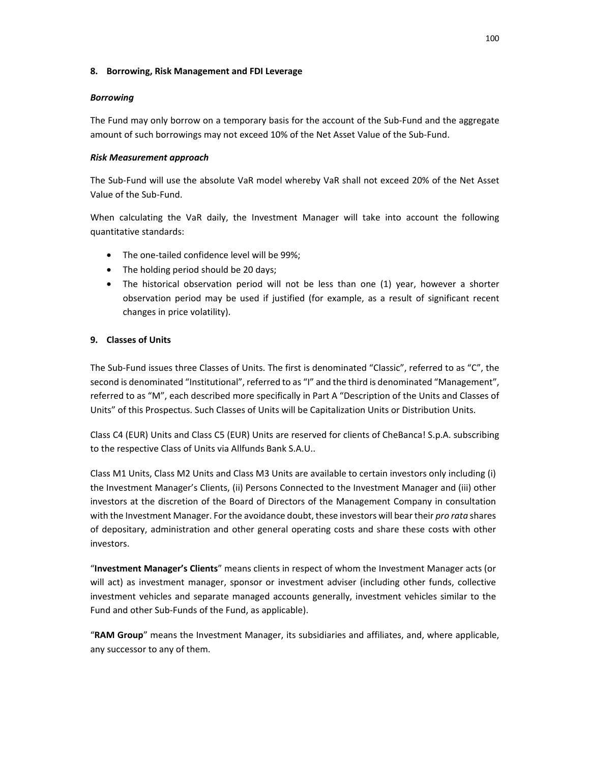#### **8. Borrowing, Risk Management and FDI Leverage**

### *Borrowing*

The Fund may only borrow on a temporary basis for the account of the Sub-Fund and the aggregate amount of such borrowings may not exceed 10% of the Net Asset Value of the Sub-Fund.

## *Risk Measurement approach*

The Sub-Fund will use the absolute VaR model whereby VaR shall not exceed 20% of the Net Asset Value of the Sub-Fund.

When calculating the VaR daily, the Investment Manager will take into account the following quantitative standards:

- The one-tailed confidence level will be 99%;
- The holding period should be 20 days;
- The historical observation period will not be less than one (1) year, however a shorter observation period may be used if justified (for example, as a result of significant recent changes in price volatility).

## **9. Classes of Units**

The Sub-Fund issues three Classes of Units. The first is denominated "Classic", referred to as "C", the second is denominated "Institutional", referred to as "I" and the third is denominated "Management", referred to as "M", each described more specifically in Part A "Description of the Units and Classes of Units" of this Prospectus. Such Classes of Units will be Capitalization Units or Distribution Units.

Class C4 (EUR) Units and Class C5 (EUR) Units are reserved for clients of CheBanca! S.p.A. subscribing to the respective Class of Units via Allfunds Bank S.A.U..

Class M1 Units, Class M2 Units and Class M3 Units are available to certain investors only including (i) the Investment Manager's Clients, (ii) Persons Connected to the Investment Manager and (iii) other investors at the discretion of the Board of Directors of the Management Company in consultation with the Investment Manager. For the avoidance doubt, these investors will bear their *pro rata* shares of depositary, administration and other general operating costs and share these costs with other investors.

"**Investment Manager's Clients**" means clients in respect of whom the Investment Manager acts (or will act) as investment manager, sponsor or investment adviser (including other funds, collective investment vehicles and separate managed accounts generally, investment vehicles similar to the Fund and other Sub-Funds of the Fund, as applicable).

"**RAM Group**" means the Investment Manager, its subsidiaries and affiliates, and, where applicable, any successor to any of them.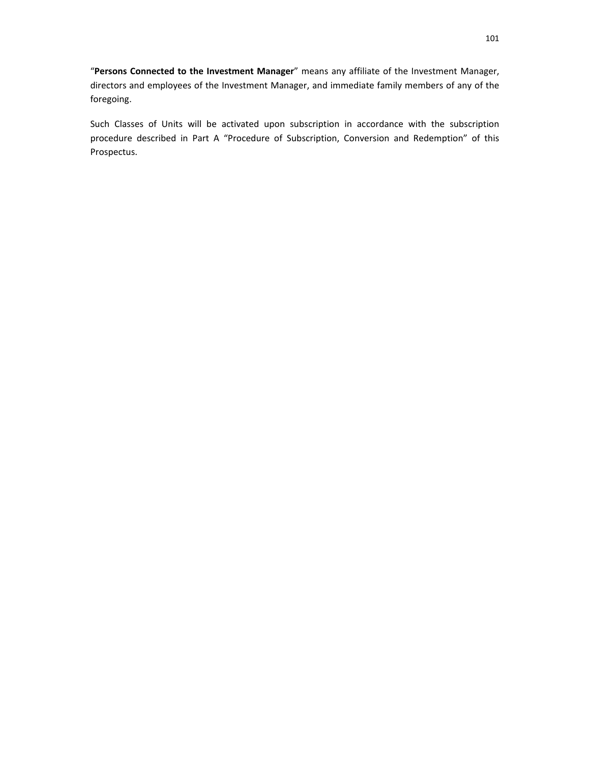"**Persons Connected to the Investment Manager**" means any affiliate of the Investment Manager, directors and employees of the Investment Manager, and immediate family members of any of the foregoing.

Such Classes of Units will be activated upon subscription in accordance with the subscription procedure described in Part A "Procedure of Subscription, Conversion and Redemption" of this Prospectus.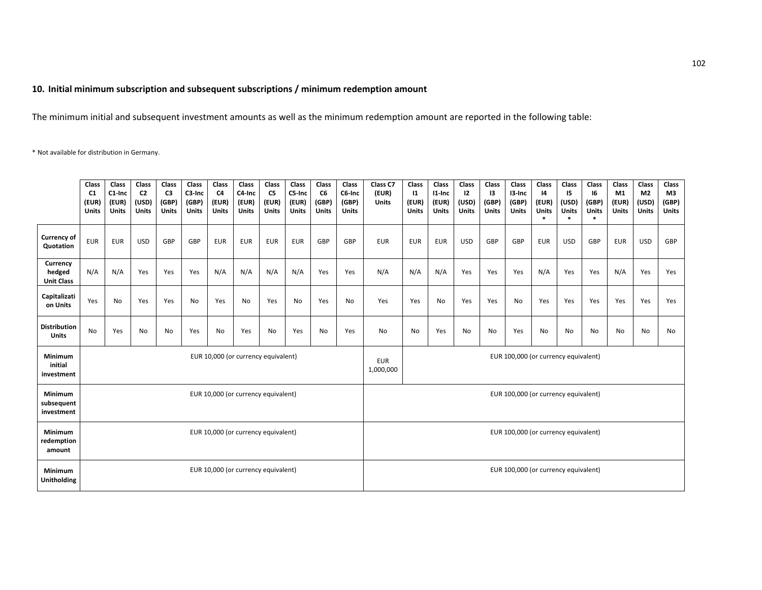#### **10. Initial minimum subscription and subsequent subscriptions / minimum redemption amount**

The minimum initial and subsequent investment amounts as well as the minimum redemption amount are reported in the following table:

\* Not available for distribution in Germany.

|                                         | Class<br>C <sub>1</sub><br>(EUR)<br>Units | Class<br>C1-Inc<br>(EUR)<br>Units | Class<br>C <sub>2</sub><br>(USD)<br><b>Units</b> | Class<br>C <sub>3</sub><br>(GBP)<br><b>Units</b> | Class<br>C3-Inc<br>(GBP)<br><b>Units</b> | Class<br>C <sub>4</sub><br>(EUR)<br><b>Units</b> | Class<br>C4-Inc<br>(EUR)<br><b>Units</b> | Class<br>C5<br>(EUR)<br><b>Units</b>                            | Class<br>C5-Inc<br>(EUR)<br>Units | Class<br>C6<br>(GBP)<br><b>Units</b> | Class<br>C6-Inc<br>(GBP)<br><b>Units</b> | Class C7<br>(EUR)<br><b>Units</b>    | Class<br>$\mathbf{11}$<br>(EUR)<br><b>Units</b> | Class<br>I1-Inc<br>(EUR)<br><b>Units</b> | Class<br>12<br>(USD)<br><b>Units</b> | Class<br>13<br>(GBP)<br><b>Units</b> | Class<br>13-Inc<br>(GBP)<br><b>Units</b> | Class<br>$\mathsf{I}4$<br>(EUR)<br><b>Units</b><br>$\ast$ | Class<br>15<br>(USD)<br><b>Units</b> | Class<br>16<br>(GBP)<br>Units<br>$\ast$ | Class<br>M1<br>(EUR)<br><b>Units</b> | Class<br>M2<br>(USD)<br><b>Units</b> | Class<br>M3<br>(GBP)<br><b>Units</b> |
|-----------------------------------------|-------------------------------------------|-----------------------------------|--------------------------------------------------|--------------------------------------------------|------------------------------------------|--------------------------------------------------|------------------------------------------|-----------------------------------------------------------------|-----------------------------------|--------------------------------------|------------------------------------------|--------------------------------------|-------------------------------------------------|------------------------------------------|--------------------------------------|--------------------------------------|------------------------------------------|-----------------------------------------------------------|--------------------------------------|-----------------------------------------|--------------------------------------|--------------------------------------|--------------------------------------|
| <b>Currency of</b><br>Quotation         | <b>EUR</b>                                | <b>EUR</b>                        | <b>USD</b>                                       | GBP                                              | GBP                                      | <b>EUR</b>                                       | <b>EUR</b>                               | <b>EUR</b>                                                      | <b>EUR</b>                        | GBP                                  | GBP                                      | <b>EUR</b>                           | <b>EUR</b>                                      | <b>EUR</b>                               | <b>USD</b>                           | GBP                                  | GBP                                      | <b>EUR</b>                                                | <b>USD</b>                           | GBP                                     | <b>EUR</b>                           | <b>USD</b>                           | GBP                                  |
| Currency<br>hedged<br><b>Unit Class</b> | N/A                                       | N/A                               | Yes                                              | Yes                                              | Yes                                      | N/A                                              | N/A                                      | N/A                                                             | N/A                               | Yes                                  | Yes                                      | N/A                                  | N/A                                             | N/A                                      | Yes                                  | Yes                                  | Yes                                      | N/A                                                       | Yes                                  | Yes                                     | N/A                                  | Yes                                  | Yes                                  |
| Capitalizati<br>on Units                | Yes                                       | No                                | Yes                                              | Yes                                              | No                                       | Yes                                              | No                                       | Yes                                                             | No                                | Yes                                  | <b>No</b>                                | Yes                                  | Yes                                             | <b>No</b>                                | Yes                                  | Yes                                  | No                                       | Yes                                                       | Yes                                  | Yes                                     | Yes                                  | Yes                                  | Yes                                  |
| <b>Distribution</b><br><b>Units</b>     | No                                        | Yes                               | No                                               | No                                               | Yes                                      | No                                               | Yes                                      | No                                                              | Yes                               | No                                   | Yes                                      | No                                   | No                                              | Yes                                      | No                                   | No                                   | Yes                                      | No                                                        | <b>No</b>                            | No                                      | No                                   | No                                   | No                                   |
| Minimum<br>initial<br>investment        | EUR 10,000 (or currency equivalent)       |                                   |                                                  |                                                  |                                          |                                                  |                                          | EUR 100,000 (or currency equivalent)<br><b>EUR</b><br>1,000,000 |                                   |                                      |                                          |                                      |                                                 |                                          |                                      |                                      |                                          |                                                           |                                      |                                         |                                      |                                      |                                      |
| Minimum<br>subsequent<br>investment     | EUR 10,000 (or currency equivalent)       |                                   |                                                  |                                                  |                                          |                                                  |                                          | EUR 100,000 (or currency equivalent)                            |                                   |                                      |                                          |                                      |                                                 |                                          |                                      |                                      |                                          |                                                           |                                      |                                         |                                      |                                      |                                      |
| Minimum<br>redemption<br>amount         | EUR 10,000 (or currency equivalent)       |                                   |                                                  |                                                  |                                          |                                                  |                                          | EUR 100,000 (or currency equivalent)                            |                                   |                                      |                                          |                                      |                                                 |                                          |                                      |                                      |                                          |                                                           |                                      |                                         |                                      |                                      |                                      |
| Minimum<br>Unitholding                  |                                           |                                   |                                                  |                                                  |                                          |                                                  | EUR 10,000 (or currency equivalent)      |                                                                 |                                   |                                      |                                          | EUR 100,000 (or currency equivalent) |                                                 |                                          |                                      |                                      |                                          |                                                           |                                      |                                         |                                      |                                      |                                      |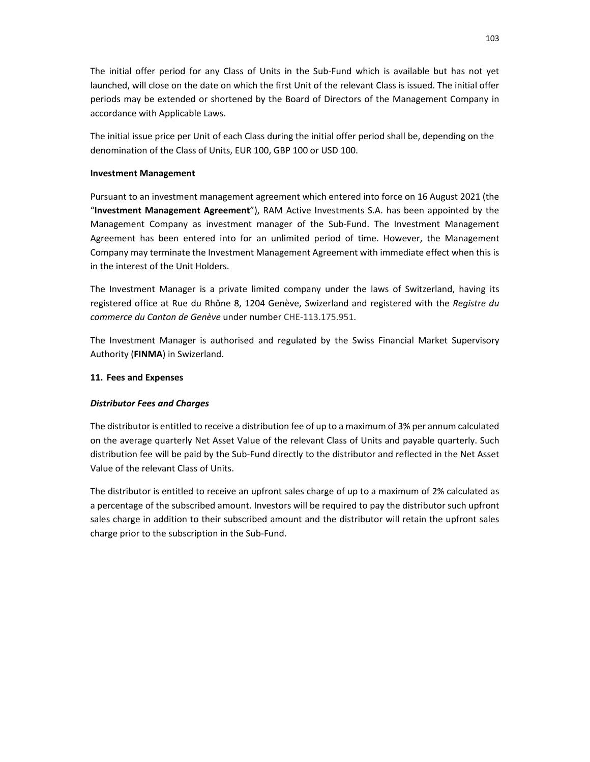The initial offer period for any Class of Units in the Sub-Fund which is available but has not yet launched, will close on the date on which the first Unit of the relevant Class is issued. The initial offer periods may be extended or shortened by the Board of Directors of the Management Company in accordance with Applicable Laws.

The initial issue price per Unit of each Class during the initial offer period shall be, depending on the denomination of the Class of Units, EUR 100, GBP 100 or USD 100.

### **Investment Management**

Pursuant to an investment management agreement which entered into force on 16 August 2021 (the "**Investment Management Agreement**"), RAM Active Investments S.A. has been appointed by the Management Company as investment manager of the Sub-Fund. The Investment Management Agreement has been entered into for an unlimited period of time. However, the Management Company may terminate the Investment Management Agreement with immediate effect when this is in the interest of the Unit Holders.

The Investment Manager is a private limited company under the laws of Switzerland, having its registered office at Rue du Rhône 8, 1204 Genève, Swizerland and registered with the *Registre du commerce du Canton de Genève* under number CHE-113.175.951.

The Investment Manager is authorised and regulated by the Swiss Financial Market Supervisory Authority (**FINMA**) in Swizerland.

### **11. Fees and Expenses**

## *Distributor Fees and Charges*

The distributor is entitled to receive a distribution fee of up to a maximum of 3% per annum calculated on the average quarterly Net Asset Value of the relevant Class of Units and payable quarterly. Such distribution fee will be paid by the Sub-Fund directly to the distributor and reflected in the Net Asset Value of the relevant Class of Units.

The distributor is entitled to receive an upfront sales charge of up to a maximum of 2% calculated as a percentage of the subscribed amount. Investors will be required to pay the distributor such upfront sales charge in addition to their subscribed amount and the distributor will retain the upfront sales charge prior to the subscription in the Sub-Fund.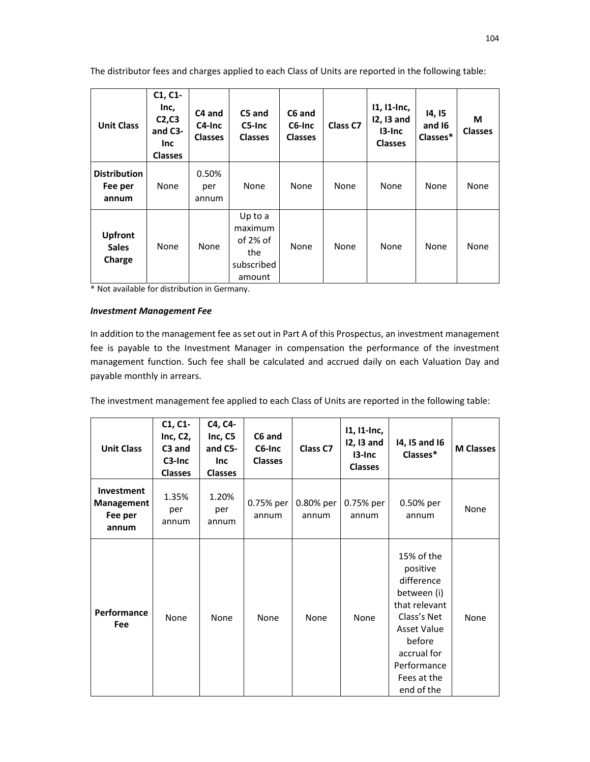The distributor fees and charges applied to each Class of Units are reported in the following table:

| <b>Unit Class</b>                        | C1, C1<br>Inc,<br>C <sub>2</sub> , C <sub>3</sub><br>and C3-<br><b>Inc</b><br><b>Classes</b> | C4 and<br>C4-Inc<br><b>Classes</b> | C5 and<br>C5-Inc<br><b>Classes</b>                               | C6 and<br>C6-Inc<br><b>Classes</b> | Class C7 | 11, 11-Inc,<br>12, 13 and<br>13-Inc<br><b>Classes</b> | 14, 15<br>and 16<br>Classes* | М<br><b>Classes</b> |
|------------------------------------------|----------------------------------------------------------------------------------------------|------------------------------------|------------------------------------------------------------------|------------------------------------|----------|-------------------------------------------------------|------------------------------|---------------------|
| <b>Distribution</b><br>Fee per<br>annum  | None                                                                                         | 0.50%<br>per<br>annum              | None                                                             | None                               | None     | None                                                  | None                         | None                |
| <b>Upfront</b><br><b>Sales</b><br>Charge | None                                                                                         | None                               | Up to a<br>maximum<br>of $2\%$ of<br>the<br>subscribed<br>amount | None                               | None     | None                                                  | None                         | None                |

\* Not available for distribution in Germany.

### *Investment Management Fee*

In addition to the management fee as set out in Part A of this Prospectus, an investment management fee is payable to the Investment Manager in compensation the performance of the investment management function. Such fee shall be calculated and accrued daily on each Valuation Day and payable monthly in arrears.

The investment management fee applied to each Class of Units are reported in the following table:

| <b>Unit Class</b>                                   | C1, C1<br>Inc, $C2$ ,<br>C3 and<br>C3-Inc<br><b>Classes</b> | C4, C4-<br>Inc, C5<br>and C5-<br><b>Inc</b><br><b>Classes</b> | C6 and<br>C6-Inc<br><b>Classes</b> | Class C7           | $11, 11$ -Inc,<br>12, 13 and<br>13-Inc<br><b>Classes</b> | 14, 15 and 16<br>Classes*                                                                                                                                                      | <b>M Classes</b> |
|-----------------------------------------------------|-------------------------------------------------------------|---------------------------------------------------------------|------------------------------------|--------------------|----------------------------------------------------------|--------------------------------------------------------------------------------------------------------------------------------------------------------------------------------|------------------|
| <b>Investment</b><br>Management<br>Fee per<br>annum | 1.35%<br>per<br>annum                                       | 1.20%<br>per<br>annum                                         | 0.75% per<br>annum                 | 0.80% per<br>annum | 0.75% per<br>annum                                       | 0.50% per<br>annum                                                                                                                                                             | None             |
| <b>Performance</b><br><b>Fee</b>                    | None                                                        | None                                                          | None                               | None               | None                                                     | 15% of the<br>positive<br>difference<br>between (i)<br>that relevant<br>Class's Net<br><b>Asset Value</b><br>before<br>accrual for<br>Performance<br>Fees at the<br>end of the | None             |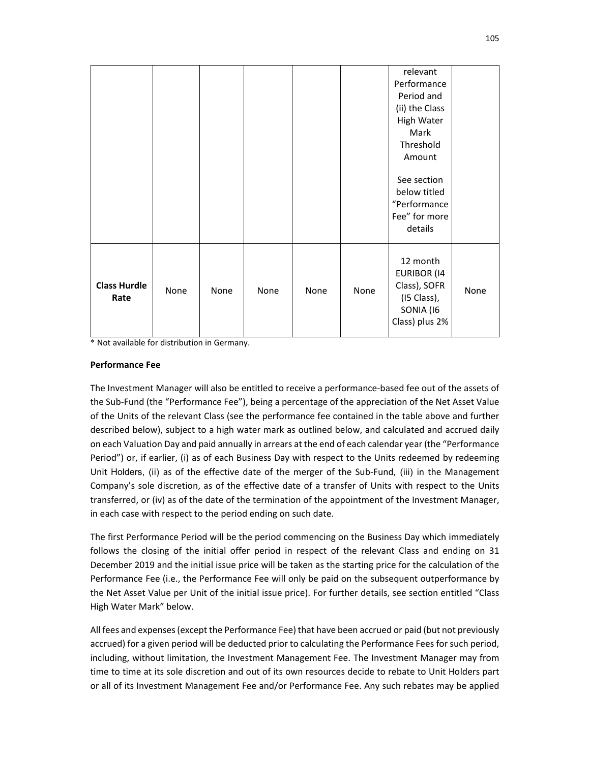|                             |      |      |      |      |      | relevant<br>Performance<br>Period and<br>(ii) the Class<br>High Water<br>Mark<br>Threshold<br>Amount<br>See section<br>below titled<br>"Performance<br>Fee" for more |      |
|-----------------------------|------|------|------|------|------|----------------------------------------------------------------------------------------------------------------------------------------------------------------------|------|
|                             |      |      |      |      |      | details                                                                                                                                                              |      |
| <b>Class Hurdle</b><br>Rate | None | None | None | None | None | 12 month<br><b>EURIBOR (14</b><br>Class), SOFR<br>(I5 Class),<br>SONIA (16<br>Class) plus 2%                                                                         | None |

\* Not available for distribution in Germany.

### **Performance Fee**

The Investment Manager will also be entitled to receive a performance-based fee out of the assets of the Sub-Fund (the "Performance Fee"), being a percentage of the appreciation of the Net Asset Value of the Units of the relevant Class (see the performance fee contained in the table above and further described below), subject to a high water mark as outlined below, and calculated and accrued daily on each Valuation Day and paid annually in arrears at the end of each calendar year (the "Performance Period") or, if earlier, (i) as of each Business Day with respect to the Units redeemed by redeeming Unit Holders, (ii) as of the effective date of the merger of the Sub-Fund*,* (iii) in the Management Company's sole discretion, as of the effective date of a transfer of Units with respect to the Units transferred, or (iv) as of the date of the termination of the appointment of the Investment Manager, in each case with respect to the period ending on such date.

The first Performance Period will be the period commencing on the Business Day which immediately follows the closing of the initial offer period in respect of the relevant Class and ending on 31 December 2019 and the initial issue price will be taken as the starting price for the calculation of the Performance Fee (i.e., the Performance Fee will only be paid on the subsequent outperformance by the Net Asset Value per Unit of the initial issue price). For further details, see section entitled "Class High Water Mark" below.

All fees and expenses (except the Performance Fee) that have been accrued or paid (but not previously accrued) for a given period will be deducted prior to calculating the Performance Fees for such period, including, without limitation, the Investment Management Fee. The Investment Manager may from time to time at its sole discretion and out of its own resources decide to rebate to Unit Holders part or all of its Investment Management Fee and/or Performance Fee. Any such rebates may be applied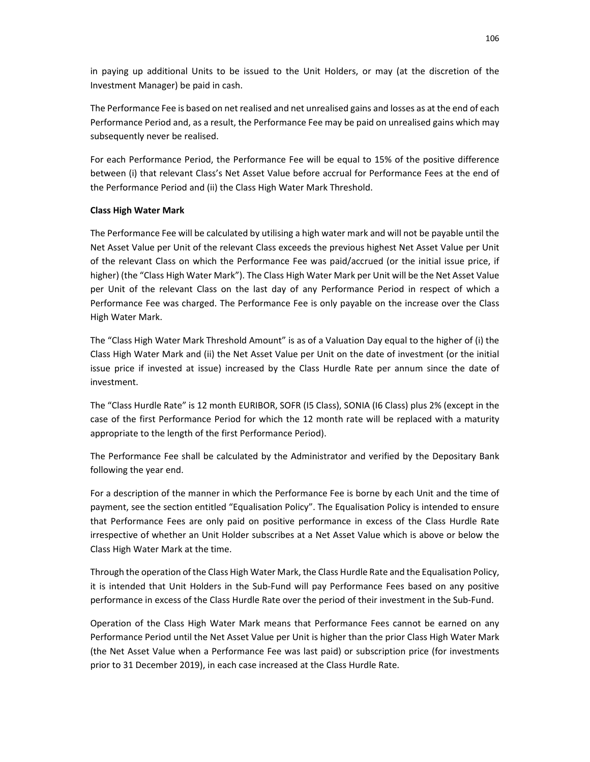in paying up additional Units to be issued to the Unit Holders, or may (at the discretion of the Investment Manager) be paid in cash.

The Performance Fee is based on net realised and net unrealised gains and losses as at the end of each Performance Period and, as a result, the Performance Fee may be paid on unrealised gains which may subsequently never be realised.

For each Performance Period, the Performance Fee will be equal to 15% of the positive difference between (i) that relevant Class's Net Asset Value before accrual for Performance Fees at the end of the Performance Period and (ii) the Class High Water Mark Threshold.

### **Class High Water Mark**

The Performance Fee will be calculated by utilising a high water mark and will not be payable until the Net Asset Value per Unit of the relevant Class exceeds the previous highest Net Asset Value per Unit of the relevant Class on which the Performance Fee was paid/accrued (or the initial issue price, if higher) (the "Class High Water Mark"). The Class High Water Mark per Unit will be the Net Asset Value per Unit of the relevant Class on the last day of any Performance Period in respect of which a Performance Fee was charged. The Performance Fee is only payable on the increase over the Class High Water Mark.

The "Class High Water Mark Threshold Amount" is as of a Valuation Day equal to the higher of (i) the Class High Water Mark and (ii) the Net Asset Value per Unit on the date of investment (or the initial issue price if invested at issue) increased by the Class Hurdle Rate per annum since the date of investment.

The "Class Hurdle Rate" is 12 month EURIBOR, SOFR (I5 Class), SONIA (I6 Class) plus 2% (except in the case of the first Performance Period for which the 12 month rate will be replaced with a maturity appropriate to the length of the first Performance Period).

The Performance Fee shall be calculated by the Administrator and verified by the Depositary Bank following the year end.

For a description of the manner in which the Performance Fee is borne by each Unit and the time of payment, see the section entitled "Equalisation Policy". The Equalisation Policy is intended to ensure that Performance Fees are only paid on positive performance in excess of the Class Hurdle Rate irrespective of whether an Unit Holder subscribes at a Net Asset Value which is above or below the Class High Water Mark at the time.

Through the operation of the Class High Water Mark, the Class Hurdle Rate and the Equalisation Policy, it is intended that Unit Holders in the Sub-Fund will pay Performance Fees based on any positive performance in excess of the Class Hurdle Rate over the period of their investment in the Sub-Fund.

Operation of the Class High Water Mark means that Performance Fees cannot be earned on any Performance Period until the Net Asset Value per Unit is higher than the prior Class High Water Mark (the Net Asset Value when a Performance Fee was last paid) or subscription price (for investments prior to 31 December 2019), in each case increased at the Class Hurdle Rate.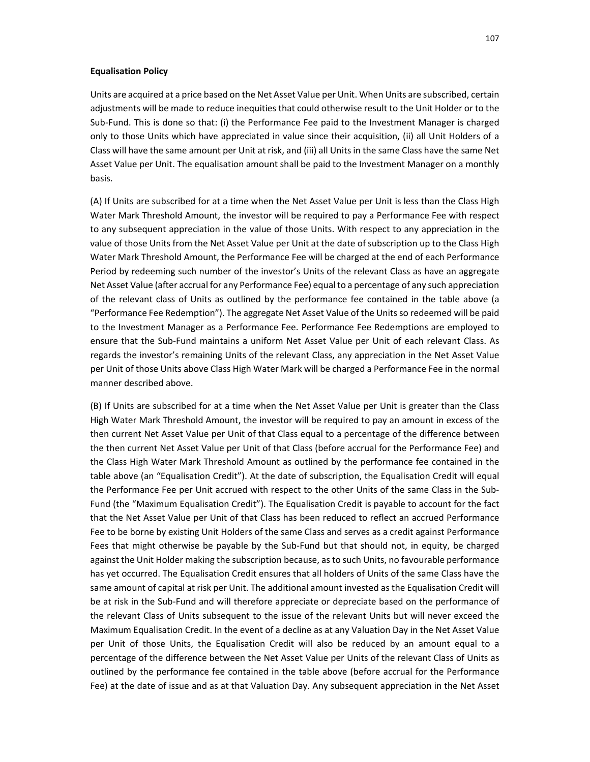#### **Equalisation Policy**

Units are acquired at a price based on the Net Asset Value per Unit. When Units are subscribed, certain adjustments will be made to reduce inequities that could otherwise result to the Unit Holder or to the Sub-Fund. This is done so that: (i) the Performance Fee paid to the Investment Manager is charged only to those Units which have appreciated in value since their acquisition, (ii) all Unit Holders of a Class will have the same amount per Unit at risk, and (iii) all Units in the same Class have the same Net Asset Value per Unit. The equalisation amount shall be paid to the Investment Manager on a monthly basis.

(A) If Units are subscribed for at a time when the Net Asset Value per Unit is less than the Class High Water Mark Threshold Amount, the investor will be required to pay a Performance Fee with respect to any subsequent appreciation in the value of those Units. With respect to any appreciation in the value of those Units from the Net Asset Value per Unit at the date of subscription up to the Class High Water Mark Threshold Amount, the Performance Fee will be charged at the end of each Performance Period by redeeming such number of the investor's Units of the relevant Class as have an aggregate Net Asset Value (after accrual for any Performance Fee) equal to a percentage of any such appreciation of the relevant class of Units as outlined by the performance fee contained in the table above (a "Performance Fee Redemption"). The aggregate Net Asset Value of the Units so redeemed will be paid to the Investment Manager as a Performance Fee. Performance Fee Redemptions are employed to ensure that the Sub-Fund maintains a uniform Net Asset Value per Unit of each relevant Class. As regards the investor's remaining Units of the relevant Class, any appreciation in the Net Asset Value per Unit of those Units above Class High Water Mark will be charged a Performance Fee in the normal manner described above.

(B) If Units are subscribed for at a time when the Net Asset Value per Unit is greater than the Class High Water Mark Threshold Amount, the investor will be required to pay an amount in excess of the then current Net Asset Value per Unit of that Class equal to a percentage of the difference between the then current Net Asset Value per Unit of that Class (before accrual for the Performance Fee) and the Class High Water Mark Threshold Amount as outlined by the performance fee contained in the table above (an "Equalisation Credit"). At the date of subscription, the Equalisation Credit will equal the Performance Fee per Unit accrued with respect to the other Units of the same Class in the Sub-Fund (the "Maximum Equalisation Credit"). The Equalisation Credit is payable to account for the fact that the Net Asset Value per Unit of that Class has been reduced to reflect an accrued Performance Fee to be borne by existing Unit Holders of the same Class and serves as a credit against Performance Fees that might otherwise be payable by the Sub-Fund but that should not, in equity, be charged against the Unit Holder making the subscription because, as to such Units, no favourable performance has yet occurred. The Equalisation Credit ensures that all holders of Units of the same Class have the same amount of capital at risk per Unit. The additional amount invested as the Equalisation Credit will be at risk in the Sub-Fund and will therefore appreciate or depreciate based on the performance of the relevant Class of Units subsequent to the issue of the relevant Units but will never exceed the Maximum Equalisation Credit. In the event of a decline as at any Valuation Day in the Net Asset Value per Unit of those Units, the Equalisation Credit will also be reduced by an amount equal to a percentage of the difference between the Net Asset Value per Units of the relevant Class of Units as outlined by the performance fee contained in the table above (before accrual for the Performance Fee) at the date of issue and as at that Valuation Day. Any subsequent appreciation in the Net Asset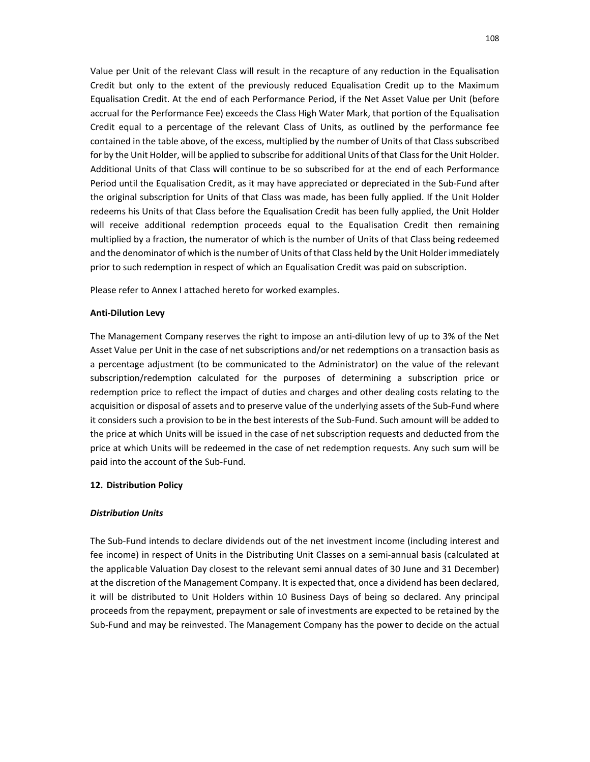Value per Unit of the relevant Class will result in the recapture of any reduction in the Equalisation Credit but only to the extent of the previously reduced Equalisation Credit up to the Maximum Equalisation Credit. At the end of each Performance Period, if the Net Asset Value per Unit (before accrual for the Performance Fee) exceeds the Class High Water Mark, that portion of the Equalisation Credit equal to a percentage of the relevant Class of Units, as outlined by the performance fee contained in the table above, of the excess, multiplied by the number of Units of that Class subscribed for by the Unit Holder, will be applied to subscribe for additional Units of that Class for the Unit Holder. Additional Units of that Class will continue to be so subscribed for at the end of each Performance Period until the Equalisation Credit, as it may have appreciated or depreciated in the Sub-Fund after the original subscription for Units of that Class was made, has been fully applied. If the Unit Holder redeems his Units of that Class before the Equalisation Credit has been fully applied, the Unit Holder will receive additional redemption proceeds equal to the Equalisation Credit then remaining multiplied by a fraction, the numerator of which is the number of Units of that Class being redeemed and the denominator of which is the number of Units of that Class held by the Unit Holder immediately prior to such redemption in respect of which an Equalisation Credit was paid on subscription.

Please refer to Annex I attached hereto for worked examples.

#### **Anti-Dilution Levy**

The Management Company reserves the right to impose an anti-dilution levy of up to 3% of the Net Asset Value per Unit in the case of net subscriptions and/or net redemptions on a transaction basis as a percentage adjustment (to be communicated to the Administrator) on the value of the relevant subscription/redemption calculated for the purposes of determining a subscription price or redemption price to reflect the impact of duties and charges and other dealing costs relating to the acquisition or disposal of assets and to preserve value of the underlying assets of the Sub-Fund where it considers such a provision to be in the best interests of the Sub-Fund. Such amount will be added to the price at which Units will be issued in the case of net subscription requests and deducted from the price at which Units will be redeemed in the case of net redemption requests. Any such sum will be paid into the account of the Sub-Fund.

### **12. Distribution Policy**

#### *Distribution Units*

The Sub-Fund intends to declare dividends out of the net investment income (including interest and fee income) in respect of Units in the Distributing Unit Classes on a semi-annual basis (calculated at the applicable Valuation Day closest to the relevant semi annual dates of 30 June and 31 December) at the discretion of the Management Company. It is expected that, once a dividend has been declared, it will be distributed to Unit Holders within 10 Business Days of being so declared. Any principal proceeds from the repayment, prepayment or sale of investments are expected to be retained by the Sub-Fund and may be reinvested. The Management Company has the power to decide on the actual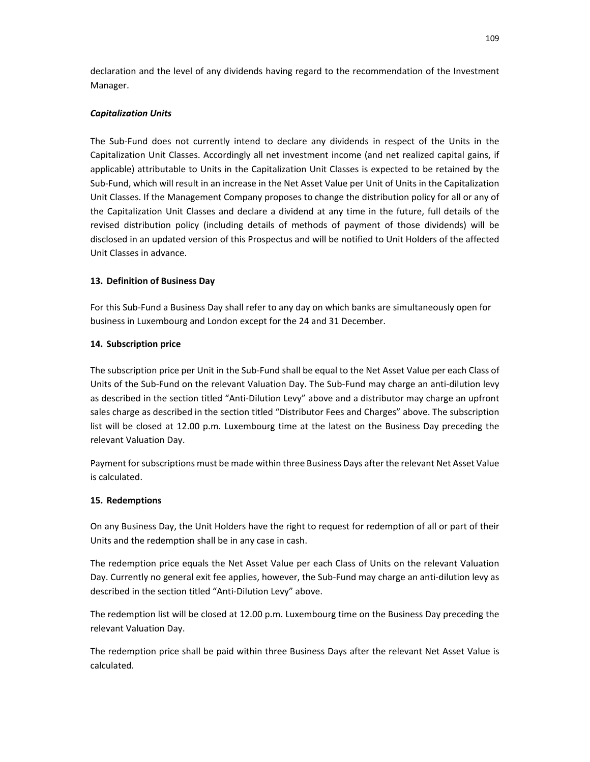declaration and the level of any dividends having regard to the recommendation of the Investment Manager.

## *Capitalization Units*

The Sub-Fund does not currently intend to declare any dividends in respect of the Units in the Capitalization Unit Classes. Accordingly all net investment income (and net realized capital gains, if applicable) attributable to Units in the Capitalization Unit Classes is expected to be retained by the Sub-Fund, which will result in an increase in the Net Asset Value per Unit of Units in the Capitalization Unit Classes. If the Management Company proposes to change the distribution policy for all or any of the Capitalization Unit Classes and declare a dividend at any time in the future, full details of the revised distribution policy (including details of methods of payment of those dividends) will be disclosed in an updated version of this Prospectus and will be notified to Unit Holders of the affected Unit Classes in advance.

# **13. Definition of Business Day**

For this Sub-Fund a Business Day shall refer to any day on which banks are simultaneously open for business in Luxembourg and London except for the 24 and 31 December.

# **14. Subscription price**

The subscription price per Unit in the Sub-Fund shall be equal to the Net Asset Value per each Class of Units of the Sub-Fund on the relevant Valuation Day. The Sub-Fund may charge an anti-dilution levy as described in the section titled "Anti-Dilution Levy" above and a distributor may charge an upfront sales charge as described in the section titled "Distributor Fees and Charges" above. The subscription list will be closed at 12.00 p.m. Luxembourg time at the latest on the Business Day preceding the relevant Valuation Day.

Payment for subscriptions must be made within three Business Days after the relevant Net Asset Value is calculated.

## **15. Redemptions**

On any Business Day, the Unit Holders have the right to request for redemption of all or part of their Units and the redemption shall be in any case in cash.

The redemption price equals the Net Asset Value per each Class of Units on the relevant Valuation Day. Currently no general exit fee applies, however, the Sub-Fund may charge an anti-dilution levy as described in the section titled "Anti-Dilution Levy" above.

The redemption list will be closed at 12.00 p.m. Luxembourg time on the Business Day preceding the relevant Valuation Day.

The redemption price shall be paid within three Business Days after the relevant Net Asset Value is calculated.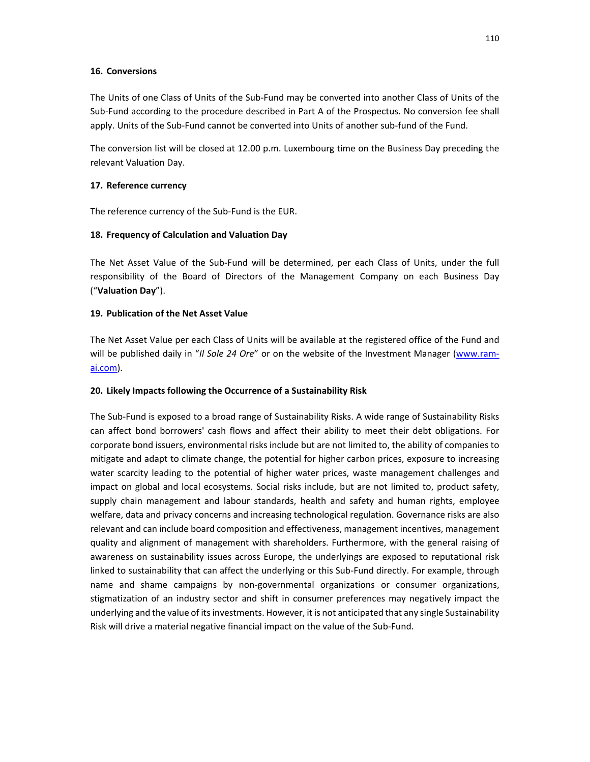#### **16. Conversions**

The Units of one Class of Units of the Sub-Fund may be converted into another Class of Units of the Sub-Fund according to the procedure described in Part A of the Prospectus. No conversion fee shall apply. Units of the Sub-Fund cannot be converted into Units of another sub-fund of the Fund.

The conversion list will be closed at 12.00 p.m. Luxembourg time on the Business Day preceding the relevant Valuation Day.

## **17. Reference currency**

The reference currency of the Sub-Fund is the EUR.

# **18. Frequency of Calculation and Valuation Day**

The Net Asset Value of the Sub-Fund will be determined, per each Class of Units, under the full responsibility of the Board of Directors of the Management Company on each Business Day ("**Valuation Day**").

## **19. Publication of the Net Asset Value**

The Net Asset Value per each Class of Units will be available at the registered office of the Fund and will be published daily in "*Il Sole 24 Ore*" or on the website of the Investment Manager (www.ramai.com).

## **20. Likely Impacts following the Occurrence of a Sustainability Risk**

The Sub-Fund is exposed to a broad range of Sustainability Risks. A wide range of Sustainability Risks can affect bond borrowers' cash flows and affect their ability to meet their debt obligations. For corporate bond issuers, environmental risks include but are not limited to, the ability of companies to mitigate and adapt to climate change, the potential for higher carbon prices, exposure to increasing water scarcity leading to the potential of higher water prices, waste management challenges and impact on global and local ecosystems. Social risks include, but are not limited to, product safety, supply chain management and labour standards, health and safety and human rights, employee welfare, data and privacy concerns and increasing technological regulation. Governance risks are also relevant and can include board composition and effectiveness, management incentives, management quality and alignment of management with shareholders. Furthermore, with the general raising of awareness on sustainability issues across Europe, the underlyings are exposed to reputational risk linked to sustainability that can affect the underlying or this Sub-Fund directly. For example, through name and shame campaigns by non-governmental organizations or consumer organizations, stigmatization of an industry sector and shift in consumer preferences may negatively impact the underlying and the value of its investments. However, it is not anticipated that any single Sustainability Risk will drive a material negative financial impact on the value of the Sub-Fund.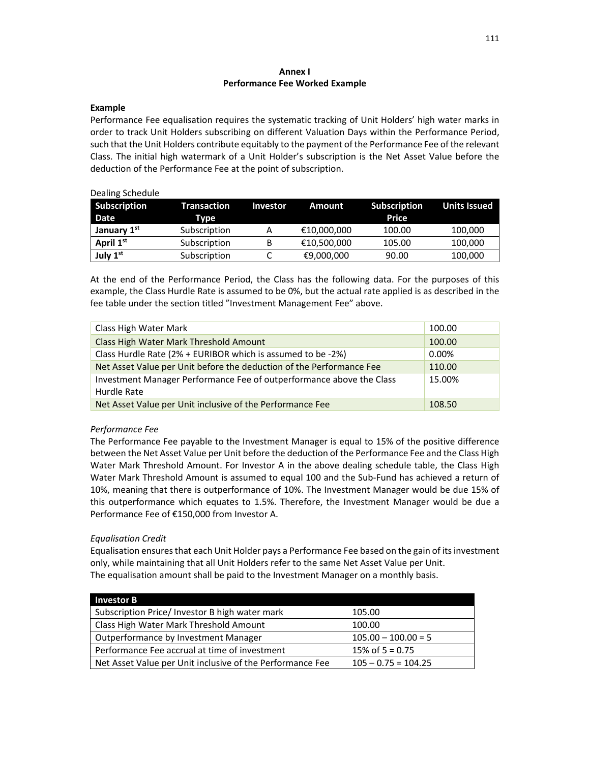#### **Annex I Performance Fee Worked Example**

#### **Example**

Performance Fee equalisation requires the systematic tracking of Unit Holders' high water marks in order to track Unit Holders subscribing on different Valuation Days within the Performance Period, such that the Unit Holders contribute equitably to the payment of the Performance Fee of the relevant Class. The initial high watermark of a Unit Holder's subscription is the Net Asset Value before the deduction of the Performance Fee at the point of subscription.

#### Dealing Schedule

| <b>Subscription</b> | Transaction  | <b>Investor</b> | Amount      | <b>Subscription</b> | <b>Units Issued</b> |
|---------------------|--------------|-----------------|-------------|---------------------|---------------------|
| Date                | Type         |                 |             | Price               |                     |
| January 1st         | Subscription | A               | €10,000,000 | 100.00              | 100,000             |
| April 1st           | Subscription | B               | €10,500,000 | 105.00              | 100,000             |
| July 1st            | Subscription |                 | €9,000,000  | 90.00               | 100,000             |

At the end of the Performance Period, the Class has the following data. For the purposes of this example, the Class Hurdle Rate is assumed to be 0%, but the actual rate applied is as described in the fee table under the section titled "Investment Management Fee" above.

| Class High Water Mark                                                               | 100.00 |
|-------------------------------------------------------------------------------------|--------|
| Class High Water Mark Threshold Amount                                              | 100.00 |
| Class Hurdle Rate (2% + EURIBOR which is assumed to be -2%)                         | 0.00%  |
| Net Asset Value per Unit before the deduction of the Performance Fee                | 110.00 |
| Investment Manager Performance Fee of outperformance above the Class<br>Hurdle Rate | 15.00% |
| Net Asset Value per Unit inclusive of the Performance Fee                           | 108.50 |

## *Performance Fee*

The Performance Fee payable to the Investment Manager is equal to 15% of the positive difference between the Net Asset Value per Unit before the deduction of the Performance Fee and the Class High Water Mark Threshold Amount. For Investor A in the above dealing schedule table, the Class High Water Mark Threshold Amount is assumed to equal 100 and the Sub-Fund has achieved a return of 10%, meaning that there is outperformance of 10%. The Investment Manager would be due 15% of this outperformance which equates to 1.5%. Therefore, the Investment Manager would be due a Performance Fee of €150,000 from Investor A.

## *Equalisation Credit*

Equalisation ensures that each Unit Holder pays a Performance Fee based on the gain of its investment only, while maintaining that all Unit Holders refer to the same Net Asset Value per Unit. The equalisation amount shall be paid to the Investment Manager on a monthly basis.

| <b>Investor B</b>                                         |                       |
|-----------------------------------------------------------|-----------------------|
| Subscription Price/ Investor B high water mark            | 105.00                |
| Class High Water Mark Threshold Amount                    | 100.00                |
| Outperformance by Investment Manager                      | $105.00 - 100.00 = 5$ |
| Performance Fee accrual at time of investment             | 15% of $5 = 0.75$     |
| Net Asset Value per Unit inclusive of the Performance Fee | $105 - 0.75 = 104.25$ |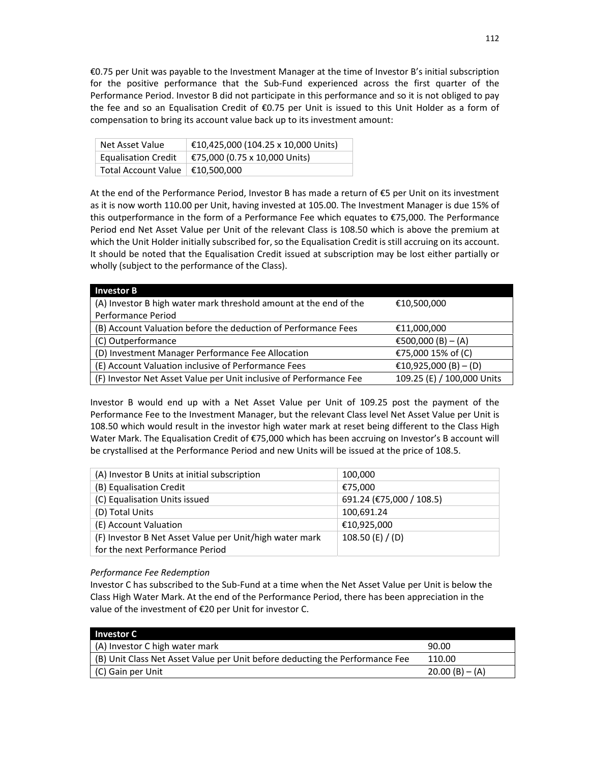€0.75 per Unit was payable to the Investment Manager at the time of Investor B's initial subscription for the positive performance that the Sub-Fund experienced across the first quarter of the Performance Period. Investor B did not participate in this performance and so it is not obliged to pay the fee and so an Equalisation Credit of €0.75 per Unit is issued to this Unit Holder as a form of compensation to bring its account value back up to its investment amount:

| Net Asset Value                   | €10,425,000 (104.25 x 10,000 Units) |
|-----------------------------------|-------------------------------------|
| <b>Equalisation Credit</b>        | €75,000 (0.75 x 10,000 Units)       |
| Total Account Value   €10,500,000 |                                     |

At the end of the Performance Period, Investor B has made a return of €5 per Unit on its investment as it is now worth 110.00 per Unit, having invested at 105.00. The Investment Manager is due 15% of this outperformance in the form of a Performance Fee which equates to €75,000. The Performance Period end Net Asset Value per Unit of the relevant Class is 108.50 which is above the premium at which the Unit Holder initially subscribed for, so the Equalisation Credit is still accruing on its account. It should be noted that the Equalisation Credit issued at subscription may be lost either partially or wholly (subject to the performance of the Class).

| <b>Investor B</b>                                                  |                            |
|--------------------------------------------------------------------|----------------------------|
| (A) Investor B high water mark threshold amount at the end of the  | €10,500,000                |
| Performance Period                                                 |                            |
| (B) Account Valuation before the deduction of Performance Fees     | €11,000,000                |
| (C) Outperformance                                                 | €500,000 (B) $- (A)$       |
| (D) Investment Manager Performance Fee Allocation                  | €75,000 15% of (C)         |
| (E) Account Valuation inclusive of Performance Fees                | €10,925,000 (B) – (D)      |
| (F) Investor Net Asset Value per Unit inclusive of Performance Fee | 109.25 (E) / 100,000 Units |

Investor B would end up with a Net Asset Value per Unit of 109.25 post the payment of the Performance Fee to the Investment Manager, but the relevant Class level Net Asset Value per Unit is 108.50 which would result in the investor high water mark at reset being different to the Class High Water Mark. The Equalisation Credit of €75,000 which has been accruing on Investor's B account will be crystallised at the Performance Period and new Units will be issued at the price of 108.5.

| (A) Investor B Units at initial subscription            | 100,000                  |
|---------------------------------------------------------|--------------------------|
| (B) Equalisation Credit                                 | €75,000                  |
| (C) Equalisation Units issued                           | 691.24 (€75,000 / 108.5) |
| (D) Total Units                                         | 100,691.24               |
| (E) Account Valuation                                   | €10,925,000              |
| (F) Investor B Net Asset Value per Unit/high water mark | 108.50 (E) $/$ (D)       |
| for the next Performance Period                         |                          |

## *Performance Fee Redemption*

Investor C has subscribed to the Sub-Fund at a time when the Net Asset Value per Unit is below the Class High Water Mark. At the end of the Performance Period, there has been appreciation in the value of the investment of €20 per Unit for investor C.

| <b>Investor C</b>                                                            |                  |
|------------------------------------------------------------------------------|------------------|
| (A) Investor C high water mark                                               | 90.00            |
| (B) Unit Class Net Asset Value per Unit before deducting the Performance Fee | 110.00           |
| (C) Gain per Unit                                                            | $20.00(B) - (A)$ |